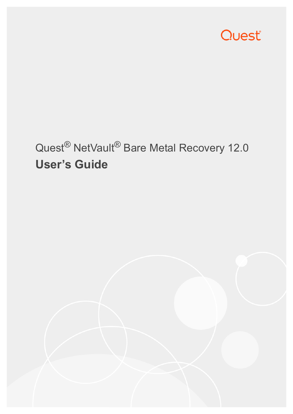

# Quest® NetVault® Bare Metal Recovery 12.0 **User's Guide**

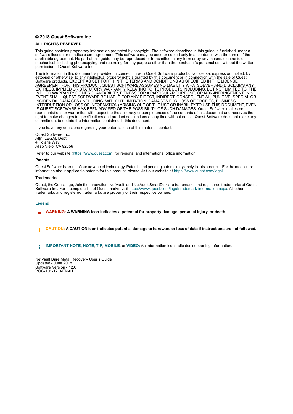#### **© 2018 Quest Software Inc.**

#### **ALL RIGHTS RESERVED.**

This guide contains proprietary information protected by copyright. The software described in this guide is furnished under a software license or nondisclosure agreement. This software may be used or copied only in accordance with the terms of the applicable agreement. No part of this guide may be reproduced or transmitted in any form or by any means, electronic or mechanical, including photocopying and recording for any purpose other than the purchaser's personal use without the written permission of Quest Software Inc.

The information in this document is provided in connection with Quest Software products. No license, express or implied, by estoppel or otherwise, to any intellectual property right is granted by this document or in connection with the sale of Quest<br>Software products. EXCEPT AS SET FORTH IN THE TERMS AND CONDITIONS AS SPECIFIED IN THE LICENSE<br>A EXPRESS, IMPLIED OR STATUTORY WARRANTY RELATING TO ITS PRODUCTS INCLUDING, BUT NOT LIMITED TO, THE IMPLIED WARRANTY OF MERCHANTABILITY, FITNESS FOR A PARTICULAR PURPOSE, OR NON-INFRINGEMENT. IN NO EVENT SHALL QUEST SOFTWARE BE LIABLE FOR ANY DIRECT, INDIRECT, CONSEQUENTIAL, PUNITIVE, SPECIAL OR INCIDENTAL DAMAGES (INCLUDING, WITHOUT LIMITATION, DAMAGES FOR LOSS OF PROFITS, BUSINESS<br>INTERRUPTION OR LOSS OF INFORMATION) ARISING OUT OF THE USE OR INABILITY TO USE THIS DOCUMENT, EVEN IF QUEST SOFTWARE HAS BEEN ADVISED OF THE POSSIBILITY OF SUCH DAMAGES. Quest Software makes no representations or warranties with respect to the accuracy or completeness of the contents of this document and reserves the right to make changes to specifications and product descriptions at any time without notice. Quest Software does not make any commitment to update the information contained in this document.

If you have any questions regarding your potential use of this material, contact:

Quest Software Inc. Attn: LEGAL Dept. 4 Polaris Way Aliso Viejo, CA 92656

Refer to our website [\(https://www.quest.com](https://www.quest.com)) for regional and international office information.

#### **Patents**

Quest Software is proud of our advanced technology. Patents and pending patents may apply to this product. For the most current information about applicable patents for this product, please visit our website at [https://www.quest.com/legal.](https://www.quest.com/legal)

#### **Trademarks**

Quest, the Quest logo, Join the Innovation, NetVault, and NetVault SmartDisk are trademarks and registered trademarks of Quest Software Inc. For a complete list of Quest marks, visit [https://www.quest.com/legal/trademark-information.aspx.](https://www.quest.com/legal/trademark-information.aspx) All other trademarks and registered trademarks are property of their respective owners.

#### **Legend**

- **WARNING: A WARNING icon indicates a potential for property damage, personal injury, or death.**
- **CAUTION: A CAUTION icon indicates potential damage to hardware or loss of data if instructions are not followed.** Ţ

**IMPORTANT NOTE**, **NOTE**, **TIP**, **MOBILE**, or **VIDEO:** An information icon indicates supporting information.f.

NetVault Bare Metal Recovery User's Guide Updated - June 2018 Software Version - 12.0 VOG-101-12.0-EN-01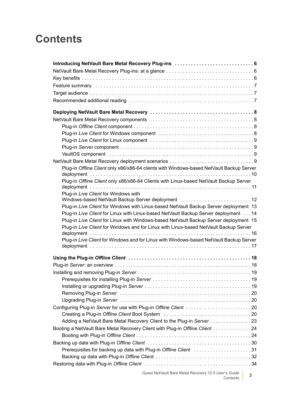# **Contents**

| Plug-in Offline Client only x86/x86-64 clients with Windows-based NetVault Backup Server |
|------------------------------------------------------------------------------------------|
| Plug-in Offline Client only x86/x86-64 Clients with Linux-based NetVault Backup Server   |
|                                                                                          |
| Plug-in Live Client for Windows with                                                     |
| Windows-based NetVault Backup Server deployment  12                                      |
| Plug-in Live Client for Windows with Linux-based NetVault Backup Server deployment 13    |
| Plug-in Live Client for Linux with Linux-based NetVault Backup Server deployment 14      |
| Plug-in Live Client for Linux with Windows-based NetVault Backup Server deployment 15    |
| Plug-in Live Client for Windows and for Linux with Linux-based NetVault Backup Server    |
| Plug-in Live Client for Windows and for Linux with Windows-based NetVault Backup Server  |
|                                                                                          |
|                                                                                          |
|                                                                                          |
|                                                                                          |
|                                                                                          |
|                                                                                          |
|                                                                                          |
|                                                                                          |
|                                                                                          |
| Configuring Plug-in Server for use with Plug-in Offline Client 20                        |
|                                                                                          |
| Adding a NetVault Bare Metal Recovery Client to the Plug-in Server 23                    |
| Booting a NetVault Bare Metal Recovery Client with Plug-in Offline Client 24             |
|                                                                                          |
|                                                                                          |
| Prerequisites for backing up data with Plug-in Offline Client 31                         |
|                                                                                          |
|                                                                                          |
|                                                                                          |

Quest NetVault Bare Metal Recovery 12.0 User's Guide Contents **<sup>3</sup>**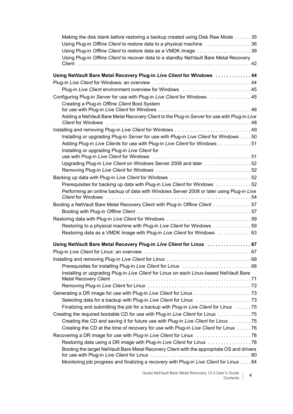| Making the disk blank before restoring a backup created using Disk Raw Mode 35               |  |
|----------------------------------------------------------------------------------------------|--|
| Using Plug-in Offline Client to restore data to a physical machine 36                        |  |
| Using Plug-in Offline Client to restore data as a VMDK Image 39                              |  |
| Using Plug-in Offline Client to recover data to a standby NetVault Bare Metal Recovery       |  |
|                                                                                              |  |
| Using NetVault Bare Metal Recovery Plug-in Live Client for Windows 44                        |  |
|                                                                                              |  |
| Plug-in Live Client environment overview for Windows  45                                     |  |
| Configuring Plug-in Server for use with Plug-in Live Client for Windows  45                  |  |
| Creating a Plug-in Offline Client Boot System                                                |  |
|                                                                                              |  |
| Adding a NetVault Bare Metal Recovery Client to the Plug-in Server for use with Plug-in Live |  |
|                                                                                              |  |
|                                                                                              |  |
| Installing or upgrading Plug-in Server for use with Plug-in Live Client for Windows 50       |  |
| Adding Plug-in Live Clients for use with Plug-in Live Client for Windows  51                 |  |
| Installing or upgrading Plug-in Live Client for                                              |  |
| Upgrading Plug-in Live Client on Windows Server 2008 and later 52                            |  |
|                                                                                              |  |
|                                                                                              |  |
| Prerequisites for backing up data with Plug-in Live Client for Windows 52                    |  |
| Performing an online backup of data with Windows Server 2008 or later using Plug-in Live     |  |
|                                                                                              |  |
| Booting a NetVault Bare Metal Recovery Client with Plug-in Offline Client 57                 |  |
|                                                                                              |  |
|                                                                                              |  |
| Restoring to a physical machine with Plug-in Live Client for Windows 59                      |  |
| Restoring data as a VMDK Image with Plug-in Live Client for Windows  63                      |  |
| Using NetVault Bare Metal Recovery Plug-in Live Client for Linux  67                         |  |
|                                                                                              |  |
|                                                                                              |  |
|                                                                                              |  |
| Installing or upgrading Plug-in Live Client for Linux on each Linux-based NetVault Bare      |  |
|                                                                                              |  |
|                                                                                              |  |
|                                                                                              |  |
|                                                                                              |  |
| Finalizing and submitting the job for a backup with Plug-in Live Client for Linux 75         |  |
| Creating the required bootable CD for use with Plug-in Live Client for Linux 75              |  |
| Creating the CD and saving it for future use with Plug-in Live Client for Linux 75           |  |
| Creating the CD at the time of recovery for use with Plug-in Live Client for Linux  76       |  |
|                                                                                              |  |
| Restoring data using a DR image with Plug-in Live Client for Linux 78                        |  |
| Booting the target NetVault Bare Metal Recovery Client with the appropriate OS and drivers   |  |
| Monitoring job progress and finalizing a recovery with Plug-in Live Client for Linux 84      |  |
|                                                                                              |  |

Quest NetVault Bare Metal Recovery 12.0 User's Guide Contents **<sup>4</sup>**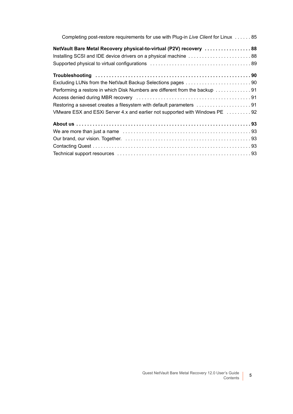| Completing post-restore requirements for use with Plug-in Live Client for Linux  85 |
|-------------------------------------------------------------------------------------|
| NetVault Bare Metal Recovery physical-to-virtual (P2V) recovery 88                  |
| Installing SCSI and IDE device drivers on a physical machine 88                     |
|                                                                                     |
|                                                                                     |
|                                                                                     |
|                                                                                     |
|                                                                                     |
| Restoring a saveset creates a filesystem with default parameters 91                 |
| VMware ESX and ESXi Server 4.x and earlier not supported with Windows PE 92         |
|                                                                                     |
|                                                                                     |
|                                                                                     |
|                                                                                     |
|                                                                                     |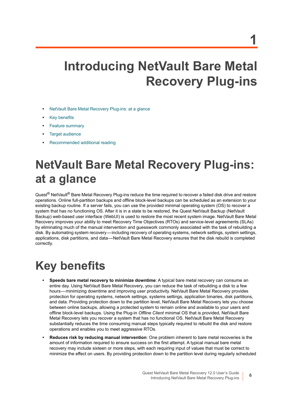# <span id="page-5-0"></span>**Introducing NetVault Bare Metal Recovery Plug-ins**

- **•** [NetVault Bare Metal Recovery Plug-ins: at a glance](#page-5-1)
- **•** [Key benefits](#page-5-2)
- **•** [Feature summary](#page-6-0)
- **•** [Target audience](#page-6-1)
- **•** [Recommended additional reading](#page-6-2)

# <span id="page-5-1"></span>**NetVault Bare Metal Recovery Plug-ins: at a glance**

Quest<sup>®</sup> NetVault<sup>®</sup> Bare Metal Recovery Plug-ins reduce the time required to recover a failed disk drive and restore operations. Online full-partition backups and offline block-level backups can be scheduled as an extension to your existing backup routine. If a server fails, you can use the provided minimal operating system (OS) to recover a system that has no functioning OS. After it is in a state to be restored, the Quest NetVault Backup (NetVault Backup) web-based user interface (WebUI) is used to restore the most recent system image. NetVault Bare Metal Recovery improves your ability to meet Recovery Time Objectives (RTOs) and service-level agreements (SLAs) by eliminating much of the manual intervention and guesswork commonly associated with the task of rebuilding a disk. By automating system recovery — including recovery of operating systems, network settings, system settings, applications, disk partitions, and data — NetVault Bare Metal Recovery ensures that the disk rebuild is completed correctly.

# <span id="page-5-2"></span>**Key benefits**

- **Speeds bare metal recovery to minimize downtime**: A typical bare metal recovery can consume an entire day. Using NetVault Bare Metal Recovery, you can reduce the task of rebuilding a disk to a few hours — minimizing downtime and improving user productivity. NetVault Bare Metal Recovery provides protection for operating systems, network settings, systems settings, application binaries, disk partitions, and data. Providing protection down to the partition level, NetVault Bare Metal Recovery lets you choose between online backups, allowing a protected system to remain online and available to your users and offline block-level backups. Using the Plug-in *Offline Client* minimal OS that is provided, NetVault Bare Metal Recovery lets you recover a system that has no functional OS. NetVault Bare Metal Recovery substantially reduces the time consuming manual steps typically required to rebuild the disk and restore operations and enables you to meet aggressive RTOs.
- **Reduces risk by reducing manual intervention**: One problem inherent to bare metal recoveries is the amount of information required to ensure success on the first attempt. A typical manual bare metal recovery may include sixteen or more steps, with each requiring input of values that must be correct to minimize the effect on users. By providing protection down to the partition level during regularly scheduled

**6**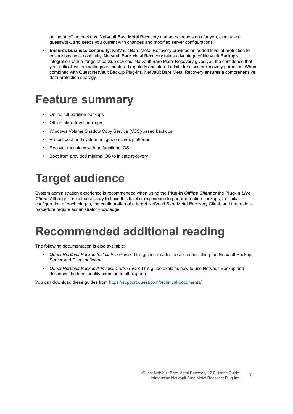online or offline backups, NetVault Bare Metal Recovery manages these steps for you, eliminates guesswork, and keeps you current with changes and modified server configurations.

**• Ensures business continuity**: NetVault Bare Metal Recovery provides an added level of protection to ensure business continuity. NetVault Bare Metal Recovery takes advantage of NetVault Backup's integration with a range of backup devices. NetVault Bare Metal Recovery gives you the confidence that your critical system settings are captured regularly and stored offsite for disaster-recovery purposes. When combined with Quest NetVault Backup Plug-ins, NetVault Bare Metal Recovery ensures a comprehensive data-protection strategy.

# <span id="page-6-0"></span>**Feature summary**

- **•** Online full partition backups
- **•** Offline block-level backups
- **•** Windows Volume Shadow Copy Service (VSS)-based backups
- **•** Protect boot and system Images on Linux platforms
- **•** Recover machines with no functional OS
- **•** Boot from provided minimal OS to initiate recovery

# <span id="page-6-1"></span>**Target audience**

System administration experience is recommended when using the **Plug-in** *Offline Client* or the **Plug-in** *Live Client*. Although it is not necessary to have this level of experience to perform routine backups, the initial configuration of each plug-in, the configuration of a target NetVault Bare Metal Recovery Client, and the restore procedure require administrator knowledge.

# <span id="page-6-2"></span>**Recommended additional reading**

The following documentation is also available:

- **•** *Quest NetVault Backup Installation Guide:* This guide provides details on installing the NetVault Backup Server and Client software.
- **•** *Quest NetVault Backup Administrator's Guide:* This guide explains how to use NetVault Backup and describes the functionality common to all plug-ins.

You can download these guides from [https://support.quest.com/technical-documents/.](https://support.quest.com/technical-documents/)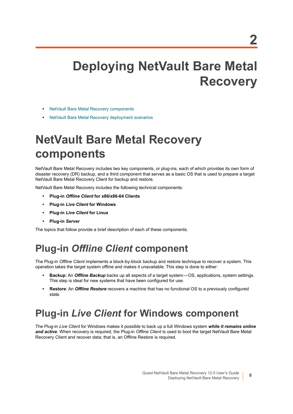# <span id="page-7-0"></span>**Deploying NetVault Bare Metal Recovery**

- **•** [NetVault Bare Metal Recovery components](#page-7-1)
- **•** [NetVault Bare Metal Recovery deployment scenarios](#page-8-3)

# <span id="page-7-1"></span>**NetVault Bare Metal Recovery components**

NetVault Bare Metal Recovery includes two key components, or plug-ins, each of which provides its own form of disaster recovery (DR) backup, and a third component that serves as a basic OS that is used to prepare a target NetVault Bare Metal Recovery Client for backup and restore.

NetVault Bare Metal Recovery includes the following technical components:

- **Plug-in** *Offline Client* **for x86/x86-64 Clients**
- **Plug-in** *Live Client* **for Windows**
- **Plug-in** *Live Client* **for Linux**
- **Plug-in** *Server*

The topics that follow provide a brief description of each of these components.

# <span id="page-7-2"></span>**Plug-in** *Offline Client* **component**

The Plug-in *Offline Client* implements a block-by-block backup and restore technique to recover a system. This operation takes the target system offline and makes it unavailable. This step is done to either:

- **Backup**: An *Offline Backup* backs up all aspects of a target system OS, applications, system settings. This step is ideal for new systems that have been configured for use.
- **Restore**: An *Offline Restore* recovers a machine that has no functional OS to a previously configured state.

## <span id="page-7-3"></span>**Plug-in** *Live Client* **for Windows component**

The Plug-in *Live Client* for Windows makes it possible to back up a full Windows system *while it remains online and active*. When recovery is required, the Plug-in *Offline Client* is used to boot the target NetVault Bare Metal Recovery Client and recover data; that is, an Offline Restore is required.

**8**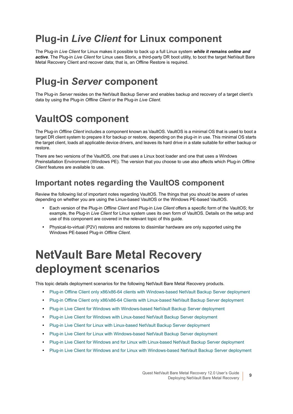# <span id="page-8-0"></span>**Plug-in** *Live Client* **for Linux component**

The Plug-in *Live Client* for Linux makes it possible to back up a full Linux system *while it remains online and active*. The Plug-in *Live Client* for Linux uses Storix, a third-party DR boot utility, to boot the target NetVault Bare Metal Recovery Client and recover data; that is, an Offline Restore is required.

## <span id="page-8-1"></span>**Plug-in** *Server* **component**

The Plug-in *Server* resides on the NetVault Backup Server and enables backup and recovery of a target client's data by using the Plug-in *Offline Client* or the Plug-in *Live Client*.

## <span id="page-8-2"></span>**VaultOS component**

The Plug-in *Offline Client* includes a component known as VaultOS. VaultOS is a minimal OS that is used to boot a target DR client system to prepare it for backup or restore, depending on the plug-in in use. This minimal OS starts the target client, loads all applicable device drivers, and leaves its hard drive in a state suitable for either backup or restore.

There are two versions of the VaultOS, one that uses a Linux boot loader and one that uses a Windows Preinstallation Environment (Windows PE). The version that you choose to use also affects which Plug-in *Offline Client* features are available to use.

### **Important notes regarding the VaultOS component**

Review the following list of important notes regarding VaultOS. The things that you should be aware of varies depending on whether you are using the Linux-based VaultOS or the Windows PE-based VaultOS.

- **•** Each version of the Plug-in *Offline Client* and Plug-in *Live Client* offers a specific form of the VaultOS; for example, the Plug-in *Live Client* for Linux system uses its own form of VaultOS. Details on the setup and use of this component are covered in the relevant topic of this guide.
- **•** Physical-to-virtual (P2V) restores and restores to dissimilar hardware are only supported using the Windows PE-based Plug-in *Offline Client*.

# <span id="page-8-3"></span>**NetVault Bare Metal Recovery deployment scenarios**

This topic details deployment scenarios for the following NetVault Bare Metal Recovery products.

- **•** [Plug-in Offline Client only x86/x86-64 clients with Windows-based NetVault Backup Server deployment](#page-9-0)
- **•** [Plug-in Offline Client only x86/x86-64 Clients with Linux-based NetVault Backup Server deployment](#page-10-0)
- **•** [Plug-in Live Client for Windows with Windows-based NetVault Backup Server deployment](#page-11-0)
- **•** [Plug-in Live Client for Windows with Linux-based NetVault Backup Server deployment](#page-12-0)
- **•** [Plug-in Live Client for Linux with Linux-based NetVault Backup Server deployment](#page-13-0)
- **•** [Plug-in Live Client for Linux with Windows-based NetVault Backup Server deployment](#page-14-0)
- **•** [Plug-in Live Client for Windows and for Linux with Linux-based NetVault Backup Server deployment](#page-15-0)
- **•** [Plug-in Live Client for Windows and for Linux with Windows-based NetVault Backup Server deployment](#page-16-0)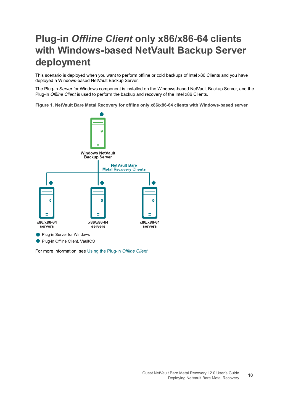## <span id="page-9-0"></span>**Plug-in** *Offline Client* **only x86/x86-64 clients with Windows-based NetVault Backup Server deployment**

This scenario is deployed when you want to perform offline or cold backups of Intel x86 Clients and you have deployed a Windows-based NetVault Backup Server.

The Plug-in *Server* for Windows component is installed on the Windows-based NetVault Backup Server, and the Plug-in *Offline Client* is used to perform the backup and recovery of the Intel x86 Clients.

**Figure 1. NetVault Bare Metal Recovery for offline only x86/x86-64 clients with Windows-based server**



For more information, see [Using the Plug-in](#page-17-2) *Offline Client*.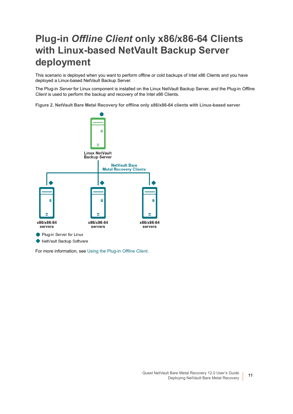## <span id="page-10-0"></span>**Plug-in** *Offline Client* **only x86/x86-64 Clients with Linux-based NetVault Backup Server deployment**

This scenario is deployed when you want to perform offline or cold backups of Intel x86 Clients and you have deployed a Linux-based NetVault Backup Server.

The Plug-in *Server* for Linux component is installed on the Linux NetVault Backup Server, and the Plug-in *Offline Client* is used to perform the backup and recovery of the Intel x86 Clients.

**Figure 2. NetVault Bare Metal Recovery for offline only x86/x86-64 clients with Linux-based server**



For more information, see [Using the Plug-in](#page-17-2) *Offline Client*.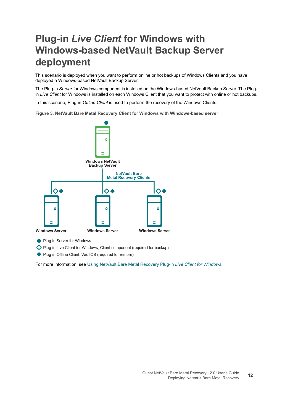## <span id="page-11-0"></span>**Plug-in** *Live Client* **for Windows with Windows-based NetVault Backup Server deployment**

This scenario is deployed when you want to perform online or hot backups of Windows Clients and you have deployed a Windows-based NetVault Backup Server.

The Plug-in *Server* for Windows component is installed on the Windows-based NetVault Backup Server. The Plugin *Live Client* for Windows is installed on each Windows Client that you want to protect with online or hot backups.

In this scenario, Plug-in *Offline Client* is used to perform the recovery of the Windows Clients.

**Figure 3. NetVault Bare Metal Recovery Client for Windows with Windows-based server**



Plug-in Server for Windows

Plug-in Live Client for Windows, Client component (required for backup)

◆ Plug-in Offline Client, VaultOS (required for restore)

For more information, see [Using NetVault Bare Metal Recovery Plug-in](#page-43-2) *Live Client for Windows*.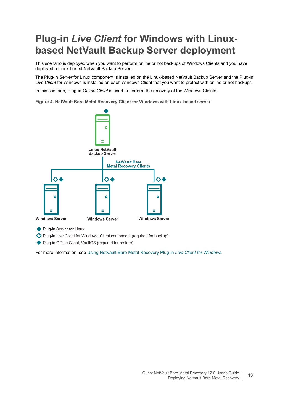## <span id="page-12-0"></span>**Plug-in** *Live Client* **for Windows with Linuxbased NetVault Backup Server deployment**

This scenario is deployed when you want to perform online or hot backups of Windows Clients and you have deployed a Linux-based NetVault Backup Server.

The Plug-in *Server* for Linux component is installed on the Linux-based NetVault Backup Server and the Plug-in *Live Client* for Windows is installed on each Windows Client that you want to protect with online or hot backups.

In this scenario, Plug-in *Offline Client* is used to perform the recovery of the Windows Clients.

**Figure 4. NetVault Bare Metal Recovery Client for Windows with Linux-based server**



Plug-in Server for Linux

Plug-in Live Client for Windows, Client component (required for backup)

◆ Plug-in Offline Client, VaultOS (required for restore)

For more information, see [Using NetVault Bare Metal Recovery Plug-in](#page-43-2) *Live Client for Windows*.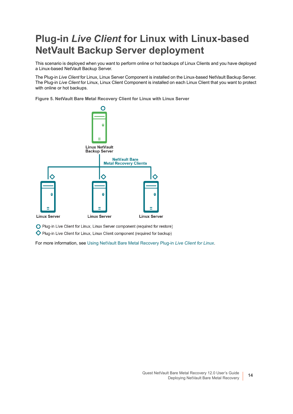## <span id="page-13-0"></span>**Plug-in** *Live Client* **for Linux with Linux-based NetVault Backup Server deployment**

This scenario is deployed when you want to perform online or hot backups of Linux Clients and you have deployed a Linux-based NetVault Backup Server.

The Plug-in *Live Client* for Linux, Linux Server Component is installed on the Linux-based NetVault Backup Server. The Plug-in *Live Client* for Linux, Linux Client Component is installed on each Linux Client that you want to protect with online or hot backups.

**Figure 5. NetVault Bare Metal Recovery Client for Linux with Linux Server**



O Plug-in Live Client for Linux, Linux Server component (required for restore)

Plug-in Live Client for Linux, Linux Client component (required for backup)

For more information, see [Using NetVault Bare Metal Recovery Plug-in](#page-66-2) *Live Client for Linux*.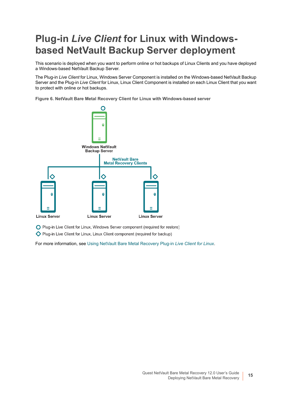## <span id="page-14-0"></span>**Plug-in** *Live Client* **for Linux with Windowsbased NetVault Backup Server deployment**

This scenario is deployed when you want to perform online or hot backups of Linux Clients and you have deployed a Windows-based NetVault Backup Server.

The Plug-in *Live Client* for Linux, Windows Server Component is installed on the Windows-based NetVault Backup Server and the Plug-in *Live Client* for Linux, Linux Client Component is installed on each Linux Client that you want to protect with online or hot backups.

**Figure 6. NetVault Bare Metal Recovery Client for Linux with Windows-based server**



O Plug-in Live Client for Linux, Windows Server component (required for restore)

Plug-in Live Client for Linux, Linux Client component (required for backup)

For more information, see [Using NetVault Bare Metal Recovery Plug-in](#page-66-2) *Live Client for Linux*.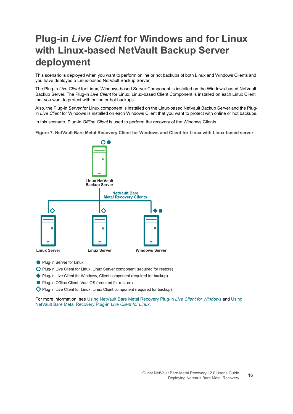## <span id="page-15-0"></span>**Plug-in** *Live Client* **for Windows and for Linux with Linux-based NetVault Backup Server deployment**

This scenario is deployed when you want to perform online or hot backups of both Linux and Windows Clients and you have deployed a Linux-based NetVault Backup Server.

The Plug-in *Live Client* for Linux, Windows-based Server Component is installed on the Windows-based NetVault Backup Server. The Plug-in *Live Client* for Linux, Linux-based Client Component is installed on each Linux Client that you want to protect with online or hot backups.

Also, the Plug-in *Server* for Linux component is installed on the Linux-based NetVault Backup Server and the Plugin *Live Client* for Windows is installed on each Windows Client that you want to protect with online or hot backups.

In this scenario, Plug-in *Offline Client* is used to perform the recovery of the Windows Clients.

**Figure 7. NetVault Bare Metal Recovery Client for Windows and Client for Linux with Linux-based server**



- Plug-in Server for Linux
- O Plug-in Live Client for Linux, Linux Server component (required for restore)
- ◆ Plug-in Live Client for Windows, Client component (required for backup)
- Plug-in Offline Client, VaultOS (required for restore)
- Plug-in Live Client for Linux, Linux Client component (required for backup)

For more information, see [Using NetVault Bare Metal Recovery Plug-in](#page-43-2) *Live Client for Windows* and [Using](#page-66-2)  [NetVault Bare Metal Recovery Plug-in](#page-66-2) *Live Client for Linux*.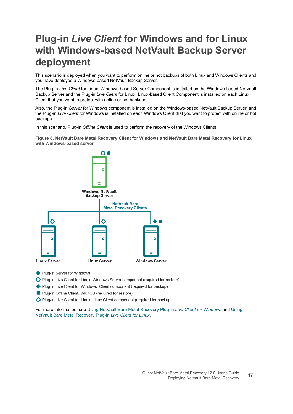## <span id="page-16-0"></span>**Plug-in** *Live Client* **for Windows and for Linux with Windows-based NetVault Backup Server deployment**

This scenario is deployed when you want to perform online or hot backups of both Linux and Windows Clients and you have deployed a Windows-based NetVault Backup Server.

The Plug-in *Live Client* for Linux, Windows-based Server Component is installed on the Windows-based NetVault Backup Server and the Plug-in *Live Client* for Linux, Linux-based Client Component is installed on each Linux Client that you want to protect with online or hot backups.

Also, the Plug-in *Server* for Windows component is installed on the Windows-based NetVault Backup Server, and the Plug-in *Live Client* for Windows is installed on each Windows Client that you want to protect with online or hot backups.

In this scenario, Plug-in *Offline Client* is used to perform the recovery of the Windows Clients.

**Figure 8. NetVault Bare Metal Recovery Client for Windows and NetVault Bare Metal Recovery for Linux with Windows-based server**



- Plug-in Server for Windows
- O Plug-in Live Client for Linux, Windows Server component (required for restore)
- ◆ Plug-in Live Client for Windows, Client component (required for backup)
- Plug-in Offline Client, VaultOS (required for restore)
- Plug-in Live Client for Linux, Linux Client component (required for backup)

For more information, see [Using NetVault Bare Metal Recovery Plug-in](#page-43-2) *Live Client for Windows* and [Using](#page-66-2)  [NetVault Bare Metal Recovery Plug-in](#page-66-2) *Live Client for Linux*.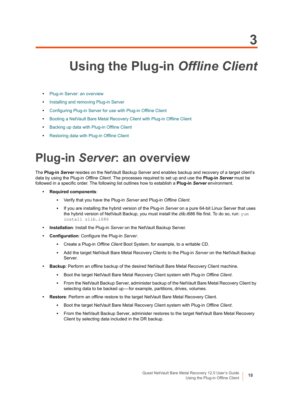# <span id="page-17-2"></span><span id="page-17-0"></span>**Using the Plug-in** *Offline Client*

- **[Plug-in Server: an overview](#page-17-1)**
- **•** [Installing and removing Plug-in Server](#page-18-0)
- **•** [Configuring Plug-in Server for use with Plug-in Offline Client](#page-19-2)
- **•** [Booting a NetVault Bare Metal Recovery Client with Plug-in Offline Client](#page-23-0)
- **•** [Backing up data with Plug-in Offline Client](#page-29-0)
- **•** [Restoring data with Plug-in Offline Client](#page-33-0)

# <span id="page-17-1"></span>**Plug-in** *Server***: an overview**

The **Plug-in** *Server* resides on the NetVault Backup Server and enables backup and recovery of a target client's data by using the Plug-in *Offline Client*. The processes required to set up and use the **Plug-in** *Server* must be followed in a specific order. The following list outlines how to establish a **Plug-in** *Server* environment.

- **Required components**:
	- **▪** Verify that you have the Plug-in *Server* and Plug-in *Offline Client*.
	- **▪** If you are installing the hybrid version of the Plug-in *Server* on a pure 64-bit Linux Server that uses the hybrid version of NetVault Backup, you must install the zlib.i686 file first. To do so, run: yum install zlib.i686
- **Installation**: Install the Plug-in *Server* on the NetVault Backup Server.
- **Configuration**: Configure the Plug-in *Server*.
	- **▪** Create a Plug-in *Offline Client* Boot System, for example, to a writable CD.
	- **▪** Add the target NetVault Bare Metal Recovery Clients to the Plug-in *Server* on the NetVault Backup Server.
- **Backup**: Perform an offline backup of the desired NetVault Bare Metal Recovery Client machine.
	- **▪** Boot the target NetVault Bare Metal Recovery Client system with Plug-in *Offline Client*.
	- **▪** From the NetVault Backup Server, administer backup of the NetVault Bare Metal Recovery Client by selecting data to be backed up-for example, partitions, drives, volumes.
- **Restore**: Perform an offline restore to the target NetVault Bare Metal Recovery Client.
	- **▪** Boot the target NetVault Bare Metal Recovery Client system with Plug-in *Offline Client*.
	- **▪** From the NetVault Backup Server, administer restores to the target NetVault Bare Metal Recovery Client by selecting data included in the DR backup.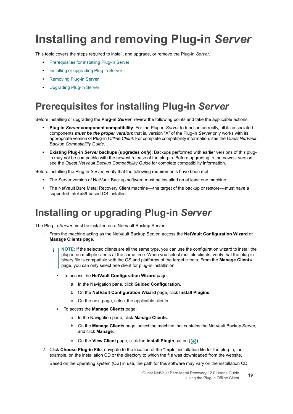# <span id="page-18-0"></span>**Installing and removing Plug-in** *Server*

This topic covers the steps required to install, and upgrade, or remove the Plug-in *Server*.

- **•** [Prerequisites for installing Plug-in Server](#page-18-1)
- **•** [Installing or upgrading Plug-in Server](#page-18-2)
- **•** [Removing Plug-in Server](#page-19-0)
- **•** [Upgrading Plug-in Server](#page-19-1)

### <span id="page-18-1"></span>**Prerequisites for installing Plug-in** *Server*

Before installing or upgrading the **Plug-in** *Server*, review the following points and take the applicable actions:

- **Plug-in** *Server* **component compatibility**: For the Plug-in *Server* to function correctly, all its associated components *must be the proper version*; that is, version "X" of the Plug-in *Server* only works with its appropriate version of Plug-in *Offline Client*. For complete compatibility information, see the *Quest NetVault Backup Compatibility Guide*.
- **Existing Plug-in** *Server* **backups (upgrades** *only***)**: Backups performed with earlier versions of this plugin may not be compatible with the newest release of the plug-in. Before upgrading to the newest version, see the *Quest NetVault Backup Compatibility Guide* for complete compatibility information.

Before installing the Plug-in *Server*, verify that the following requirements have been met:

- **•** The Server version of NetVault Backup software must be installed on at least one machine.
- The NetVault Bare Metal Recovery Client machine—the target of the backup or restore—must have a supported Intel x86-based OS installed.

### <span id="page-18-2"></span>**Installing or upgrading Plug-in** *Server*

The Plug-in *Server* must be installed on a NetVault Backup Server.

- 1 From the machine acting as the NetVault Backup Server, access the **NetVault Configuration Wizard** or **Manage Clients** page.
	- **NOTE:** If the selected clients are all the same type, you can use the configuration wizard to install the ÷. plug-in on multiple clients at the same time. When you select multiple clients, verify that the plug-in binary file is compatible with the OS and platforms of the target clients. From the **Manage Clients**  page, you can only select one client for plug-in installation.
		- **▪** To access the **NetVault Configuration Wizard** page:
			- a In the Navigation pane, click **Guided Configuration**.
			- b On the **NetVault Configuration Wizard** page, click **Install Plugins**.
			- c On the next page, select the applicable clients.
		- **▪** To access the **Manage Clients** page:
			- a In the Navigation pane, click **Manage Clients**.
			- b On the **Manage Clients** page, select the machine that contains the NetVault Backup Server, and click **Manage**.
			- c On the **View Client** page, click the **Install Plugin** button ( $\left( \frac{1}{2} \right)$ ).
- 2 Click **Choose Plug-in File**, navigate to the location of the **".npk"** installation file for the plug-in, for example, on the installation CD or the directory to which the file was downloaded from the website.

Based on the operating system (OS) in use, the path for this software may vary on the installation CD.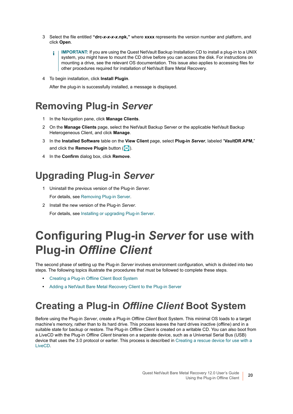- 3 Select the file entitled **"drc-***x-x-x-x***.npk,"** where **xxxx** represents the version number and platform, and click **Open**.
	- **IMPORTANT:** If you are using the Quest NetVault Backup Installation CD to install a plug-in to a UNIX ì system, you might have to mount the CD drive before you can access the disk. For instructions on mounting a drive, see the relevant OS documentation. This issue also applies to accessing files for other procedures required for installation of NetVault Bare Metal Recovery.
- 4 To begin installation, click **Install Plugin**.

After the plug-in is successfully installed, a message is displayed.

### <span id="page-19-0"></span>**Removing Plug-in** *Server*

- 1 In the Navigation pane, click **Manage Clients**.
- 2 On the **Manage Clients** page, select the NetVault Backup Server or the applicable NetVault Backup Heterogeneous Client, and click **Manage**.
- 3 In the **Installed Software** table on the **View Client** page, select **Plug-in** *Server*, labeled "**VaultDR APM,**" and click the **Remove Plugin** button ( $\Box$ ).
- 4 In the **Confirm** dialog box, click **Remove**.

## <span id="page-19-1"></span>**Upgrading Plug-in** *Server*

- 1 Uninstall the previous version of the Plug-in *Server*. For details, see [Removing Plug-in Server.](#page-19-0)
- 2 Install the new version of the Plug-in *Server*. For details, see [Installing or upgrading Plug-in Server.](#page-18-2)

# <span id="page-19-2"></span>**Configuring Plug-in** *Server* **for use with Plug-in** *Offline Client*

The second phase of setting up the Plug-in *Server* involves environment configuration, which is divided into two steps. The following topics illustrate the procedures that must be followed to complete these steps.

- **•** [Creating a Plug-in Offline Client Boot System](#page-19-3)
- **•** [Adding a NetVault Bare Metal Recovery Client to the Plug-in Server](#page-22-0)

### <span id="page-19-3"></span>**Creating a Plug-in** *Offline Client* **Boot System**

Before using the Plug-in *Server*, create a Plug-in *Offline Client* Boot System. This minimal OS loads to a target machine's memory, rather than to its hard drive. This process leaves the hard drives inactive (offline) and in a suitable state for backup or restore. The Plug-in *Offline Client* is created on a writable CD. You can also boot from a LiveCD with the Plug-in *Offline Client* binaries on a separate device, such as a Universal Serial Bus (USB) device that uses the 3.0 protocol or earlier. This process is described in [Creating a rescue device for use with a](#page-21-0)  [LiveCD](#page-21-0).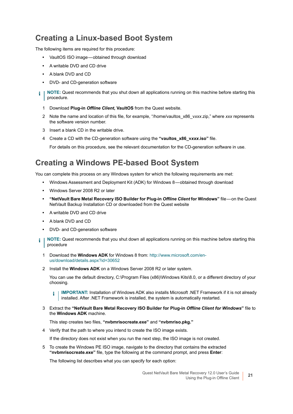### **Creating a Linux-based Boot System**

The following items are required for this procedure:

- **•** VaultOS ISO image obtained through download
- **•** A writable DVD and CD drive
- **•** A blank DVD and CD
- **•** DVD- and CD-generation software
- **NOTE:** Quest recommends that you shut down all applications running on this machine before starting this i procedure.
	- 1 Download **Plug-in** *Offline Client***, VaultOS** from the Quest website.
	- 2 Note the name and location of this file, for example, "/home/vaultos\_x86\_v*xxx*.zip," where *xxx* represents the software version number.
	- 3 Insert a blank CD in the writable drive.
	- 4 Create a CD with the CD-generation software using the **"vaultos\_x86\_v***xxx***.iso"** file.

For details on this procedure, see the relevant documentation for the CD-generation software in use.

#### **Creating a Windows PE-based Boot System**

You can complete this process on any Windows system for which the following requirements are met:

- **•** Windows Assessment and Deployment Kit (ADK) for Windows 8 obtained through download
- **•** Windows Server 2008 R2 or later
- **"NetVault Bare Metal Recovery ISO Builder for Plug-in** *Offline Client* **for Windows"** file on the Quest NetVault Backup Installation CD or downloaded from the Quest website
- **•** A writable DVD and CD drive
- **•** A blank DVD and CD
- **•** DVD- and CD-generation software
- **NOTE:** Quest recommends that you shut down all applications running on this machine before starting this ÷ procedure
	- 1 Download the **Windows ADK** for Windows 8 from: [http://www.microsoft.com/en](http://www.microsoft.com/en-us/download/details.aspx?id=30652)[us/download/details.aspx?id=30652](http://www.microsoft.com/en-us/download/details.aspx?id=30652)
	- 2 Install the **Windows ADK** on a Windows Server 2008 R2 or later system.

You can use the default directory, C:\Program Files (x86)\Windows Kits\8.0, or a different directory of your choosing.

**IMPORTANT:** Installation of Windows ADK also installs Microsoft .NET Framework if it is not already i installed. After .NET Framework is installed, the system is automatically restarted.

3 Extract the **"NetVault Bare Metal Recovery ISO Builder for Plug-in** *Offline Client for Windows***"** file to the **Windows ADK** machine.

This step creates two files, **"nvbmrisocreate.exe"** and **"nvbmriso.pkg."**

4 Verify that the path to where you intend to create the ISO image exists.

If the directory does not exist when you run the next step, the ISO image is not created.

<span id="page-20-0"></span>5 To create the Windows PE ISO image, navigate to the directory that contains the extracted **"nvbmrisocreate.exe"** file, type the following at the command prompt, and press **Enter**:

The following list describes what you can specify for each option: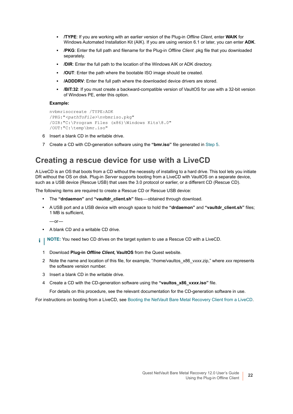- **▪ /TYPE**: If you are working with an earlier version of the Plug-in *Offline Client*, enter **WAIK** for Windows Automated Installation Kit (AIK). If you are using version 6.1 or later, you can enter **ADK**.
- **▪ /PKG**: Enter the full path and filename for the Plug-in *Offline Client* .pkg file that you downloaded separately.
- **▪ /DIR**: Enter the full path to the location of the Windows AIK or ADK directory.
- **▪ /OUT**: Enter the path where the bootable ISO image should be created.
- **/ADDDRV**: Enter the full path where the downloaded device drivers are stored.
- **/BIT:32:** If you must create a backward-compatible version of VaultOS for use with a 32-bit version of Windows PE, enter this option.

#### **Example:**

```
nvbmrisocreate /TYPE:ADK
/PKG:"<pathToFile>\nvbmriso.pkg"
/DIR:"C:\Program Files (x86)\Windows Kits\8.0"
/OUT:"C:\temp\bmr.iso"
```
- 6 Insert a blank CD in the writable drive.
- 7 Create a CD with CD-generation software using the **"bmr.iso"** file generated in [Step 5.](#page-20-0)

#### <span id="page-21-0"></span>**Creating a rescue device for use with a LiveCD**

A LiveCD is an OS that boots from a CD without the necessity of installing to a hard drive. This tool lets you initiate DR without the OS on disk. Plug-in *Server* supports booting from a LiveCD with VaultOS on a separate device, such as a USB device (Rescue USB) that uses the 3.0 protocol or earlier, or a different CD (Rescue CD).

The following items are required to create a Rescue CD or Rescue USB device:

- **•** The **"drdaemon"** and **"vaultdr\_client.sh"** files obtained through download.
- **•** A USB port and a USB device with enough space to hold the **"drdaemon"** and **"vaultdr\_client.sh"** files; 1 MB is sufficient,

 $-$ or $-$ 

- **•** A blank CD and a writable CD drive.
- **i** | NOTE: You need two CD drives on the target system to use a Rescue CD with a LiveCD.
	- 1 Download **Plug-in** *Offline Client***, VaultOS** from the Quest website.
	- 2 Note the name and location of this file, for example, "/home/vaultos\_x86\_v*xxx*.zip," where *xxx* represents the software version number.
	- 3 Insert a blank CD in the writable drive.
	- 4 Create a CD with the CD-generation software using the **"vaultos\_x86\_v***xxx***.iso"** file.

For details on this procedure, see the relevant documentation for the CD-generation software in use.

For instructions on booting from a LiveCD, see [Booting the NetVault Bare Metal Recovery Client from a LiveCD](#page-28-0).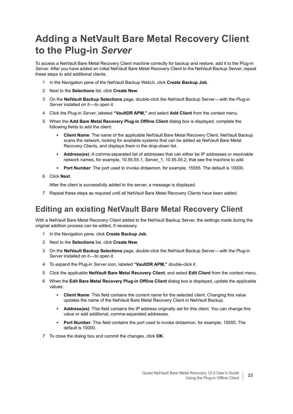## <span id="page-22-0"></span>**Adding a NetVault Bare Metal Recovery Client to the Plug-in** *Server*

To access a NetVault Bare Metal Recovery Client machine correctly for backup and restore, add it to the Plug-in *Server*. After you have added an initial NetVault Bare Metal Recovery Client to the NetVault Backup Server, repeat these steps to add additional clients.

- 1 In the Navigation pane of the NetVault Backup WebUI, click **Create Backup Job**.
- 2 Next to the **Selections** list, click **Create New**.
- 3 On the **NetVault Backup Selections** page, double-click the NetVault Backup Server with the Plug-in Server installed on it-to open it.
- 4 Click the Plug-in *Server*, labeled **"VaultDR APM,"** and select **Add Client** from the context menu.
- 5 When the **Add Bare Metal Recovery Plug-in Offline Client** dialog box is displayed, complete the following fields to add the client:
	- **▪ Client Name**: The name of the applicable NetVault Bare Metal Recovery Client. NetVault Backup scans the network, looking for available systems that can be added as NetVault Bare Metal Recovery Clients, and displays them in the drop-down list.
	- **▪ Address(es)**: A comma-separated list of addresses that can either be IP addresses or resolvable network names, for example, 10.55.55.1, Server 1, 10.55.55.2, that see the machine to add.
	- **▪ Port Number**: The port used to invoke drdaemon, for example, 15555. The default is 10000.
- 6 Click **Next**.

After the client is successfully added to the server, a message is displayed.

7 Repeat these steps as required until all NetVault Bare Metal Recovery Clients have been added.

### <span id="page-22-1"></span>**Editing an existing NetVault Bare Metal Recovery Client**

With a NetVault Bare Metal Recovery Client added to the NetVault Backup Server, the settings made during the original addition process can be edited, if necessary.

- 1 In the Navigation pane, click **Create Backup Job**.
- 2 Next to the **Selections** list, click **Create New**.
- 3 On the **NetVault Backup Selections** page, double-click the NetVault Backup Server with the Plug-in Server installed on it-to open it.
- 4 To expand the Plug-in *Server* icon, labeled **"VaultDR APM,"** double-click it.
- 5 Click the applicable **NetVault Bare Metal Recovery Client**, and select **Edit Client** from the context menu.
- 6 When the **Edit Bare Metal Recovery Plug-in Offline Client** dialog box is displayed, update the applicable values:
	- **▪ Client Name**: This field contains the current name for the selected client. Changing this value updates the name of the NetVault Bare Metal Recovery Client in NetVault Backup.
	- **▪ Address(es)**: This field contains the IP address originally set for this client. You can change this value or add additional, comma-separated addresses.
	- **▪ Port Number**: This field contains the port used to invoke drdaemon, for example, 15555. The default is 10000.
- 7 To close the dialog box and commit the changes, click **OK**.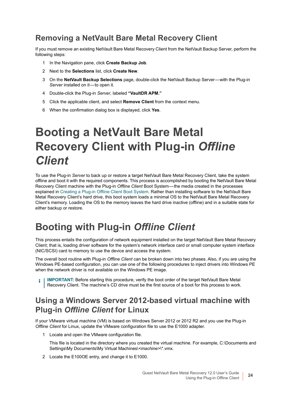### **Removing a NetVault Bare Metal Recovery Client**

If you must remove an existing NetVault Bare Metal Recovery Client from the NetVault Backup Server, perform the following steps:

- 1 In the Navigation pane, click **Create Backup Job**.
- 2 Next to the **Selections** list, click **Create New**.
- 3 On the **NetVault Backup Selections** page, double-click the NetVault Backup Server with the Plug-in Server installed on it-to open it.
- 4 Double-click the Plug-in *Server*, labeled **"VaultDR APM."**
- 5 Click the applicable client, and select **Remove Client** from the context menu.
- 6 When the confirmation dialog box is displayed, click **Yes**.

# <span id="page-23-0"></span>**Booting a NetVault Bare Metal Recovery Client with Plug-in** *Offline Client*

To use the Plug-in *Server* to back up or restore a target NetVault Bare Metal Recovery Client, take the system offline and boot it with the required components. This process is accomplished by booting the NetVault Bare Metal Recovery Client machine with the Plug-in *Offline Client* Boot System — the media created in the processes explained in [Creating a Plug-in Offline Client Boot System.](#page-19-3) Rather than installing software to the NetVault Bare Metal Recovery Client's hard drive, this boot system loads a minimal OS to the NetVault Bare Metal Recovery Client's memory. Loading the OS to the memory leaves the hard drive inactive (offline) and in a suitable state for either backup or restore.

### <span id="page-23-1"></span>**Booting with Plug-in** *Offline Client*

This process entails the configuration of network equipment installed on the target NetVault Bare Metal Recovery Client; that is, loading driver software for the system's network interface card or small computer system interface (NIC/SCSI) card to memory to use the device and access the system.

The overall boot routine with Plug-in *Offline Client* can be broken down into two phases. Also, if you are using the Windows PE-based configuration, you can use one of the following procedures to inject drivers into Windows PE when the network driver is not available on the Windows PE image.

**i** | IMPORTANT: Before starting this procedure, verify the boot order of the target NetVault Bare Metal Recovery Client. The machine's CD drive must be the first source of a boot for this process to work.

### <span id="page-23-2"></span>**Using a Windows Server 2012-based virtual machine with Plug-in** *Offline Client* **for Linux**

If your VMware virtual machine (VM) is based on Windows Server 2012 or 2012 R2 and you use the Plug-in *Offline Client* for Linux, update the VMware configuration file to use the E1000 adapter.

1 Locate and open the VMware configuration file.

This file is located in the directory where you created the virtual machine. For example, C:\Documents and Settings\My Documents\My Virtual Machines\*<machine>*\\*.vmx.

2 Locate the E100OE entry, and change it to E1000.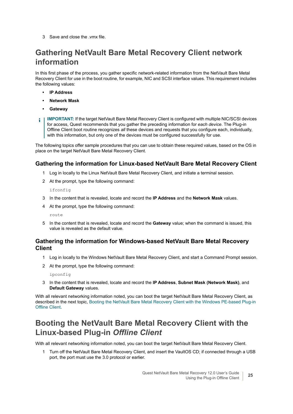3 Save and close the .vmx file.

### **Gathering NetVault Bare Metal Recovery Client network information**

In this first phase of the process, you gather specific network-related information from the NetVault Bare Metal Recovery Client for use in the boot routine, for example, NIC and SCSI interface values. This requirement includes the following values:

- **IP Address**
- **Network Mask**
- **Gateway**
- **IMPORTANT:** If the target NetVault Bare Metal Recovery Client is configured with multiple NIC/SCSI devices ÷ for access, Quest recommends that you gather the preceding information for *each device*. The Plug-in Offline Client boot routine recognizes *all* these devices and requests that you configure each, individually, with this information, but only one of the devices must be configured successfully for use.

The following topics offer sample procedures that you can use to obtain these required values, based on the OS in place on the target NetVault Bare Metal Recovery Client.

#### **Gathering the information for Linux-based NetVault Bare Metal Recovery Client**

- 1 Log in locally to the Linux NetVault Bare Metal Recovery Client, and initiate a terminal session.
- 2 At the prompt, type the following command:

ifconfig

- 3 In the content that is revealed, locate and record the **IP Address** and the **Network Mask** values.
- 4 At the prompt, type the following command:

route

5 In the content that is revealed, locate and record the **Gateway** value; when the command is issued, this value is revealed as the default value.

#### **Gathering the information for Windows-based NetVault Bare Metal Recovery Client**

- 1 Log in locally to the Windows NetVault Bare Metal Recovery Client, and start a Command Prompt session.
- 2 At the prompt, type the following command:

ipconfig

3 In the content that is revealed, locate and record the **IP Address**, **Subnet Mask (Network Mask)**, and **Default Gateway** values.

With all relevant networking information noted, you can boot the target NetVault Bare Metal Recovery Client, as described in the next topic, [Booting the NetVault Bare Metal Recovery Client with the Windows PE-based Plug-in](#page-25-0)  [Offline Client](#page-25-0).

### **Booting the NetVault Bare Metal Recovery Client with the Linux-based Plug-in** *Offline Client*

With all relevant networking information noted, you can boot the target NetVault Bare Metal Recovery Client.

1 Turn off the NetVault Bare Metal Recovery Client, and insert the VaultOS CD; if connected through a USB port, the port must use the 3.0 protocol or earlier.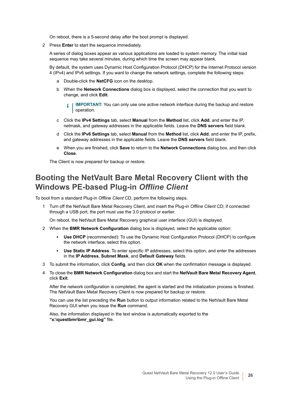On reboot, there is a 5-second delay after the boot prompt is displayed.

2 Press **Enter** to start the sequence immediately.

A series of dialog boxes appear as various applications are loaded to system memory. The initial load sequence may take several minutes, during which time the screen may appear blank.

By default, the system uses Dynamic Host Configuration Protocol (DHCP) for the Internet Protocol version 4 (IPv4) and IPv6 settings. If you want to change the network settings, complete the following steps:

- a Double-click the **NetCFG** icon on the desktop.
- b When the **Network Connections** dialog box is displayed, select the connection that you want to change, and click **Edit**.
	- **IMPORTANT:** You can only use one active network interface during the backup and restore operation.
- c Click the **IPv4 Settings** tab, select **Manual** from the **Method** list, click **Add**, and enter the IP, netmask, and gateway addresses in the applicable fields. Leave the **DNS servers** field blank.
- d Click the **IPv6 Settings** tab, select **Manual** from the **Method** list, click **Add**, and enter the IP, prefix, and gateway addresses in the applicable fields. Leave the **DNS servers** field blank.
- e When you are finished, click **Save** to return to the **Network Connections** dialog box, and then click **Close**.

The Client is now prepared for backup or restore.

#### <span id="page-25-0"></span>**Booting the NetVault Bare Metal Recovery Client with the Windows PE-based Plug-in** *Offline Client*

To boot from a standard Plug-in *Offline Client* CD, perform the following steps.

1 Turn off the NetVault Bare Metal Recovery Client, and insert the Plug-in *Offline Client* CD; if connected through a USB port, the port must use the 3.0 protocol or earlier.

On reboot, the NetVault Bare Metal Recovery graphical user interface (GUI) is displayed.

- <span id="page-25-1"></span>2 When the **BMR Network Configuration** dialog box is displayed, select the applicable option:
	- **Use DHCP** (recommended): To use the Dynamic Host Configuration Protocol (DHCP) to configure the network interface, select this option.
	- **▪ Use Static IP Address**: To enter specific IP addresses, select this option, and enter the addresses in the **IP Address**, **Subnet Mask**, and **Default Gateway** fields.
- <span id="page-25-2"></span>3 To submit the information, click **Config**, and then click **OK** when the confirmation message is displayed.
- 4 To close the **BMR Network Configuration** dialog box and start the **NetVault Bare Metal Recovery Agent**, click **Exit**.

After the network configuration is completed, the agent is started and the initialization process is finished. The NetVault Bare Metal Recovery Client is now prepared for backup or restore.

You can use the list preceding the **Run** button to output information related to the NetVault Bare Metal Recovery GUI when you issue the **Run** command.

Also, the information displayed in the text window is automatically exported to the **"x:\questbmr\bmr\_gui.log"** file.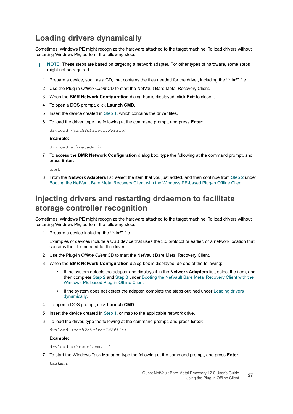### <span id="page-26-1"></span>**Loading drivers dynamically**

Sometimes, Windows PE might recognize the hardware attached to the target machine. To load drivers without restarting Windows PE, perform the following steps.

- <span id="page-26-0"></span>**NOTE:** These steps are based on targeting a network adapter. For other types of hardware, some steps i. might not be required.
	- 1 Prepare a device, such as a CD, that contains the files needed for the driver, including the **"\*.inf"** file.
	- 2 Use the Plug-in *Offline Client* CD to start the NetVault Bare Metal Recovery Client.
	- 3 When the **BMR Network Configuration** dialog box is displayed, click **Exit** to close it.
	- 4 To open a DOS prompt, click **Launch CMD**.
	- 5 Insert the device created in [Step 1](#page-26-0), which contains the driver files.
	- 6 To load the driver, type the following at the command prompt, and press **Enter**:

drvload *<pathToDriverINFfile>*

#### **Example:**

drvload a:\netadm.inf

7 To access the **BMR Network Configuration** dialog box, type the following at the command prompt, and press **Enter**:

qnet

8 From the **Network Adapters** list, select the item that you just added, and then continue from [Step 2](#page-25-1) under [Booting the NetVault Bare Metal Recovery Client with the Windows PE-based Plug-in Offline Client](#page-25-0).

#### **Injecting drivers and restarting drdaemon to facilitate storage controller recognition**

Sometimes, Windows PE might recognize the hardware attached to the target machine. To load drivers without restarting Windows PE, perform the following steps.

<span id="page-26-2"></span>1 Prepare a device including the **"\*.inf"** file.

Examples of devices include a USB device that uses the 3.0 protocol or earlier, or a network location that contains the files needed for the driver.

- 2 Use the Plug-in *Offline Client* CD to start the NetVault Bare Metal Recovery Client.
- 3 When the **BMR Network Configuration** dialog box is displayed, do one of the following:
	- **▪** If the system detects the adapter and displays it in the **Network Adapters** list, select the item, and then complete [Step 2](#page-25-1) and [Step 3](#page-25-2) under [Booting the NetVault Bare Metal Recovery Client with the](#page-25-0)  [Windows PE-based Plug-in Offline Client](#page-25-0)
	- If the system does not detect the adapter, complete the steps outlined under Loading drivers [dynamically.](#page-26-1)
- 4 To open a DOS prompt, click **Launch CMD**.
- 5 Insert the device created in [Step 1](#page-26-2), or map to the applicable network drive.
- 6 To load the driver, type the following at the command prompt, and press **Enter**:

drvload *<pathToDriverINFfile>*

**Example:**

drvload a:\cpqcissm.inf

7 To start the Windows Task Manager, type the following at the command prompt, and press **Enter**:

taskmgr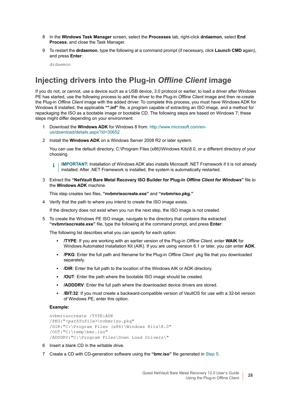- 8 In the **Windows Task Manager** screen, select the **Processes** tab, right-click **drdaemon**, select **End Process**, and close the Task Manager.
- 9 To restart the **drdaemon**, type the following at a command prompt (if necessary, click **Launch CMD** again), and press **Enter**:

drdaemon

### **Injecting drivers into the Plug-in** *Offline Client* **image**

If you do not, or cannot, use a device such as a USB device, 3.0 protocol or earlier, to load a driver after Windows PE has started, use the following process to add the driver to the Plug-in *Offline Client* image and then re-create the Plug-in *Offline Client* image with the added driver. To complete this process, you must have Windows ADK for Windows 8 installed, the applicable **"\*.inf"** file, a program capable of extracting an ISO image, and a method for repackaging the ISO as a bootable image or bootable CD. The following steps are based on Windows 7; these steps might differ depending on your environment.

- 1 Download the **Windows ADK** for Windows 8 from: [http://www.microsoft.com/en](http://www.microsoft.com/en-us/download/details.aspx?id=30652)[us/download/details.aspx?id=30652](http://www.microsoft.com/en-us/download/details.aspx?id=30652)
- 2 Install the **Windows ADK** on a Windows Server 2008 R2 or later system.

You can use the default directory, C:\Program Files (x86)\Windows Kits\8.0, or a different directory of your choosing.

**IMPORTANT:** Installation of Windows ADK also installs Microsoft .NET Framework if it is not already ì installed. After .NET Framework is installed, the system is automatically restarted.

3 Extract the **"NetVault Bare Metal Recovery ISO Builder for Plug-in** *Offline Client for Windows***"** file to the **Windows ADK** machine.

This step creates two files, **"nvbmrisocreate.exe"** and **"nvbmriso.pkg."**

4 Verify that the path to where you intend to create the ISO image exists.

If the directory does not exist when you run the next step, the ISO image is not created.

<span id="page-27-0"></span>5 To create the Windows PE ISO image, navigate to the directory that contains the extracted **"nvbmrisocreate.exe"** file, type the following at the command prompt, and press **Enter**:

The following list describes what you can specify for each option:

- **▪ /TYPE**: If you are working with an earlier version of the Plug-in *Offline Client*, enter **WAIK** for Windows Automated Installation Kit (AIK). If you are using version 6.1 or later, you can enter **ADK**.
- **▪ /PKG**: Enter the full path and filename for the Plug-in *Offline Client* .pkg file that you downloaded separately.
- **▪ /DIR**: Enter the full path to the location of the Windows AIK or ADK directory.
- **▪ /OUT**: Enter the path where the bootable ISO image should be created.
- **▪ /ADDDRV**: Enter the full path where the downloaded device drivers are stored.
- **/BIT:32**: If you must create a backward-compatible version of VaultOS for use with a 32-bit version of Windows PE, enter this option.

#### **Example:**

```
nvbmrisocreate /TYPE:ADK
/PKG:"<pathToFile>\nvbmriso.pkg"
/DIR:"C:\Program Files (x86)\Windows Kits\8.0"
/OUT:"C:\temp\bmr.iso"
/ADDDRV:"C:\Program Files\Down Load Drivers\"
```
- 6 Insert a blank CD in the writable drive.
- 7 Create a CD with CD-generation software using the **"bmr.iso"** file generated in [Step 5.](#page-27-0)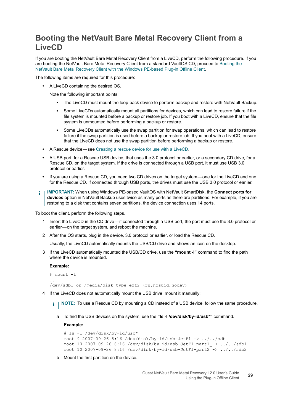#### <span id="page-28-0"></span>**Booting the NetVault Bare Metal Recovery Client from a LiveCD**

If you are booting the NetVault Bare Metal Recovery Client from a LiveCD, perform the following procedure. If you are booting the NetVault Bare Metal Recovery Client from a standard VaultOS CD, proceed to [Booting the](#page-25-0)  [NetVault Bare Metal Recovery Client with the Windows PE-based Plug-in Offline Client](#page-25-0).

The following items are required for this procedure:

**•** A LiveCD containing the desired OS.

Note the following important points:

- **▪** The LiveCD must mount the loop-back device to perform backup and restore with NetVault Backup.
- Some LiveCDs automatically mount all partitions for devices, which can lead to restore failure if the file system is mounted before a backup or restore job. If you boot with a LiveCD, ensure that the file system is unmounted before performing a backup or restore.
- **■** Some LiveCDs automatically use the swap partition for swap operations, which can lead to restore failure if the swap partition is used before a backup or restore job. If you boot with a LiveCD, ensure that the LiveCD does not use the swap partition before performing a backup or restore.
- **•** A Rescue device see [Creating a rescue device for use with a LiveCD](#page-21-0).
- **•** A USB port, for a Rescue USB device, that uses the 3.0 protocol or earlier, or a secondary CD drive, for a Rescue CD, on the target system. If the drive is connected through a USB port, it must use USB 3.0 protocol or earlier.
- **•** If you are using a Rescue CD, you need two CD drives on the target system one for the LiveCD and one for the Rescue CD. If connected through USB ports, the drives must use the USB 3.0 protocol or earlier.
- **IMPORTANT:** When using Windows PE-based VaultOS with NetVault SmartDisk, the **Connect ports for**  ÷ **devices** option in NetVault Backup uses twice as many ports as there are partitions. For example, if you are restoring to a disk that contains seven partitions, the device connection uses 14 ports.

To boot the client, perform the following steps.

- 1 Insert the LiveCD in the CD drive if connected through a USB port, the port must use the 3.0 protocol or earlier-on the target system, and reboot the machine.
- 2 After the OS starts, plug in the device, 3.0 protocol or earlier, or load the Rescue CD.

Usually, the LiveCD automatically mounts the USB/CD drive and shows an icon on the desktop.

3 If the LiveCD automatically mounted the USB/CD drive, use the **"mount -l"** command to find the path where the device is mounted.

**Example:**

```
# mount -l
...
/dev/sdb1 on /media/disk type ext2 (rw,nosuid,nodev)
```
4 If the LiveCD does not automatically mount the USB drive, mount it manually:

**NOTE:** To use a Rescue CD by mounting a CD instead of a USB device, follow the same procedure.i I

a To find the USB devices on the system, use the **"ls -l /dev/disk/by-id/usb\*"** command.

**Example:**

```
# ls -l /dev/disk/by-id/usb*
root 9 2007-09-26 8:16 /dev/disk/by-id/usb-JetFl -> ../../sdb
root 10 2007-09-26 8:16 /dev/disk/by-id/usb-JetFl-part1_-> ../../sdb1
root 10 2007-09-26 8:16 /dev/disk/by-id/usb-JetFl-part2 -> ../../sdb2
```
b Mount the first partition on the device.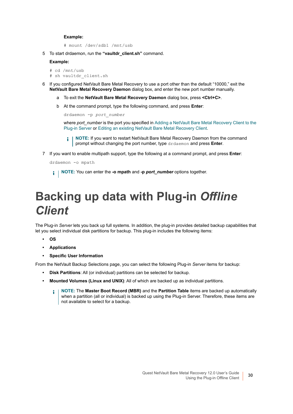#### **Example:**

# mount /dev/sdb1 /mnt/usb

5 To start drdaemon, run the **"vaultdr\_client.sh"** command.

#### **Example:**

```
# cd /mnt/usb
# sh vaultdr_client.sh
```
- 6 If you configured NetVault Bare Metal Recovery to use a port other than the default "10000," exit the **NetVault Bare Metal Recovery Daemon** dialog box, and enter the new port number manually.
	- a To exit the **NetVault Bare Metal Recovery Daemon** dialog box, press **<Ctrl+C>**.
	- b At the command prompt, type the following command, and press **Enter**:

```
drdaemon -p port_number
```
where *port* number is the port you specified in Adding a NetVault Bare Metal Recovery Client to the [Plug-in Server](#page-22-0) or [Editing an existing NetVault Bare Metal Recovery Client.](#page-22-1)

- **NOTE:** If you want to restart NetVault Bare Metal Recovery Daemon from the command prompt without changing the port number, type drdaemon and press **Enter**.
- 7 If you want to enable multipath support, type the following at a command prompt, and press **Enter**:

```
drdaemon -o mpath
```
**NOTE:** You can enter the **-o mpath** and **-p** *port\_number* options together.

# <span id="page-29-0"></span>**Backing up data with Plug-in** *Offline Client*

The Plug-in *Server* lets you back up full systems. In addition, the plug-in provides detailed backup capabilities that let you select individual disk partitions for backup. This plug-in includes the following items:

- **OS**
- **Applications**
- **Specific User Information**

From the NetVault Backup Selections page, you can select the following Plug-in *Server* items for backup:

- **Disk Partitions**: All (or individual) partitions can be selected for backup.
- **Mounted Volumes (Linux and UNIX)**: All of which are backed up as individual partitions.
	- **NOTE:** The **Master Boot Record (MBR)** and the **Partition Table** items are backed up automatically i l when a partition (all or individual) is backed up using the Plug-in Server. Therefore, these items are not available to select for a backup.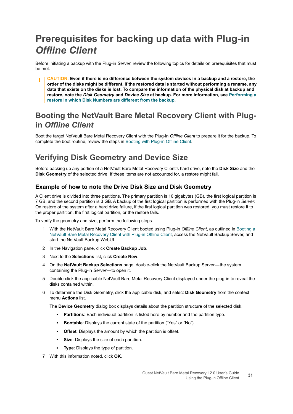# <span id="page-30-0"></span>**Prerequisites for backing up data with Plug-in**  *Offline Client*

Before initiating a backup with the Plug-in *Server*, review the following topics for details on prerequisites that must be met.

**CAUTION: Even if there is no difference between the system devices in a backup and a restore, the order of the disks might be different. If the restored data is started without performing a rename, any data that exists on the disks is lost. To compare the information of the physical disk at backup and restore, note the** *Disk Geometry* **and** *Device Size* **at backup. For more information, see [Performing a](#page-90-3)  [restore in which Disk Numbers are different from the backup.](#page-90-3)**

#### **Booting the NetVault Bare Metal Recovery Client with Plugin** *Offline Client*

Boot the target NetVault Bare Metal Recovery Client with the Plug-in *Offline Client* to prepare it for the backup. To complete the boot routine, review the steps in [Booting with Plug-in Offline Client](#page-23-1).

### <span id="page-30-1"></span>**Verifying Disk Geometry and Device Size**

Before backing up any portion of a NetVault Bare Metal Recovery Client's hard drive, note the **Disk Size** and the **Disk Geometry** of the selected drive. If these items are not accounted for, a restore might fail.

#### **Example of how to note the Drive Disk Size and Disk Geometry**

A Client drive is divided into three partitions. The primary partition is 10 gigabytes (GB), the first logical partition is 7 GB, and the second partition is 3 GB. A backup of the first logical partition is performed with the Plug-in *Server*. On restore of the system after a hard drive failure, if the first logical partition was restored, you must restore it to the proper partition, the first logical partition, or the restore fails.

To verify the geometry and size, perform the following steps.

- 1 With the NetVault Bare Metal Recovery Client booted using Plug-in *Offline Client*, as outlined in [Booting a](#page-23-0)  [NetVault Bare Metal Recovery Client with Plug-in Offline Client](#page-23-0), access the NetVault Backup Server, and start the NetVault Backup WebUI.
- 2 In the Navigation pane, click **Create Backup Job**.
- 3 Next to the **Selections** list, click **Create New**.
- 4 On the **NetVault Backup Selections** page, double-click the NetVault Backup Server the system containing the Plug-in *Server*—to open it.
- 5 Double-click the applicable NetVault Bare Metal Recovery Client displayed under the plug-in to reveal the disks contained within.
- 6 To determine the Disk Geometry, click the applicable disk, and select **Disk Geometry** from the context menu **Actions** list.

The **Device Geometry** dialog box displays details about the partition structure of the selected disk.

- **Partitions**: Each individual partition is listed here by number and the partition type.
- **Bootable**: Displays the current state of the partition ("Yes" or "No").
- **Offset:** Displays the amount by which the partition is offset.
- **▪ Size**: Displays the size of each partition.
- **Type:** Displays the type of partition.
- 7 With this information noted, click **OK**.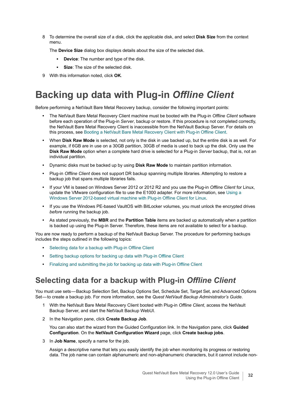8 To determine the overall size of a disk, click the applicable disk, and select **Disk Size** from the context menu.

The **Device Size** dialog box displays details about the size of the selected disk.

- **▪ Device**: The number and type of the disk.
- **▪ Size**: The size of the selected disk.
- 9 With this information noted, click **OK**.

# <span id="page-31-0"></span>**Backing up data with Plug-in** *Offline Client*

Before performing a NetVault Bare Metal Recovery backup, consider the following important points:

- **•** The NetVault Bare Metal Recovery Client machine must be booted with the Plug-in *Offline Client* software before each operation of the Plug-in *Server*, backup or restore. If this procedure is not completed correctly, the NetVault Bare Metal Recovery Client is inaccessible from the NetVault Backup Server. For details on this process, see [Booting a NetVault Bare Metal Recovery Client with Plug-in Offline Client.](#page-23-0)
- **•** When **Disk Raw Mode** is selected, not only is the disk in use backed up, but the entire disk is as well. For example, if 6GB are in use on a 30GB partition, 30GB of media is used to back up the disk. Only use the **Disk Raw Mode** option when a complete hard drive is selected for a Plug-in *Server* backup, that is, not an individual partition.
- **•** Dynamic disks must be backed up by using **Disk Raw Mode** to maintain partition information.
- **•** Plug-in *Offline Client* does not support DR backup spanning multiple libraries. Attempting to restore a backup job that spans multiple libraries fails.
- **•** If your VM is based on Windows Server 2012 or 2012 R2 and you use the Plug-in *Offline Client* for Linux, update the VMware configuration file to use the E1000 adapter. For more information, see [Using a](#page-23-2)  [Windows Server 2012-based virtual machine with Plug-in Offline Client for Linux.](#page-23-2)
- **•** If you use the Windows PE-based VaultOS with BitLocker volumes, you must unlock the encrypted drives *before* running the backup job.
- **•** As stated previously, the **MBR** and the **Partition Table** items are backed up automatically when a partition is backed up using the Plug-in Server. Therefore, these items are not available to select for a backup.

You are now ready to perform a backup of the NetVault Backup Server. The procedure for performing backups includes the steps outlined in the following topics:

- **•** [Selecting data for a backup with Plug-in Offline Client](#page-31-1)
- **•** [Setting backup options for backing up data with Plug-in Offline Client](#page-32-0)
- **•** [Finalizing and submitting the job for backing up data with Plug-in Offline Client](#page-33-1)

### <span id="page-31-1"></span>**Selecting data for a backup with Plug-in** *Offline Client*

You must use sets — Backup Selection Set, Backup Options Set, Schedule Set, Target Set, and Advanced Options Set- to create a backup job. For more information, see the *Quest NetVault Backup Administrator's Guide*.

- 1 With the NetVault Bare Metal Recovery Client booted with Plug-in *Offline Client*, access the NetVault Backup Server, and start the NetVault Backup WebUI.
- 2 In the Navigation pane, click **Create Backup Job**.

You can also start the wizard from the Guided Configuration link. In the Navigation pane, click **Guided Configuration**. On the **NetVault Configuration Wizard** page, click **Create backup jobs**.

3 In **Job Name**, specify a name for the job.

Assign a descriptive name that lets you easily identify the job when monitoring its progress or restoring data. The job name can contain alphanumeric and non-alphanumeric characters, but it cannot include non-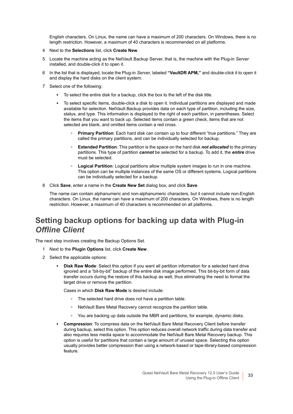English characters. On Linux, the name can have a maximum of 200 characters. On Windows, there is no length restriction. However, a maximum of 40 characters is recommended on all platforms.

- 4 Next to the **Selections** list, click **Create New**.
- 5 Locate the machine acting as the NetVault Backup Server, that is, the machine with the Plug-in *Server* installed, and double-click it to open it.
- 6 In the list that is displayed, locate the Plug-in *Server*, labeled **"VaultDR APM,"** and double-click it to open it and display the hard disks on the client system.
- 7 Select one of the following:
	- **▪** To select the entire disk for a backup, click the box to the left of the disk title.
	- **▪** To select specific items, double-click a disk to open it. Individual partitions are displayed and made available for selection. NetVault Backup provides data on each type of partition, including the size, status, and type. This information is displayed to the right of each partition, in parentheses. Select the items that you want to back up. Selected items contain a green check, items that are not selected are blank, and omitted items contain a red cross.
		- **▫ Primary Partition**: Each hard disk can contain up to four different "true partitions." They are called the primary partitions, and can be individually selected for backup.
		- **▫ Extended Partition**: This partition is the space on the hard disk *not allocated* to the primary partitions. This type of partition *cannot* be selected for a backup. To add it, the *entire* drive must be selected.
		- **□ Logical Partition**: Logical partitions allow multiple system images to run in one machine. This option can be multiple instances of the same OS or different systems. Logical partitions can be individually selected for a backup.
- 8 Click **Save**, enter a name in the **Create New Set** dialog box, and click **Save**.

The name can contain alphanumeric and non-alphanumeric characters, but it cannot include non-English characters. On Linux, the name can have a maximum of 200 characters. On Windows, there is no length restriction. However, a maximum of 40 characters is recommended on all platforms.

### <span id="page-32-0"></span>**Setting backup options for backing up data with Plug-in**  *Offline Client*

The next step involves creating the Backup Options Set.

- 1 Next to the **Plugin Options** list, click **Create New**.
- 2 Select the applicable options:
	- **Disk Raw Mode:** Select this option if you want all partition information for a selected hard drive ignored and a "bit-by-bit" backup of the entire disk image performed. This bit-by-bit form of data transfer occurs during the restore of this backup as well, thus eliminating the need to format the target drive or remove the partition.

Cases in which **Disk Raw Mode** is desired include:

- **▫** The selected hard drive does not have a partition table.
- **▫** NetVault Bare Metal Recovery cannot recognize the partition table.
- **▫** You are backing up data outside the MBR and partitions, for example, dynamic disks.
- **▪ Compression**: To compress data on the NetVault Bare Metal Recovery Client before transfer during backup, select this option. This option reduces overall network traffic during data transfer and also requires less media space to accommodate the NetVault Bare Metal Recovery backup. This option is useful for partitions that contain a large amount of unused space. Selecting this option usually provides better compression than using a network-based or tape-library-based compression feature.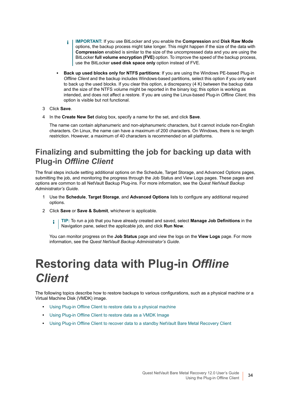- **IMPORTANT:** If you use BitLocker and you enable the **Compression** and **Disk Raw Mode**  ÷ options, the backup process might take longer. This might happen if the size of the data with **Compression** enabled is similar to the size of the uncompressed data and you are using the BitLocker **full volume encryption (FVE)** option. To improve the speed of the backup process, use the BitLocker **used disk space only** option instead of FVE.
- **Back up used blocks only for NTFS partitions: If you are using the Windows PE-based Plug-in** *Offline Client* and the backup includes Windows-based partitions, select this option if you only want to back up the used blocks. If you clear this option, a discrepancy (4 K) between the backup data and the size of the NTFS volume might be reported in the binary log; this option is working as intended, and does not affect a restore. If you are using the Linux-based Plug-in *Offline Client*, this option is visible but not functional.
- 3 Click **Save**.
- 4 In the **Create New Set** dialog box, specify a name for the set, and click **Save**.

The name can contain alphanumeric and non-alphanumeric characters, but it cannot include non-English characters. On Linux, the name can have a maximum of 200 characters. On Windows, there is no length restriction. However, a maximum of 40 characters is recommended on all platforms.

### <span id="page-33-1"></span>**Finalizing and submitting the job for backing up data with Plug-in** *Offline Client*

The final steps include setting additional options on the Schedule, Target Storage, and Advanced Options pages, submitting the job, and monitoring the progress through the Job Status and View Logs pages. These pages and options are common to all NetVault Backup Plug-ins. For more information, see the *Quest NetVault Backup Administrator's Guide*.

- 1 Use the **Schedule**, **Target Storage**, and **Advanced Options** lists to configure any additional required options.
- 2 Click **Save** or **Save & Submit**, whichever is applicable.

**TIP:** To run a job that you have already created and saved, select **Manage Job Definitions** in the i. Navigation pane, select the applicable job, and click **Run Now**.

You can monitor progress on the **Job Status** page and view the logs on the **View Logs** page. For more information, see the *Quest NetVault Backup Administrator's Guide*.

# <span id="page-33-0"></span>**Restoring data with Plug-in** *Offline Client*

The following topics describe how to restore backups to various configurations, such as a physical machine or a Virtual Machine Disk (VMDK) image.

- **•** [Using Plug-in Offline Client to restore data to a physical machine](#page-35-0)
- **•** [Using Plug-in Offline Client to restore data as a VMDK Image](#page-38-0)
- **•** [Using Plug-in Offline Client to recover data to a standby NetVault Bare Metal Recovery Client](#page-41-0)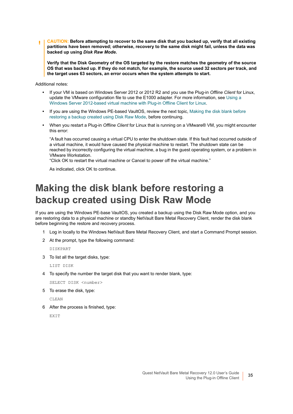**CAUTION: Before attempting to recover to the same disk that you backed up, verify that all existing partitions have been removed; otherwise, recovery to the same disk might fail, unless the data was backed up using** *Disk Raw Mode***.**

**Verify that the Disk Geometry of the OS targeted by the restore matches the geometry of the source OS that was backed up. If they do not match, for example, the source used 32 sectors per track, and the target uses 63 sectors, an error occurs when the system attempts to start.**

Additional notes:

- **•** If your VM is based on Windows Server 2012 or 2012 R2 and you use the Plug-in *Offline Client* for Linux, update the VMware configuration file to use the E1000 adapter. For more information, see [Using a](#page-23-2)  [Windows Server 2012-based virtual machine with Plug-in Offline Client for Linux.](#page-23-2)
- **•** If you are using the Windows PE-based VaultOS, review the next topic, [Making the disk blank before](#page-34-0)  [restoring a backup created using Disk Raw Mode,](#page-34-0) before continuing.
- **•** When you restart a Plug-in *Offline Client* for Linux that is running on a VMware® VM, you might encounter this error:

"A fault has occurred causing a virtual CPU to enter the shutdown state. If this fault had occurred outside of a virtual machine, it would have caused the physical machine to restart. The shutdown state can be reached by incorrectly configuring the virtual machine, a bug in the guest operating system, or a problem in VMware Workstation.

"Click OK to restart the virtual machine or Cancel to power off the virtual machine."

As indicated, click OK to continue.

### <span id="page-34-0"></span>**Making the disk blank before restoring a backup created using Disk Raw Mode**

If you are using the Windows PE-base VaultOS, you created a backup using the Disk Raw Mode option, and you are restoring data to a physical machine or standby NetVault Bare Metal Recovery Client, render the disk blank before beginning the restore and recovery process.

- 1 Log in locally to the Windows NetVault Bare Metal Recovery Client, and start a Command Prompt session.
- 2 At the prompt, type the following command:

DISKPART

3 To list all the target disks, type:

LIST DISK

4 To specify the number the target disk that you want to render blank, type:

SELECT DISK <number>

5 To erase the disk, type:

CLEAN

6 After the process is finished, type:

**EXTT**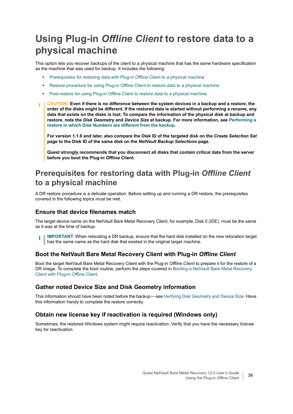## <span id="page-35-0"></span>**Using Plug-in** *Offline Client* **to restore data to a physical machine**

This option lets you recover backups of the client to a physical machine that has the same hardware specification as the machine that was used for backup. It includes the following:

- **•** [Prerequisites for restoring data with Plug-in Offline Client to a physical machine](#page-35-1)
- **•** [Restore procedure for using Plug-in Offline Client to restore data to a physical machine](#page-36-0)
- **•** [Post-restore for using Plug-in Offline Client to restore data to a physical machine](#page-38-1)
- **CAUTION: Even if there is no difference between the system devices in a backup and a restore, the**  ΠI **order of the disks might be different. If the restored data is started without performing a rename, any data that exists on the disks is lost. To compare the information of the physical disk at backup and restore, note the** *Disk Geometry* **and** *Device Size* **at backup. For more information, see [Performing a](#page-90-3)  [restore in which Disk Numbers are different from the backup.](#page-90-3)**

**For version 1.1.6 and later, also compare the Disk ID of the targeted disk on the** *Create Selection Set*  **page to the Disk ID of the same disk on the** *NetVault Backup Selections* **page.**

**Quest strongly recommends that you disconnect all disks that contain critical data from the server before you boot the Plug-in Offline Client.**

#### <span id="page-35-1"></span>**Prerequisites for restoring data with Plug-in** *Offline Client* **to a physical machine**

A DR restore procedure is a delicate operation. Before setting up and running a DR restore, the prerequisites covered in the following topics must be met.

#### **Ensure that device filenames match**

The target device name on the NetVault Bare Metal Recovery Client, for example, Disk 0 (IDE), must be the same as it was at the time of backup.

**IMPORTANT:** When relocating a DR backup, ensure that the hard disk installed on the new relocation target ÷ has the same name as the hard disk that existed in the original target machine.

#### **Boot the NetVault Bare Metal Recovery Client with Plug-in** *Offline Client*

Boot the target NetVault Bare Metal Recovery Client with the Plug-in *Offline Client* to prepare it for the restore of a DR image. To complete the boot routine, perform the steps covered in [Booting a NetVault Bare Metal Recovery](#page-23-0)  [Client with Plug-in Offline Client.](#page-23-0)

#### **Gather noted Device Size and Disk Geometry information**

This information should have been noted before the backup — see [Verifying Disk Geometry and Device Size](#page-30-1). Have this information handy to complete the restore correctly.

#### **Obtain new license key if reactivation is required (Windows only)**

Sometimes, the restored Windows system might require reactivation. Verify that you have the necessary license key for reactivation.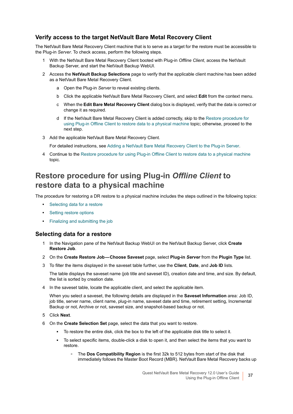#### **Verify access to the target NetVault Bare Metal Recovery Client**

The NetVault Bare Metal Recovery Client machine that is to serve as a target for the restore must be accessible to the Plug-in *Server*. To check access, perform the following steps.

- 1 With the NetVault Bare Metal Recovery Client booted with Plug-in *Offline Client*, access the NetVault Backup Server, and start the NetVault Backup WebUI.
- 2 Access the **NetVault Backup Selections** page to verify that the applicable client machine has been added as a NetVault Bare Metal Recovery Client.
	- a Open the Plug-in *Server* to reveal existing clients.
	- b Click the applicable NetVault Bare Metal Recovery Client, and select **Edit** from the context menu.
	- c When the **Edit Bare Metal Recovery Client** dialog box is displayed, verify that the data is correct or change it as required.
	- d If the NetVault Bare Metal Recovery Client is added correctly, skip to the [Restore procedure for](#page-36-0)  [using Plug-in Offline Client to restore data to a physical machine](#page-36-0) topic; otherwise, proceed to the next step.
- 3 Add the applicable NetVault Bare Metal Recovery Client.

For detailed instructions, see [Adding a NetVault Bare Metal Recovery Client to the Plug-in Server](#page-22-0).

4 Continue to the [Restore procedure for using Plug-in Offline Client to restore data to a physical machine](#page-36-0) topic.

### <span id="page-36-0"></span>**Restore procedure for using Plug-in** *Offline Client* **to restore data to a physical machine**

The procedure for restoring a DR restore to a physical machine includes the steps outlined in the following topics:

- **•** [Selecting data for a restore](#page-36-1)
- **•** [Setting restore options](#page-37-0)
- **•** [Finalizing and submitting the job](#page-37-1)

#### <span id="page-36-1"></span>**Selecting data for a restore**

- 1 In the Navigation pane of the NetVault Backup WebUI on the NetVault Backup Server, click **Create Restore Job**.
- 2 On the **Create Restore Job Choose Saveset** page, select **Plug-in** *Server* from the **Plugin Type** list.
- 3 To filter the items displayed in the saveset table further, use the **Client**, **Date**, and **Job ID** lists.

The table displays the saveset name (job title and saveset ID), creation date and time, and size. By default, the list is sorted by creation date.

4 In the saveset table, locate the applicable client, and select the applicable item.

When you select a saveset, the following details are displayed in the **Saveset Information** area: Job ID, job title, server name, client name, plug-in name, saveset date and time, retirement setting, Incremental Backup or not, Archive or not, saveset size, and snapshot-based backup or not.

- 5 Click **Next**.
- 6 On the **Create Selection Set** page, select the data that you want to restore.
	- **▪** To restore the entire disk, click the box to the left of the applicable disk title to select it.
	- **▪** To select specific items, double-click a disk to open it, and then select the items that you want to restore.
		- **▫** The **Dos Compatibility Region** is the first 32k to 512 bytes from start of the disk that immediately follows the Master Boot Record (MBR). NetVault Bare Metal Recovery backs up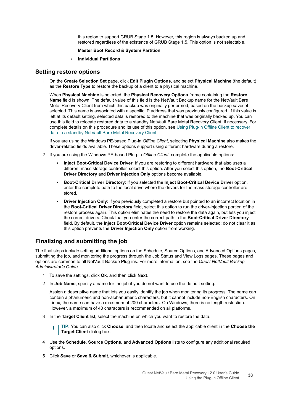this region to support GRUB Stage 1.5. However, this region is always backed up and restored regardless of the existence of GRUB Stage 1.5. This option is not selectable.

- **▫ Master Boot Record & System Partition**
- **▫ Individual Partitions**

#### <span id="page-37-0"></span>**Setting restore options**

1 On the **Create Selection Set** page, click **Edit Plugin Options**, and select **Physical Machine** (the default) as the **Restore Type** to restore the backup of a client to a physical machine.

When **Physical Machine** is selected, the **Physical Recovery Options** frame containing the **Restore Name** field is shown. The default value of this field is the NetVault Backup name for the NetVault Bare Metal Recovery Client from which this backup was originally performed, based on the backup saveset selected. This name is associated with a specific IP address that was previously configured. If this value is left at its default setting, selected data is restored to the machine that was originally backed up. You can use this field to relocate restored data to a standby NetVault Bare Metal Recovery Client, if necessary. For complete details on this procedure and its use of this option, see [Using Plug-in Offline Client to recover](#page-41-0)  [data to a standby NetVault Bare Metal Recovery Client.](#page-41-0)

If you are using the Windows PE-based Plug-in *Offline Client*, selecting **Physical Machine** also makes the driver-related fields available. These options support using different hardware during a restore.

- 2 If you are using the Windows PE-based Plug-in *Offline Client*, complete the applicable options:
	- **▪ Inject Boot-Critical Device Driver**: If you are restoring to different hardware that also uses a different mass storage controller, select this option. After you select this option, the **Boot-Critical Driver Directory** and **Driver Injection Only** options become available.
	- **▪ Boot-Critical Driver Directory**: If you selected the **Inject Boot-Critical Device Driver** option, enter the complete path to the local drive where the drivers for the mass storage controller are stored.
	- **Driver Injection Only:** If you previously completed a restore but pointed to an incorrect location in the **Boot-Critical Driver Directory** field, select this option to run the driver-injection portion of the restore process again. This option eliminates the need to restore the data again, but lets you inject the correct drivers. Check that you enter the correct path in the **Boot-Critical Driver Directory** field. By default, the **Inject Boot-Critical Device Driver** option remains selected; do not clear it as this option prevents the **Driver Injection Only** option from working.

#### <span id="page-37-1"></span>**Finalizing and submitting the job**

The final steps include setting additional options on the Schedule, Source Options, and Advanced Options pages, submitting the job, and monitoring the progress through the Job Status and View Logs pages. These pages and options are common to all NetVault Backup Plug-ins. For more information, see the *Quest NetVault Backup Administrator's Guide*.

- 1 To save the settings, click **Ok**, and then click **Next**.
- 2 In **Job Name**, specify a name for the job if you do not want to use the default setting.

Assign a descriptive name that lets you easily identify the job when monitoring its progress. The name can contain alphanumeric and non-alphanumeric characters, but it cannot include non-English characters. On Linux, the name can have a maximum of 200 characters. On Windows, there is no length restriction. However, a maximum of 40 characters is recommended on all platforms.

3 In the **Target Client** list, select the machine on which you want to restore the data.

**TIP:** You can also click **Choose**, and then locate and select the applicable client in the **Choose the**  f. **Target Client** dialog box.

- 4 Use the **Schedule**, **Source Options**, and **Advanced Options** lists to configure any additional required options.
- 5 Click **Save** or **Save & Submit**, whichever is applicable.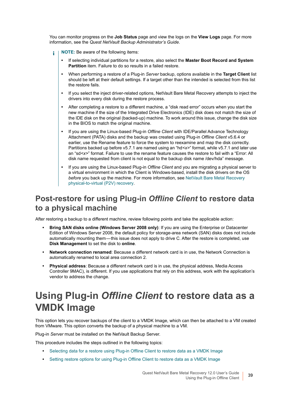You can monitor progress on the **Job Status** page and view the logs on the **View Logs** page. For more information, see the *Quest NetVault Backup Administrator's Guide*.

- **NOTE:** Be aware of the following items: ÷
	- **•** If selecting individual partitions for a restore, also select the **Master Boot Record and System Partition** item. Failure to do so results in a failed restore.
	- **•** When performing a restore of a Plug-in *Server* backup, options available in the **Target Client** list should be left at their default settings. If a target other than the intended is selected from this list the restore fails.
	- **•** If you select the inject driver-related options, NetVault Bare Metal Recovery attempts to inject the drivers into every disk during the restore process.
	- **•** After completing a restore to a different machine, a "disk read error" occurs when you start the new machine if the size of the Integrated Drive Electronics (IDE) disk does not match the size of the IDE disk on the original (backed-up) machine. To work around this issue, change the disk size in the BIOS to match the original machine.
	- **•** If you are using the Linux-based Plug-in *Offline Client* with IDE/Parallel Advance Technology Attachment (PATA) disks and the backup was created using Plug-in *Offline Client* v5.6.4 or earlier, use the Rename feature to force the system to reexamine and map the disk correctly. Partitions backed up before v5.7.1 are named using an "hd*<x>*" format, while v5.7.1 and later use an "sd*<x>*" format. Failure to use the rename feature causes the restore to fail with a "Error: All disk name requested from client is not equal to the backup disk name /dev/hda" message.
	- **•** If you are using the Linux-based Plug-in *Offline Client* and you are migrating a physical server to a virtual environment in which the Client is Windows-based, install the disk drivers on the OS *before* you back up the machine. For more information, see [NetVault Bare Metal Recovery](#page-87-0)  [physical-to-virtual \(P2V\) recovery.](#page-87-0)

### **Post-restore for using Plug-in** *Offline Client* **to restore data to a physical machine**

After restoring a backup to a different machine, review following points and take the applicable action:

- **Bring SAN disks online (Windows Server 2008 only)**: If you are using the Enterprise or Datacenter Edition of Windows Server 2008, the default policy for storage-area network (SAN) disks does not include automatically mounting them — this issue does not apply to drive C. After the restore is completed, use **Disk Management** to set the disk to **online**.
- **Network connection renamed**: Because a different network card is in use, the Network Connection is automatically renamed to local area connection 2.
- **Physical address**: Because a different network card is in use, the physical address, Media Access Controller 9MAC), is different. If you use applications that rely on this address, work with the application's vendor to address the change.

## **Using Plug-in** *Offline Client* **to restore data as a VMDK Image**

This option lets you recover backups of the client to a VMDK Image, which can then be attached to a VM created from VMware. This option converts the backup of a physical machine to a VM.

Plug-in *Server* must be installed on the NetVault Backup Server.

This procedure includes the steps outlined in the following topics:

- **•** [Selecting data for a restore using Plug-in Offline Client to restore data as a VMDK Image](#page-39-0)
- **•** [Setting restore options for using Plug-in Offline Client to restore data as a VMDK Image](#page-39-1)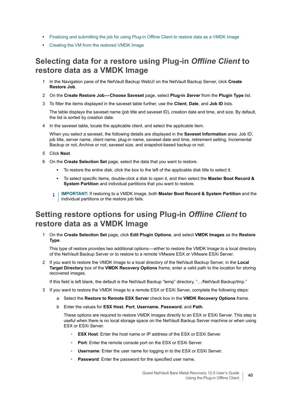- **•** [Finalizing and submitting the job for using Plug-in Offline Client to restore data as a VMDK Image](#page-40-0)
- **•** [Creating the VM from the restored VMDK Image](#page-40-1)

### <span id="page-39-0"></span>**Selecting data for a restore using Plug-in** *Offline Client* **to restore data as a VMDK Image**

- 1 In the Navigation pane of the NetVault Backup WebUI on the NetVault Backup Server, click **Create Restore Job**.
- 2 On the **Create Restore Job Choose Saveset** page, select **Plug-in** *Server* from the **Plugin Type** list.
- 3 To filter the items displayed in the saveset table further, use the **Client**, **Date**, and **Job ID** lists.

The table displays the saveset name (job title and saveset ID), creation date and time, and size. By default, the list is sorted by creation date.

4 In the saveset table, locate the applicable client, and select the applicable item.

When you select a saveset, the following details are displayed in the **Saveset Information** area: Job ID, job title, server name, client name, plug-in name, saveset date and time, retirement setting, Incremental Backup or not, Archive or not, saveset size, and snapshot-based backup or not.

- 5 Click **Next**.
- 6 On the **Create Selection Set** page, select the data that you want to restore.
	- **▪** To restore the entire disk, click the box to the left of the applicable disk title to select it.
	- **▪** To select specific items, double-click a disk to open it, and then select the **Master Boot Record & System Partition** and individual partitions that you want to restore.
	- **i** | IMPORTANT: If restoring to a VMDK Image, both Master Boot Record & System Partition and the individual partitions or the restore job fails.

### <span id="page-39-1"></span>**Setting restore options for using Plug-in** *Offline Client* **to restore data as a VMDK Image**

1 On the **Create Selection Set** page, click **Edit Plugin Options**, and select **VMDK Images** as the **Restore Type**.

This type of restore provides two additional options — either to restore the VMDK Image to a local directory of the NetVault Backup Server or to restore to a remote VMware ESX or VMware ESXi Server.

2 If you want to restore the VMDK Image to a local directory of the NetVault Backup Server, in the **Local Target Directory** box of the **VMDK Recovery Options** frame, enter a valid path to the location for storing recovered images.

If this field is left blank, the default is the NetVault Backup "temp" directory, "…/NetVault Backup/tmp."

- 3 If you want to restore the VMDK Image to a remote ESX or ESXi Server, complete the following steps:
	- a Select the **Restore to Remote ESX Server** check box in the **VMDK Recovery Options** frame.
	- b Enter the values for **ESX Host**, **Port**, **Username**, **Password**, and **Path**.

These options are required to restore VMDK Images directly to an ESX or ESXi Server. This step is useful when there is no local storage space on the NetVault Backup Server machine or when using ESX or ESXi Server.

- **▫ ESX Host**: Enter the host name or IP address of the ESX or ESXi Server.
- **▫ Port**: Enter the remote console port on the ESX or ESXi Server.
- **□ Username**: Enter the user name for logging in to the ESX or ESXi Server.
- **▫ Password**: Enter the password for the specified user name.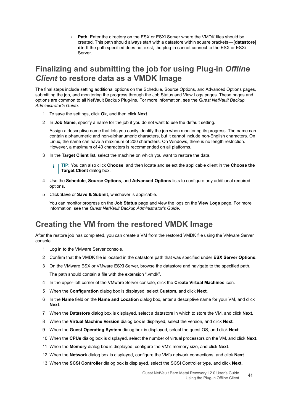**▫ Path**: Enter the directory on the ESX or ESXi Server where the VMDK files should be created. This path should always start with a datastore within square brackets — **[datastore] dir**. If the path specified does not exist, the plug-in cannot connect to the ESX or ESXi Server.

### <span id="page-40-0"></span>**Finalizing and submitting the job for using Plug-in** *Offline Client* **to restore data as a VMDK Image**

The final steps include setting additional options on the Schedule, Source Options, and Advanced Options pages, submitting the job, and monitoring the progress through the Job Status and View Logs pages. These pages and options are common to all NetVault Backup Plug-ins. For more information, see the *Quest NetVault Backup Administrator's Guide*.

- 1 To save the settings, click **Ok**, and then click **Next**.
- 2 In **Job Name**, specify a name for the job if you do not want to use the default setting.

Assign a descriptive name that lets you easily identify the job when monitoring its progress. The name can contain alphanumeric and non-alphanumeric characters, but it cannot include non-English characters. On Linux, the name can have a maximum of 200 characters. On Windows, there is no length restriction. However, a maximum of 40 characters is recommended on all platforms.

3 In the **Target Client** list, select the machine on which you want to restore the data.

**TIP:** You can also click **Choose**, and then locate and select the applicable client in the **Choose the**  f. **Target Client** dialog box.

- 4 Use the **Schedule**, **Source Options**, and **Advanced Options** lists to configure any additional required options.
- 5 Click **Save** or **Save & Submit**, whichever is applicable.

You can monitor progress on the **Job Status** page and view the logs on the **View Logs** page. For more information, see the *Quest NetVault Backup Administrator's Guide*.

#### <span id="page-40-1"></span>**Creating the VM from the restored VMDK Image**

After the restore job has completed, you can create a VM from the restored VMDK file using the VMware Server console.

- 1 Log in to the VMware Server console.
- 2 Confirm that the VMDK file is located in the datastore path that was specified under **ESX Server Options**.
- 3 On the VMware ESX or VMware ESXi Server, browse the datastore and navigate to the specified path. The path should contain a file with the extension ".vmdk".
- 4 In the upper-left corner of the VMware Server console, click the **Create Virtual Machines** icon.
- 5 When the **Configuration** dialog box is displayed, select **Custom**, and click **Next**.
- 6 In the **Name** field on the **Name and Location** dialog box, enter a descriptive name for your VM, and click **Next**.
- 7 When the **Datastore** dialog box is displayed, select a datastore in which to store the VM, and click **Next**.
- 8 When the **Virtual Machine Version** dialog box is displayed, select the version, and click **Next**.
- 9 When the **Guest Operating System** dialog box is displayed, select the guest OS, and click **Next**.
- 10 When the **CPUs** dialog box is displayed, select the number of virtual processors on the VM, and click **Next**.
- 11 When the **Memory** dialog box is displayed, configure the VM's memory size, and click **Next**.
- 12 When the **Network** dialog box is displayed, configure the VM's network connections, and click **Next**.
- 13 When the **SCSI Controller** dialog box is displayed, select the SCSI Controller type, and click **Next**.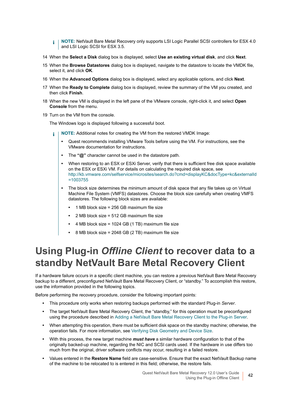- **NOTE:** NetVault Bare Metal Recovery only supports LSI Logic Parallel SCSI controllers for ESX 4.0 ÷. and LSI Logic SCSI for ESX 3.5.
- 14 When the **Select a Disk** dialog box is displayed, select **Use an existing virtual disk**, and click **Next**.
- 15 When the **Browse Datastores** dialog box is displayed, navigate to the datastore to locate the VMDK file, select it, and click **OK**.
- 16 When the **Advanced Options** dialog box is displayed, select any applicable options, and click **Next**.
- 17 When the **Ready to Complete** dialog box is displayed, review the summary of the VM you created, and then click **Finish**.
- 18 When the new VM is displayed in the left pane of the VMware console, right-click it, and select **Open Console** from the menu.
- 19 Turn on the VM from the console.

The Windows logo is displayed following a successful boot.

- **NOTE:** Additional notes for creating the VM from the restored VMDK Image: i
	- **•** Quest recommends installing VMware Tools before using the VM. For instructions, see the VMware documentation for instructions.
	- **•** The **"@"** character cannot be used in the datastore path.
	- **•** When restoring to an ESX or ESXi Server, verify that there is sufficient free disk space available on the ESX or ESXi VM. For details on calculating the required disk space, see [http://kb.vmware.com/selfservice/microsites/search.do?cmd=displayKC&docType=kc&externalId](http://kb.vmware.com/selfservice/microsites/search.do?cmd=displayKC&docType=kc&externalId=1003755) =1003755
	- **•** The block size determines the minimum amount of disk space that any file takes up on Virtual Machine File System (VMFS) datastores. Choose the block size carefully when creating VMFS datastores. The following block sizes are available:
		- **•** 1 MB block size = 256 GB maximum file size
		- **•** 2 MB block size = 512 GB maximum file size
		- **•** 4 MB block size = 1024 GB (1 TB) maximum file size
		- **•** 8 MB block size = 2048 GB (2 TB) maximum file size

### <span id="page-41-1"></span><span id="page-41-0"></span>**Using Plug-in** *Offline Client* **to recover data to a standby NetVault Bare Metal Recovery Client**

If a hardware failure occurs in a specific client machine, you can restore a previous NetVault Bare Metal Recovery backup to a different, preconfigured NetVault Bare Metal Recovery Client, or "standby." To accomplish this restore, use the information provided in the following topics.

Before performing the recovery procedure, consider the following important points:

- **•** This procedure only works when restoring backups performed with the standard Plug-in *Server*.
- **•** The target NetVault Bare Metal Recovery Client, the "standby," for this operation must be preconfigured using the procedure described in [Adding a NetVault Bare Metal Recovery Client to the Plug-in Server.](#page-22-0)
- **•** When attempting this operation, there must be sufficient disk space on the standby machine; otherwise, the operation fails. For more information, see [Verifying Disk Geometry and Device Size.](#page-30-0)
- **•** With this process, the new target machine *must have* a similar hardware configuration to that of the originally backed-up machine, regarding the NIC and SCSI cards used. If the hardware in use differs too much from the original, driver software conflicts may occur, resulting in a failed restore.
- **•** Values entered in the **Restore Name** field are case-sensitive. Ensure that the exact NetVault Backup name of the machine to be relocated to is entered in this field; otherwise, the restore fails.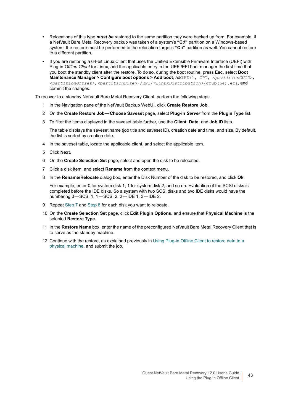- **•** Relocations of this type *must be* restored to the same partition they were backed up from. For example, if a NetVault Bare Metal Recovery backup was taken of a system's **"C:\"** partition on a Windows-based system, the restore must be performed to the relocation target's **"C:\"** partition as well. You cannot restore to a different partition.
- **•** If you are restoring a 64-bit Linux Client that uses the Unified Extensible Firmware Interface (UEFI) with Plug-in *Offline Client* for Linux, add the applicable entry in the UEFI/EFI boot manager the first time that you boot the standby client after the restore. To do so, during the boot routine, press **Esc**, select **Boot Maintenance Manager > Configure boot options > Add boot**, add HD(1, GPT, <partitionGUID>, *<partitionOffset>*,*<partitionSize>*)/EFI/*<LinuxDistribution>*/grub(64).efi, and commit the changes.

To recover to a standby NetVault Bare Metal Recovery Client, perform the following steps.

- 1 In the Navigation pane of the NetVault Backup WebUI, click **Create Restore Job**.
- 2 On the **Create Restore Job Choose Saveset** page, select **Plug-in** *Server* from the **Plugin Type** list.
- 3 To filter the items displayed in the saveset table further, use the **Client**, **Date**, and **Job ID** lists.

The table displays the saveset name (job title and saveset ID), creation date and time, and size. By default, the list is sorted by creation date.

- 4 In the saveset table, locate the applicable client, and select the applicable item.
- 5 Click **Next**.
- 6 On the **Create Selection Set** page, select and open the disk to be relocated.
- <span id="page-42-0"></span>7 Click a disk item, and select **Rename** from the context menu.
- <span id="page-42-1"></span>8 In the **Rename/Relocate** dialog box, enter the Disk Number of the disk to be restored, and click **Ok**.

For example, enter 0 for system disk 1, 1 for system disk 2, and so on. Evaluation of the SCSI disks is completed before the IDE disks. So a system with two SCSI disks and two IDE disks would have the numbering 0-SCSI 1, 1-SCSI 2, 2-IDE 1, 3-IDE 2.

- 9 Repeat [Step 7](#page-42-0) and [Step 8](#page-42-1) for each disk you want to relocate.
- 10 On the **Create Selection Set** page, click **Edit Plugin Options**, and ensure that **Physical Machine** is the selected **Restore Type**.
- 11 In the **Restore Name** box, enter the name of the preconfigured NetVault Bare Metal Recovery Client that is to serve as the standby machine.
- 12 Continue with the restore, as explained previously in [Using Plug-in Offline Client to restore data to a](#page-35-0)  [physical machine,](#page-35-0) and submit the job.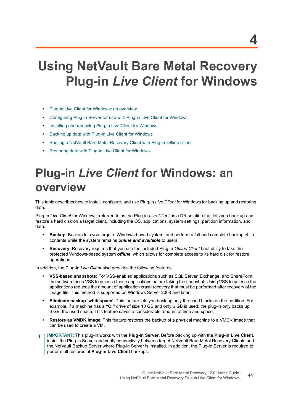# **Using NetVault Bare Metal Recovery Plug-in** *Live Client* **for Windows**

- **•** [Plug-in Live Client for Windows: an overview](#page-43-0)
- **•** [Configuring Plug-in Server for use with Plug-in Live Client for Windows](#page-44-0)
- **•** [Installing and removing Plug-in Live Client for Windows](#page-48-0)
- **•** [Backing up data with Plug-in Live Client for Windows](#page-51-0)
- **•** [Booting a NetVault Bare Metal Recovery Client with Plug-in Offline Client](#page-56-0)
- **•** [Restoring data with Plug-in Live Client for Windows](#page-58-0)

# <span id="page-43-0"></span>**Plug-in** *Live Client* **for Windows: an overview**

This topic describes how to install, configure, and use Plug-in *Live Client* for Windows for backing up and restoring data.

Plug-in *Live Client* for Windows, referred to as the Plug-in *Live Client*, is a DR solution that lets you back up and restore a hard disk on a target client, including the OS, applications, system settings, partition information, and data.

- **Backup**: Backup lets you target a Windows-based system, and perform a full and complete backup of its contents while the system remains *online and available* to users.
- **Recovery**: Recovery requires that you use the included Plug-in *Offline Client* boot utility to take the protected Windows-based system *offline*, which allows for complete access to its hard disk for restore operations.

In addition, the Plug-in *Live Client* also provides the following features:

- **VSS-based snapshots**: For VSS-enabled applications such as SQL Server, Exchange, and SharePoint, the software uses VSS to quiesce these applications before taking the snapshot. Using VSS to quiesce the applications reduces the amount of application crash recovery that must be performed after recovery of the image file. This method is supported on Windows Server 2008 and later.
- **Eliminate backup 'whitespace'**: This feature lets you back up only the used blocks on the partition. For example, if a machine has a **"C:"** drive of size 10 GB and only 6 GB is used, the plug-in only backs up 6 GB, the used space. This feature saves a considerable amount of time and space.
- **Restore as VMDK Image**: This feature restores the backup of a physical machine to a VMDK Image that can be used to create a VM.
- **IMPORTANT:** This plug-in works with the **Plug-in Server**. Before backing up with the **Plug-in Live Client**, f. install the Plug-in Server and verify connectivity between target NetVault Bare Metal Recovery Clients and the NetVault Backup Server where Plug-in Server is installed. In addition, the Plug-in Server is required to perform all restores of **Plug-in Live Client** backups.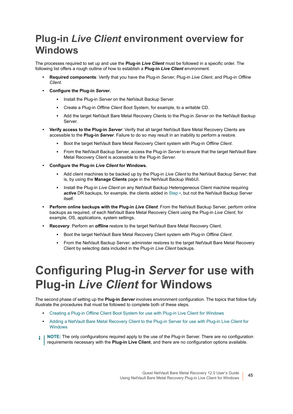## **Plug-in** *Live Client* **environment overview for Windows**

The processes required to set up and use the **Plug-in** *Live Client* must be followed in a specific order. The following list offers a rough outline of how to establish a **Plug-in** *Live Client* environment.

- **Required components**: Verify that you have the Plug-in *Server*, Plug-in *Live Client*, and Plug-in *Offline Client*.
- **Configure the Plug-in** *Server***.**
	- **▪** Install the Plug-in *Server* on the NetVault Backup Server.
	- **▪** Create a Plug-in *Offline Client* Boot System, for example, to a writable CD.
	- **▪** Add the target NetVault Bare Metal Recovery Clients to the Plug-in *Server* on the NetVault Backup Server.
- **Verify access to the Plug-in** *Server*: Verify that all target NetVault Bare Metal Recovery Clients are accessible to the **Plug-in** *Server*. Failure to do so may result in an inability to perform a restore.
	- **▪** Boot the target NetVault Bare Metal Recovery Client system with Plug-in *Offline Client*.
	- **▪** From the NetVault Backup Server, access the Plug-in *Server* to ensure that the target NetVault Bare Metal Recovery Client is accessible to the Plug-in *Server*.
- <span id="page-44-1"></span>**• Configure the Plug-in** *Live Client* **for Windows.**
	- **▪** Add client machines to be backed up by the Plug-in *Live Client* to the NetVault Backup Server; that is, by using the **Manage Clients** page in the NetVault Backup WebUI.
	- **Install the Plug-in** *Live Client* on any NetVault Backup Heterogeneous Client machine requiring *active* DR backups, for example, the clients added in [Step](#page-44-1) ▪, but not the NetVault Backup Server itself.
- **Perform online backups with the Plug-in** *Live Client*: From the NetVault Backup Server, perform online backups as required, of each NetVault Bare Metal Recovery Client using the Plug-in *Live Client*, for example, OS, applications, system settings.
- **Recovery**: Perform an *offline* restore to the target NetVault Bare Metal Recovery Client.
	- **▪** Boot the target NetVault Bare Metal Recovery Client system with Plug-in *Offline Client*.
	- **▪** From the NetVault Backup Server, administer restores to the target NetVault Bare Metal Recovery Client by selecting data included in the Plug-in *Live Client* backups.

# <span id="page-44-0"></span>**Configuring Plug-in** *Server* **for use with Plug-in** *Live Client* **for Windows**

The second phase of setting up the **Plug-in** *Server* involves environment configuration. The topics that follow fully illustrate the procedures that must be followed to complete both of these steps.

- **•** [Creating a Plug-in Offline Client Boot System for use with Plug-in Live Client for Windows](#page-45-0)
- **•** [Adding a NetVault Bare Metal Recovery Client to the Plug-in Server for use with Plug-in Live Client for](#page-47-0)  [Windows](#page-47-0)
- **NOTE:** The only configurations required apply to the use of the Plug-in Server. There are no configuration ÷ requirements necessary with the **Plug-in Live Client**, and there are no configuration options available.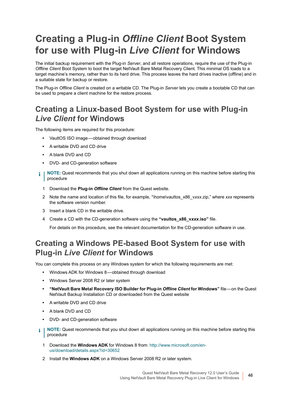## <span id="page-45-0"></span>**Creating a Plug-in** *Offline Client* **Boot System for use with Plug-in** *Live Client* **for Windows**

The initial backup requirement with the Plug-in *Server*, and all restore operations, require the use of the Plug-in *Offline Client* Boot System to boot the target NetVault Bare Metal Recovery Client. This minimal OS loads to a target machine's memory, rather than to its hard drive. This process leaves the hard drives inactive (offline) and in a suitable state for backup or restore.

The Plug-in *Offline Client* is created on a writable CD. The Plug-in *Server* lets you create a bootable CD that can be used to prepare a client machine for the restore process.

### **Creating a Linux-based Boot System for use with Plug-in**  *Live Client* **for Windows**

The following items are required for this procedure:

- **•** VaultOS ISO image obtained through download
- **•** A writable DVD and CD drive
- **•** A blank DVD and CD
- **•** DVD- and CD-generation software
- **i** | NOTE: Quest recommends that you shut down all applications running on this machine before starting this procedure
	- 1 Download the **Plug-in** *Offline Client* from the Quest website.
	- 2 Note the name and location of this file, for example, "\home\vaultos\_x86\_v*xxx*.zip," where *xxx* represents the software version number.
	- 3 Insert a blank CD in the writable drive.
	- 4 Create a CD with the CD-generation software using the **"vaultos\_x86\_v***xxx***.iso"** file.

For details on this procedure, see the relevant documentation for the CD-generation software in use.

### **Creating a Windows PE-based Boot System for use with Plug-in** *Live Client* **for Windows**

You can complete this process on any Windows system for which the following requirements are met:

- **•** Windows ADK for Windows 8 obtained through download
- **•** Windows Server 2008 R2 or later system
- **"NetVault Bare Metal Recovery ISO Builder for Plug-in** *Offline Client* **for Windows"** file on the Quest NetVault Backup Installation CD or downloaded from the Quest website
- **•** A writable DVD and CD drive
- **•** A blank DVD and CD
- **•** DVD- and CD-generation software
- **i** | NOTE: Quest recommends that you shut down all applications running on this machine before starting this procedure
	- 1 Download the **Windows ADK** for Windows 8 from: [http://www.microsoft.com/en](http://www.microsoft.com/en-us/download/details.aspx?id=30652)[us/download/details.aspx?id=30652](http://www.microsoft.com/en-us/download/details.aspx?id=30652)
	- 2 Install the **Windows ADK** on a Windows Server 2008 R2 or later system.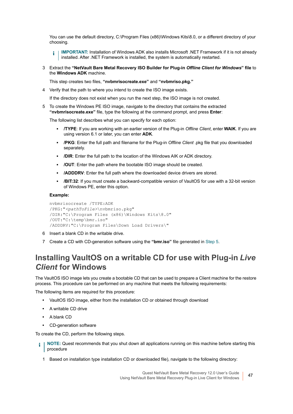You can use the default directory, C:\Program Files (x86)\Windows Kits\8.0, or a different directory of your choosing.

**IMPORTANT:** Installation of Windows ADK also installs Microsoft .NET Framework if it is not already f. installed. After .NET Framework is installed, the system is automatically restarted.

3 Extract the **"NetVault Bare Metal Recovery ISO Builder for Plug-in** *Offline Client for Windows***" file** to the **Windows ADK** machine.

This step creates two files, **"nvbmrisocreate.exe"** and **"nvbmriso.pkg."**

4 Verify that the path to where you intend to create the ISO image exists.

If the directory does not exist when you run the next step, the ISO image is not created.

<span id="page-46-0"></span>5 To create the Windows PE ISO image, navigate to the directory that contains the extracted **"nvbmrisocreate.exe"** file, type the following at the command prompt, and press **Enter**:

The following list describes what you can specify for each option:

- **▪ /TYPE**: If you are working with an earlier version of the Plug-in *Offline Client*, enter **WAIK**. If you are using version 6.1 or later, you can enter **ADK**.
- **▪ /PKG**: Enter the full path and filename for the Plug-in *Offline Client* .pkg file that you downloaded separately.
- **▪ /DIR**: Enter the full path to the location of the Windows AIK or ADK directory.
- **▪ /OUT**: Enter the path where the bootable ISO image should be created.
- **▪ /ADDDRV**: Enter the full path where the downloaded device drivers are stored.
- **/BIT:32:** If you must create a backward-compatible version of VaultOS for use with a 32-bit version of Windows PE, enter this option.

#### **Example:**

```
nvbmrisocreate /TYPE:ADK
/PKG:"<pathToFile>\nvbmriso.pkg"
/DIR:"C:\Program Files (x86)\Windows Kits\8.0"
/OUT:"C:\temp\bmr.iso"
/ADDDRV:"C:\Program Files\Down Load Drivers\"
```
- 6 Insert a blank CD in the writable drive.
- 7 Create a CD with CD-generation software using the **"bmr.iso"** file generated in [Step 5.](#page-46-0)

#### **Installing VaultOS on a writable CD for use with Plug-in** *Live Client* **for Windows**

The VaultOS ISO image lets you create a bootable CD that can be used to prepare a Client machine for the restore process. This procedure can be performed on any machine that meets the following requirements:

The following items are required for this procedure:

- **•** VaultOS ISO image, either from the installation CD or obtained through download
- **•** A writable CD drive
- **•** A blank CD
- **•** CD-generation software

To create the CD, perform the following steps.

- **i** | NOTE: Quest recommends that you shut down all applications running on this machine before starting this procedure
	- 1 Based on installation type installation CD or downloaded file), navigate to the following directory: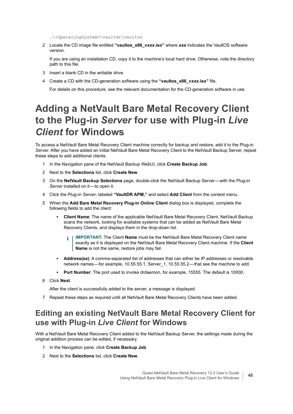…\*<OperatingSystem>*\vaultdr\vaultos

2 Locate the CD image file entitled **"vaultos\_x86\_v***xxx***.iso"** where *xxx* indicates the VaultOS software version.

If you are using an installation CD, copy it to the machine's local hard drive. Otherwise, note the directory path to this file.

- 3 Insert a blank CD in the writable drive.
- 4 Create a CD with the CD-generation software using the **"vaultos\_x86\_v***xxx***.iso"** file.

For details on this procedure, see the relevant documentation for the CD-generation software in use.

## <span id="page-47-0"></span>**Adding a NetVault Bare Metal Recovery Client to the Plug-in** *Server* **for use with Plug-in** *Live Client* **for Windows**

To access a NetVault Bare Metal Recovery Client machine correctly for backup and restore, add it to the Plug-in *Server*. After you have added an initial NetVault Bare Metal Recovery Client to the NetVault Backup Server, repeat these steps to add additional clients.

- 1 In the Navigation pane of the NetVault Backup WebUI, click **Create Backup Job**.
- 2 Next to the **Selections** list, click **Create New**.
- 3 On the **NetVault Backup Selections** page, double-click the NetVault Backup Server with the Plug-in Server installed on it-to open it.
- 4 Click the Plug-in *Server*, labeled **"VaultDR APM,"** and select **Add Client** from the context menu.
- 5 When the **Add Bare Metal Recovery Plug-in Online Client** dialog box is displayed, complete the following fields to add the client:
	- **▪ Client Name**: The name of the applicable NetVault Bare Metal Recovery Client. NetVault Backup scans the network, looking for available systems that can be added as NetVault Bare Metal Recovery Clients, and displays them in the drop-down list.
		- **IMPORTANT:** The Client **Name** must be the NetVault Bare Metal Recovery Client name ÷ exactly as it is displayed on the NetVault Bare Metal Recovery Client machine. If the **Client Name** is not the same, restore jobs may fail.
	- **▪ Address(es)**: A comma-separated list of addresses that can either be IP addresses or resolvable network names—for example, 10.55.55.1, Server 1, 10.55.55.2 — that see the machine to add.
	- **▪ Port Number**: The port used to invoke drdaemon, for example, 15555. The default is 10000.
- 6 Click **Next**.

After the client is successfully added to the server, a message is displayed.

7 Repeat these steps as required until all NetVault Bare Metal Recovery Clients have been added.

### **Editing an existing NetVault Bare Metal Recovery Client for use with Plug-in** *Live Client* **for Windows**

With a NetVault Bare Metal Recovery Client added to the NetVault Backup Server, the settings made during the original addition process can be edited, if necessary.

- 1 In the Navigation pane, click **Create Backup Job**.
- 2 Next to the **Selections** list, click **Create New**.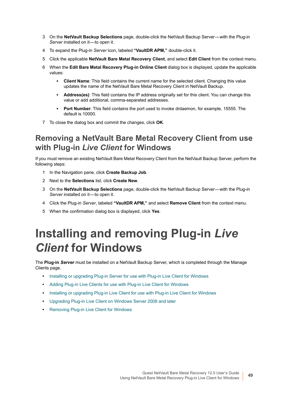- 3 On the **NetVault Backup Selections** page, double-click the NetVault Backup Server with the Plug-in *Server* installed on it-to open it.
- 4 To expand the Plug-in *Server* icon, labeled **"VaultDR APM,"** double-click it.
- 5 Click the applicable **NetVault Bare Metal Recovery Client**, and select **Edit Client** from the context menu.
- 6 When the **Edit Bare Metal Recovery Plug-in Online Client** dialog box is displayed, update the applicable values:
	- **Client Name:** This field contains the current name for the selected client. Changing this value updates the name of the NetVault Bare Metal Recovery Client in NetVault Backup.
	- **▪ Address(es)**: This field contains the IP address originally set for this client. You can change this value or add additional, comma-separated addresses.
	- **▪ Port Number**: This field contains the port used to invoke drdaemon, for example, 15555. The default is 10000.
- 7 To close the dialog box and commit the changes, click **OK**.

#### **Removing a NetVault Bare Metal Recovery Client from use with Plug-in** *Live Client* **for Windows**

If you must remove an existing NetVault Bare Metal Recovery Client from the NetVault Backup Server, perform the following steps:

- 1 In the Navigation pane, click **Create Backup Job**.
- 2 Next to the **Selections** list, click **Create New**.
- 3 On the **NetVault Backup Selections** page, double-click the NetVault Backup Server with the Plug-in *Server* installed on it-to open it.
- 4 Click the Plug-in *Server*, labeled **"VaultDR APM,"** and select **Remove Client** from the context menu.
- 5 When the confirmation dialog box is displayed, click **Yes**.

# <span id="page-48-0"></span>**Installing and removing Plug-in** *Live Client* **for Windows**

The **Plug-in** *Server* must be installed on a NetVault Backup Server, which is completed through the Manage Clients page.

- **•** [Installing or upgrading Plug-in Server for use with Plug-in Live Client for Windows](#page-49-0)
- **•** [Adding Plug-in Live Clients for use with Plug-in Live Client for Windows](#page-50-0)
- **•** [Installing or upgrading Plug-in Live Client for use with Plug-in Live Client for Windows](#page-50-1)
- **•** [Upgrading Plug-in Live Client on Windows Server 2008 and later](#page-51-1)
- **•** [Removing Plug-in Live Client for Windows](#page-51-2)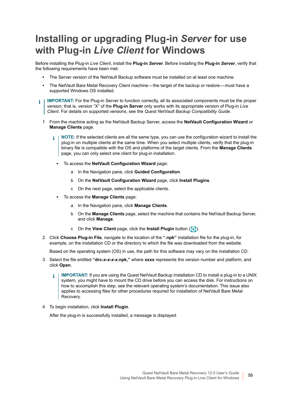## <span id="page-49-0"></span>**Installing or upgrading Plug-in** *Server* **for use with Plug-in** *Live Client* **for Windows**

Before installing the Plug-in *Live Client*, install the **Plug-in** *Server*. Before installing the **Plug-in** *Server*, verify that the following requirements have been met:

- **•** The Server version of the NetVault Backup software must be installed on at least one machine.
- The NetVault Bare Metal Recovery Client machine—the target of the backup or restore—must have a supported Windows OS installed.
- **IMPORTANT:** For the Plug-in Server to function correctly, all its associated components must be the proper ÷. version; that is, version "X" of the **Plug-in Server** only works with its appropriate version of Plug-in *Live Client*. For details on supported versions, see the *Quest NetVault Backup Compatibility Guide*.
	- 1 From the machine acting as the NetVault Backup Server, access the **NetVault Configuration Wizard** or **Manage Clients** page.
		- **NOTE:** If the selected clients are all the same type, you can use the configuration wizard to install the ÷ plug-in on multiple clients at the same time. When you select multiple clients, verify that the plug-in binary file is compatible with the OS and platforms of the target clients. From the **Manage Clients**  page, you can only select one client for plug-in installation.
			- **▪** To access the **NetVault Configuration Wizard** page:
				- a In the Navigation pane, click **Guided Configuration**.
				- b On the **NetVault Configuration Wizard** page, click **Install Plugins**.
				- c On the next page, select the applicable clients.
			- **▪** To access the **Manage Clients** page:
				- a In the Navigation pane, click **Manage Clients**.
				- b On the **Manage Clients** page, select the machine that contains the NetVault Backup Server, and click **Manage**.
				- c On the **View Client** page, click the **Install Plugin** button  $(\cdot)$ .
	- 2 Click **Choose Plug-in File**, navigate to the location of the **".npk"** installation file for the plug-in, for example, on the installation CD or the directory to which the file was downloaded from the website.

Based on the operating system (OS) in use, the path for this software may vary on the installation CD.

- 3 Select the file entitled **"drc-***x-x-x-x***.npk,"** where **xxxx** represents the version number and platform, and click **Open**.
	- **IMPORTANT:** If you are using the Quest NetVault Backup Installation CD to install a plug-in to a UNIX ÷ system, you might have to mount the CD drive before you can access the disk. For instructions on how to accomplish this step, see the relevant operating system's documentation. This issue also applies to accessing files for other procedures required for installation of NetVault Bare Metal Recovery.
- 4 To begin installation, click **Install Plugin**.

After the plug-in is successfully installed, a message is displayed.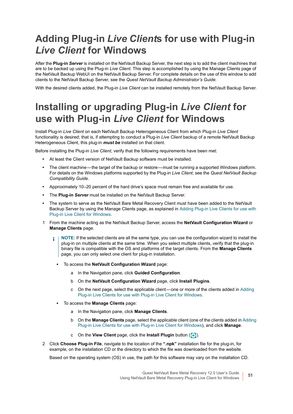## <span id="page-50-0"></span>**Adding Plug-in** *Live Client***s for use with Plug-in**  *Live Client* **for Windows**

After the **Plug-in** *Server* is installed on the NetVault Backup Server, the next step is to add the client machines that are to be backed up using the Plug-in *Live Client*. This step is accomplished by using the Manage Clients page of the NetVault Backup WebUI on the NetVault Backup Server. For complete details on the use of this window to add clients to the NetVault Backup Server, see the *Quest NetVault Backup Administrator's Guide*.

With the desired clients added, the Plug-in *Live Client* can be installed remotely from the NetVault Backup Server.

## <span id="page-50-1"></span>**Installing or upgrading Plug-in** *Live Client* **for use with Plug-in** *Live Client* **for Windows**

Install Plug-in *Live Client* on each NetVault Backup Heterogeneous Client from which Plug-in *Live Client* functionality is desired; that is, if attempting to conduct a Plug-in *Live Client* backup of a remote NetVault Backup Heterogeneous Client, this plug-in *must be* installed on that client.

Before installing the Plug-in *Live Client*, verify that the following requirements have been met:

- **•** At least the Client version of NetVault Backup software must be installed.
- The client machine—the target of the backup or restore—must be running a supported Windows platform. For details on the Windows platforms supported by the Plug-in *Live Client*, see the *Quest NetVault Backup Compatibility Guide*.
- **•** Approximately 10–20 percent of the hard drive's space must remain free and available for use.
- **•** The **Plug-in** *Server* must be installed on the NetVault Backup Server.
- **•** The system to serve as the NetVault Bare Metal Recovery Client must have been added to the NetVault Backup Server by using the Manage Clients page, as explained in [Adding Plug-in Live Clients for use with](#page-50-0)  [Plug-in Live Client for Windows](#page-50-0).
- 1 From the machine acting as the NetVault Backup Server, access the **NetVault Configuration Wizard** or **Manage Clients** page.
	- **NOTE:** If the selected clients are all the same type, you can use the configuration wizard to install the f. plug-in on multiple clients at the same time. When you select multiple clients, verify that the plug-in binary file is compatible with the OS and platforms of the target clients. From the **Manage Clients**  page, you can only select one client for plug-in installation.
		- **▪** To access the **NetVault Configuration Wizard** page:
			- a In the Navigation pane, click **Guided Configuration**.
			- b On the **NetVault Configuration Wizard** page, click **Install Plugins**.
			- c On the next page, select the applicable client one or more of the clients added in [Adding](#page-50-0)  [Plug-in Live Clients for use with Plug-in Live Client for Windows.](#page-50-0)
		- **▪** To access the **Manage Clients** page:
			- a In the Navigation pane, click **Manage Clients**.
			- b On the **Manage Clients** page, select the applicable client (one of the clients added in [Adding](#page-50-0)  [Plug-in Live Clients for use with Plug-in Live Client for Windows\)](#page-50-0), and click **Manage**.
			- c On the **View Client** page, click the **Install Plugin** button (**4**).
- 2 Click **Choose Plug-in File**, navigate to the location of the **".npk"** installation file for the plug-in, for example, on the installation CD or the directory to which the file was downloaded from the website.

Based on the operating system (OS) in use, the path for this software may vary on the installation CD.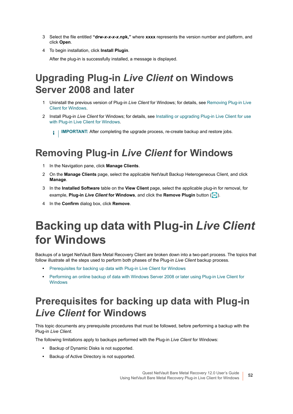- 3 Select the file entitled **"drw-***x-x-x-x***.npk,"** where **xxxx** represents the version number and platform, and click **Open**.
- 4 To begin installation, click **Install Plugin**.

After the plug-in is successfully installed, a message is displayed.

## <span id="page-51-1"></span>**Upgrading Plug-in** *Live Client* **on Windows Server 2008 and later**

- 1 Uninstall the previous version of Plug-in *Live Client* for Windows; for details, see [Removing Plug-in Live](#page-51-2)  [Client for Windows.](#page-51-2)
- 2 Install Plug-in *Live Client* for Windows; for details, see [Installing or upgrading Plug-in Live Client for use](#page-50-1)  [with Plug-in Live Client for Windows.](#page-50-1)

**I IMPORTANT:** After completing the upgrade process, re-create backup and restore iobs.

## <span id="page-51-2"></span>**Removing Plug-in** *Live Client* **for Windows**

- 1 In the Navigation pane, click **Manage Clients**.
- 2 On the **Manage Clients** page, select the applicable NetVault Backup Heterogeneous Client, and click **Manage**.
- 3 In the **Installed Software** table on the **View Client** page, select the applicable plug-in for removal, for example, **Plug-in** *Live Client* **for Windows**, and click the **Remove Plugin** button ( ).
- 4 In the **Confirm** dialog box, click **Remove**.

# <span id="page-51-0"></span>**Backing up data with Plug-in** *Live Client* **for Windows**

Backups of a target NetVault Bare Metal Recovery Client are broken down into a two-part process. The topics that follow illustrate all the steps used to perform both phases of the Plug-in *Live Client* backup process.

- **•** [Prerequisites for backing up data with Plug-in Live Client for Windows](#page-51-3)
- **•** [Performing an online backup of data with Windows Server 2008 or later using Plug-in Live Client for](#page-53-0)  [Windows](#page-53-0)

## <span id="page-51-3"></span>**Prerequisites for backing up data with Plug-in**  *Live Client* **for Windows**

This topic documents any prerequisite procedures that must be followed, before performing a backup with the Plug-in *Live Client*.

The following limitations apply to backups performed with the Plug-in *Live Client* for Windows:

- **•** Backup of Dynamic Disks is not supported.
- **•** Backup of Active Directory is not supported.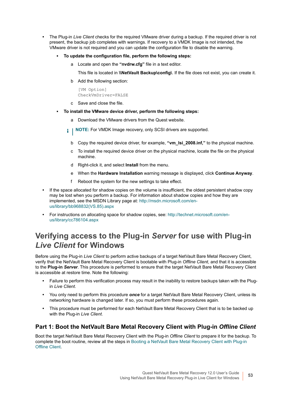- **•** The Plug-in *Live Client* checks for the required VMware driver during a backup. If the required driver is not present, the backup job completes with warnings. If recovery to a VMDK Image is not intended, the VMware driver is not required and you can update the configuration file to disable the warning.
	- **▪ To update the configuration file, perform the following steps:**
		- a Locate and open the **"nvdrw.cfg"** file in a text editor.

This file is located in **\\NetVault Backup\config\**. If the file does not exist, you can create it.

b Add the following section:

[VM Option] CheckVmDriver=FALSE

- c Save and close the file.
- **▪ To install the VMware device driver, perform the following steps:**
	- a Download the VMware drivers from the Quest website.
	- **i** | NOTE: For VMDK Image recovery, only SCSI drivers are supported.
		- b Copy the required device driver, for example, **"vm\_lsi\_2008.inf,"** to the physical machine.
		- c To install the required device driver on the physical machine, locate the file on the physical machine.
		- d Right-click it, and select **Install** from the menu.
		- e When the **Hardware Installation** warning message is displayed, click **Continue Anyway**.
		- f Reboot the system for the new settings to take effect.
- **•** If the space allocated for shadow copies on the volume is insufficient, the oldest persistent shadow copy may be lost when you perform a backup. For information about shadow copies and how they are implemented, see the MSDN Library page at: [http://msdn.microsoft.com/en](http://msdn.microsoft.com/en-us/library/bb968832(VS.85).aspx)[us/library/bb968832\(VS.85\).aspx](http://msdn.microsoft.com/en-us/library/bb968832(VS.85).aspx)
- **•** For instructions on allocating space for shadow copies, see: [http://technet.microsoft.com/en](http://technet.microsoft.com/en-us/library/cc786104.aspx)[us/library/cc786104.aspx](http://technet.microsoft.com/en-us/library/cc786104.aspx)

### **Verifying access to the Plug-in** *Server* **for use with Plug-in**  *Live Client* **for Windows**

Before using the Plug-in *Live Client* to perform active backups of a target NetVault Bare Metal Recovery Client, verify that the NetVault Bare Metal Recovery Client is bootable with Plug-in *Offline Client*, and that it is accessible to the **Plug-in** *Server*. This procedure is performed to ensure that the target NetVault Bare Metal Recovery Client is accessible at restore time. Note the following:

- **•** Failure to perform this verification process may result in the inability to restore backups taken with the Plugin *Live Client*.
- **•** You only need to perform this procedure *once* for a target NetVault Bare Metal Recovery Client, unless its networking hardware is changed later. If so, you must perform these procedures again.
- **•** This procedure must be performed for each NetVault Bare Metal Recovery Client that is to be backed up with the Plug-in *Live Client*.

#### **Part 1: Boot the NetVault Bare Metal Recovery Client with Plug-in** *Offline Client*

Boot the target NetVault Bare Metal Recovery Client with the Plug-in *Offline Client* to prepare it for the backup. To complete the boot routine, review all the steps in [Booting a NetVault Bare Metal Recovery Client with Plug-in](#page-56-0)  [Offline Client](#page-56-0).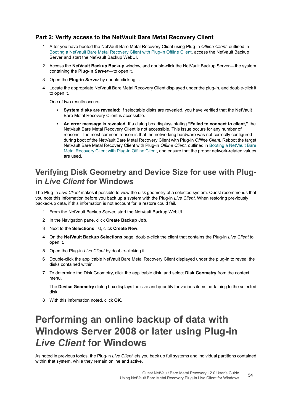#### **Part 2: Verify access to the NetVault Bare Metal Recovery Client**

- 1 After you have booted the NetVault Bare Metal Recovery Client using Plug-in *Offline Client*, outlined in [Booting a NetVault Bare Metal Recovery Client with Plug-in Offline Client,](#page-56-0) access the NetVault Backup Server and start the NetVault Backup WebUI.
- 2 Access the NetVault Backup Backup window, and double-click the NetVault Backup Server-the system containing the **Plug-in Server**—to open it.
- 3 Open the **Plug-in** *Server* by double-clicking it.
- 4 Locate the appropriate NetVault Bare Metal Recovery Client displayed under the plug-in, and double-click it to open it.

One of two results occurs:

- **▪ System disks are revealed**: If selectable disks are revealed, you have verified that the NetVault Bare Metal Recovery Client is accessible.
- **▪ An error message is revealed**: If a dialog box displays stating **"Failed to connect to client,"** the NetVault Bare Metal Recovery Client is not accessible. This issue occurs for any number of reasons. The most common reason is that the networking hardware was not correctly configured during boot of the NetVault Bare Metal Recovery Client with Plug-in *Offline Client*. Reboot the target NetVault Bare Metal Recovery Client with Plug-in *Offline Client*, outlined in [Booting a NetVault Bare](#page-56-0)  [Metal Recovery Client with Plug-in Offline Client,](#page-56-0) and ensure that the proper network-related values are used.

### <span id="page-53-1"></span>**Verifying Disk Geometry and Device Size for use with Plugin** *Live Client* **for Windows**

The Plug-in *Live Client* makes it possible to view the disk geometry of a selected system. Quest recommends that you note this information before you back up a system with the Plug-in *Live Client*. When restoring previously backed-up data, if this information is not account for, a restore could fail.

- 1 From the NetVault Backup Server, start the NetVault Backup WebUI.
- 2 In the Navigation pane, click **Create Backup Job**.
- 3 Next to the **Selections** list, click **Create New**.
- 4 On the **NetVault Backup Selections** page, double-click the client that contains the Plug-in *Live Client* to open it.
- 5 Open the Plug-in *Live Client* by double-clicking it.
- 6 Double-click the applicable NetVault Bare Metal Recovery Client displayed under the plug-in to reveal the disks contained within.
- 7 To determine the Disk Geometry, click the applicable disk, and select **Disk Geometry** from the context menu.

The **Device Geometry** dialog box displays the size and quantity for various items pertaining to the selected disk.

8 With this information noted, click **OK**.

## <span id="page-53-0"></span>**Performing an online backup of data with Windows Server 2008 or later using Plug-in**  *Live Client* **for Windows**

As noted in previous topics, the Plug-in *Live Client* lets you back up full systems and individual partitions contained within that system, while they remain online and active.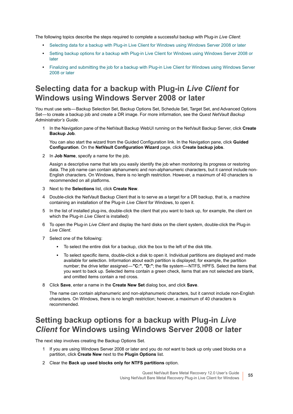The following topics describe the steps required to complete a successful backup with Plug-in *Live Client*:

- **•** [Selecting data for a backup with Plug-in Live Client for Windows using Windows Server 2008 or later](#page-54-0)
- **•** [Setting backup options for a backup with Plug-in Live Client for Windows using Windows Server 2008 or](#page-54-1)  [later](#page-54-1)
- **•** [Finalizing and submitting the job for a backup with Plug-in Live Client for Windows using Windows Server](#page-55-0)  [2008 or later](#page-55-0)

### <span id="page-54-0"></span>**Selecting data for a backup with Plug-in** *Live Client* **for Windows using Windows Server 2008 or later**

You must use sets — Backup Selection Set, Backup Options Set, Schedule Set, Target Set, and Advanced Options Set — to create a backup job and create a DR image. For more information, see the *Quest NetVault Backup Administrator's Guide*.

1 In the Navigation pane of the NetVault Backup WebUI running on the NetVault Backup Server, click **Create Backup Job**.

You can also start the wizard from the Guided Configuration link. In the Navigation pane, click **Guided Configuration**. On the **NetVault Configuration Wizard** page, click **Create backup jobs**.

2 In **Job Name**, specify a name for the job.

Assign a descriptive name that lets you easily identify the job when monitoring its progress or restoring data. The job name can contain alphanumeric and non-alphanumeric characters, but it cannot include non-English characters. On Windows, there is no length restriction. However, a maximum of 40 characters is recommended on all platforms.

- 3 Next to the **Selections** list, click **Create New**.
- 4 Double-click the NetVault Backup Client that is to serve as a target for a DR backup, that is, a machine containing an installation of the Plug-in *Live Client* for Windows, to open it.
- 5 In the list of installed plug-ins, double-click the client that you want to back up, for example, the client on which the Plug-in *Live Client* is installed)
- 6 To open the Plug-in *Live Client* and display the hard disks on the client system, double-click the Plug-in *Live Client*.
- 7 Select one of the following:
	- **▪** To select the entire disk for a backup, click the box to the left of the disk title.
	- **▪** To select specific items, double-click a disk to open it. Individual partitions are displayed and made available for selection. Information about each partition is displayed; for example, the partition number; the drive letter assigned — **"C:"**, **"D:"**; the file system — NTFS, HPFS. Select the items that you want to back up. Selected items contain a green check, items that are not selected are blank, and omitted items contain a red cross.
- 8 Click **Save**, enter a name in the **Create New Set** dialog box, and click **Save**.

The name can contain alphanumeric and non-alphanumeric characters, but it cannot include non-English characters. On Windows, there is no length restriction; however, a maximum of 40 characters is recommended.

### <span id="page-54-1"></span>**Setting backup options for a backup with Plug-in** *Live Client* **for Windows using Windows Server 2008 or later**

The next step involves creating the Backup Options Set.

- 1 If you are using Windows Server 2008 or later and you do *not* want to back up only used blocks on a partition, click **Create New** next to the **Plugin Options** list.
- 2 Clear the **Back up used blocks only for NTFS partitions** option.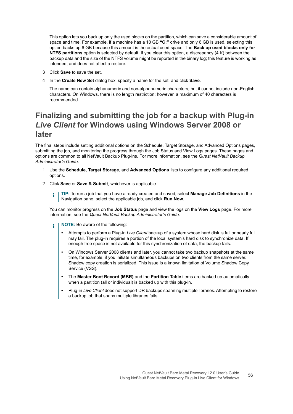This option lets you back up only the used blocks on the partition, which can save a considerable amount of space and time. For example, if a machine has a 10 GB **"C:"** drive and only 6 GB is used, selecting this option backs up 6 GB because this amount is the actual used space. The **Back up used blocks only for NTFS partitions** option is selected by default. If you clear this option, a discrepancy (4 K) between the backup data and the size of the NTFS volume might be reported in the binary log; this feature is working as intended, and does not affect a restore.

- 3 Click **Save** to save the set.
- 4 In the **Create New Set** dialog box, specify a name for the set, and click **Save**.

The name can contain alphanumeric and non-alphanumeric characters, but it cannot include non-English characters. On Windows, there is no length restriction; however, a maximum of 40 characters is recommended.

### <span id="page-55-0"></span>**Finalizing and submitting the job for a backup with Plug-in**  *Live Client* **for Windows using Windows Server 2008 or later**

The final steps include setting additional options on the Schedule, Target Storage, and Advanced Options pages, submitting the job, and monitoring the progress through the Job Status and View Logs pages. These pages and options are common to all NetVault Backup Plug-ins. For more information, see the *Quest NetVault Backup Administrator's Guide*.

- 1 Use the **Schedule**, **Target Storage**, and **Advanced Options** lists to configure any additional required options.
- 2 Click **Save** or **Save & Submit**, whichever is applicable.
	- **TIP:** To run a job that you have already created and saved, select **Manage Job Definitions** in the ÷ Navigation pane, select the applicable job, and click **Run Now**.

You can monitor progress on the **Job Status** page and view the logs on the **View Logs** page. For more information, see the *Quest NetVault Backup Administrator's Guide*.

- **NOTE:** Be aware of the following: f.
	- **•** Attempts to perform a Plug-in *Live Client* backup of a system whose hard disk is full or nearly full, may fail. The plug-in requires a portion of the local system's hard disk to synchronize data. If enough free space is not available for this synchronization of data, the backup fails.
	- **•** On Windows Server 2008 clients and later, you cannot take two backup snapshots at the same time, for example, if you initiate simultaneous backups on two clients from the same server. Shadow copy creation is serialized. This issue is a known limitation of Volume Shadow Copy Service (VSS).
	- **•** The **Master Boot Record (MBR)** and the **Partition Table** items are backed up automatically when a partition (all or individual) is backed up with this plug-in.
	- **•** Plug-in *Live Client* does not support DR backups spanning multiple libraries. Attempting to restore a backup job that spans multiple libraries fails.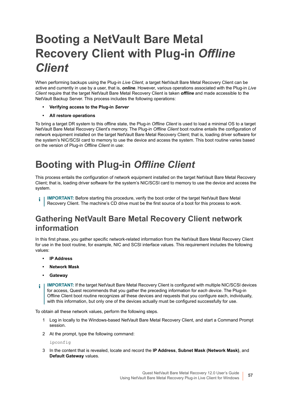# <span id="page-56-0"></span>**Booting a NetVault Bare Metal Recovery Client with Plug-in** *Offline Client*

When performing backups using the Plug-in *Live Client*, a target NetVault Bare Metal Recovery Client can be active and currently in use by a user, that is, *online*. However, various operations associated with the Plug-in *Live Client* require that the target NetVault Bare Metal Recovery Client is taken *offline* and made accessible to the NetVault Backup Server. This process includes the following operations:

- **Verifying access to the Plug-in** *Server*
- **All restore operations**

To bring a target DR system to this offline state, the Plug-in *Offline Client* is used to load a minimal OS to a target NetVault Bare Metal Recovery Client's memory. The Plug-in *Offline Client* boot routine entails the configuration of network equipment installed on the target NetVault Bare Metal Recovery Client; that is, loading driver software for the system's NIC/SCSI card to memory to use the device and access the system. This boot routine varies based on the version of Plug-in *Offline Client* in use:

## **Booting with Plug-in** *Offline Client*

This process entails the configuration of network equipment installed on the target NetVault Bare Metal Recovery Client; that is, loading driver software for the system's NIC/SCSI card to memory to use the device and access the system.

**IMPORTANT:** Before starting this procedure, verify the boot order of the target NetVault Bare Metal i. Recovery Client. The machine's CD drive must be the first source of a boot for this process to work.

### **Gathering NetVault Bare Metal Recovery Client network information**

In this first phase, you gather specific network-related information from the NetVault Bare Metal Recovery Client for use in the boot routine, for example, NIC and SCSI interface values. This requirement includes the following values:

- **IP Address**
- **Network Mask**
- **Gateway**
- **IMPORTANT:** If the target NetVault Bare Metal Recovery Client is configured with multiple NIC/SCSI devices ÷ for access, Quest recommends that you gather the preceding information for *each device*. The Plug-in Offline Client boot routine recognizes *all* these devices and requests that you configure each, individually, with this information, but only one of the devices actually must be configured successfully for use.

To obtain all these network values, perform the following steps.

- 1 Log in locally to the Windows-based NetVault Bare Metal Recovery Client, and start a Command Prompt session.
- 2 At the prompt, type the following command:

ipconfig

3 In the content that is revealed, locate and record the **IP Address**, **Subnet Mask (Network Mask)**, and **Default Gateway** values.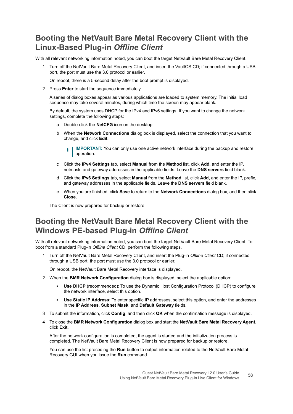### **Booting the NetVault Bare Metal Recovery Client with the Linux-Based Plug-in** *Offline Client*

With all relevant networking information noted, you can boot the target NetVault Bare Metal Recovery Client.

1 Turn off the NetVault Bare Metal Recovery Client, and insert the VaultOS CD; if connected through a USB port, the port must use the 3.0 protocol or earlier.

On reboot, there is a 5-second delay after the boot prompt is displayed.

2 Press **Enter** to start the sequence immediately.

A series of dialog boxes appear as various applications are loaded to system memory. The initial load sequence may take several minutes, during which time the screen may appear blank.

By default, the system uses DHCP for the IPv4 and IPv6 settings. If you want to change the network settings, complete the following steps:

- a Double-click the **NetCFG** icon on the desktop.
- b When the **Network Connections** dialog box is displayed, select the connection that you want to change, and click **Edit**.
	- **IMPORTANT:** You can only use one active network interface during the backup and restore ÷ operation.
- c Click the **IPv4 Settings** tab, select **Manual** from the **Method** list, click **Add**, and enter the IP, netmask, and gateway addresses in the applicable fields. Leave the **DNS servers** field blank.
- d Click the **IPv6 Settings** tab, select **Manual** from the **Method** list, click **Add**, and enter the IP, prefix, and gateway addresses in the applicable fields. Leave the **DNS servers** field blank.
- e When you are finished, click **Save** to return to the **Network Connections** dialog box, and then click **Close**.

The Client is now prepared for backup or restore.

### **Booting the NetVault Bare Metal Recovery Client with the Windows PE-based Plug-in** *Offline Client*

With all relevant networking information noted, you can boot the target NetVault Bare Metal Recovery Client. To boot from a standard Plug-in *Offline Client* CD, perform the following steps.

1 Turn off the NetVault Bare Metal Recovery Client, and insert the Plug-in *Offline Client* CD; if connected through a USB port, the port must use the 3.0 protocol or earlier.

On reboot, the NetVault Bare Metal Recovery interface is displayed.

- 2 When the **BMR Network Configuration** dialog box is displayed, select the applicable option:
	- **Use DHCP** (recommended): To use the Dynamic Host Configuration Protocol (DHCP) to configure the network interface, select this option.
	- **▪ Use Static IP Address**: To enter specific IP addresses, select this option, and enter the addresses in the **IP Address**, **Subnet Mask**, and **Default Gateway** fields.
- 3 To submit the information, click **Config**, and then click **OK** when the confirmation message is displayed.
- 4 To close the **BMR Network Configuration** dialog box and start the **NetVault Bare Metal Recovery Agent**, click **Exit**.

After the network configuration is completed, the agent is started and the initialization process is completed. The NetVault Bare Metal Recovery Client is now prepared for backup or restore.

You can use the list preceding the **Run** button to output information related to the NetVault Bare Metal Recovery GUI when you issue the **Run** command.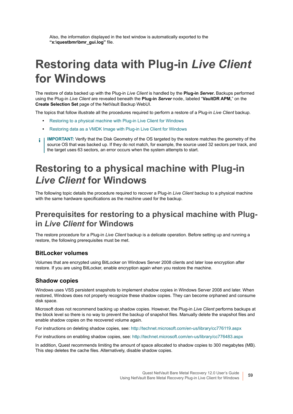Also, the information displayed in the text window is automatically exported to the **"x:\questbmr\bmr\_gui.log"** file.

# <span id="page-58-0"></span>**Restoring data with Plug-in** *Live Client* **for Windows**

The restore of data backed up with the Plug-in *Live Client* is handled by the **Plug-in** *Server***.** Backups performed using the Plug-in *Live Client* are revealed beneath the **Plug-in** *Server* node , labeled "**VaultDR APM,**" on the **Create Selection Set** page of the NetVault Backup WebUI.

The topics that follow illustrate all the procedures required to perform a restore of a Plug-in *Live Client* backup.

- **•** [Restoring to a physical machine with Plug-in Live Client for Windows](#page-58-1)
- **•** [Restoring data as a VMDK Image with Plug-in Live Client for Windows](#page-62-0)
- **I IMPORTANT:** Verify that the Disk Geometry of the OS targeted by the restore matches the geometry of the source OS that was backed up. If they do not match, for example, the source used 32 sectors per track, and the target uses 63 sectors, an error occurs when the system attempts to start.

## <span id="page-58-1"></span>**Restoring to a physical machine with Plug-in**  *Live Client* **for Windows**

The following topic details the procedure required to recover a Plug-in *Live Client* backup to a physical machine with the same hardware specifications as the machine used for the backup.

### **Prerequisites for restoring to a physical machine with Plugin** *Live Client* **for Windows**

The restore procedure for a Plug-in *Live Client* backup is a delicate operation. Before setting up and running a restore, the following prerequisites must be met.

#### **BitLocker volumes**

Volumes that are encrypted using BitLocker on Windows Server 2008 clients and later lose encryption after restore. If you are using BitLocker, enable encryption again when you restore the machine.

#### **Shadow copies**

Windows uses VSS persistent snapshots to implement shadow copies in Windows Server 2008 and later. When restored, Windows does not properly recognize these shadow copies. They can become orphaned and consume disk space.

Microsoft does not recommend backing up shadow copies. However, the Plug-in *Live Client* performs backups at the block level so there is no way to prevent the backup of snapshot files. Manually delete the snapshot files and enable shadow copies on the recovered volume again.

For instructions on deleting shadow copies, see:<http://technet.microsoft.com/en-us/library/cc776119.aspx>

For instructions on enabling shadow copies, see: <http://technet.microsoft.com/en-us/library/cc776483.aspx>

In addition, Quest recommends limiting the amount of space allocated to shadow copies to 300 megabytes (MB). This step deletes the cache files. Alternatively, disable shadow copies.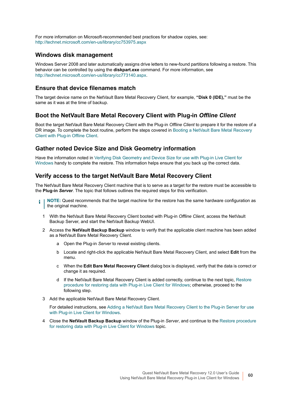For more information on Microsoft-recommended best practices for shadow copies, see: <http://technet.microsoft.com/en-us/library/cc753975.aspx>

#### **Windows disk management**

Windows Server 2008 and later automatically assigns drive letters to new-found partitions following a restore. This behavior can be controlled by using the **diskpart.exe** command. For more information, see <http://technet.microsoft.com/en-us/library/cc773140.aspx>.

#### **Ensure that device filenames match**

The target device name on the NetVault Bare Metal Recovery Client, for example, **"Disk 0 (IDE),"** must be the same as it was at the time of backup.

#### **Boot the NetVault Bare Metal Recovery Client with Plug-in** *Offline Client*

Boot the target NetVault Bare Metal Recovery Client with the Plug-in *Offline Client* to prepare it for the restore of a DR image. To complete the boot routine, perform the steps covered in [Booting a NetVault Bare Metal Recovery](#page-56-0)  [Client with Plug-in Offline Client.](#page-56-0)

#### **Gather noted Device Size and Disk Geometry information**

Have the information noted in [Verifying Disk Geometry and Device Size for use with Plug-in Live Client for](#page-53-1)  [Windows](#page-53-1) handy to complete the restore. This information helps ensure that you back up the correct data.

#### **Verify access to the target NetVault Bare Metal Recovery Client**

The NetVault Bare Metal Recovery Client machine that is to serve as a target for the restore must be accessible to the **Plug-in** *Server*. The topic that follows outlines the required steps for this verification.

- **NOTE:** Quest recommends that the target machine for the restore has the same hardware configuration as ÷ the original machine.
	- 1 With the NetVault Bare Metal Recovery Client booted with Plug-in *Offline Client*, access the NetVault Backup Server, and start the NetVault Backup WebUI.
	- 2 Access the **NetVault Backup Backup** window to verify that the applicable client machine has been added as a NetVault Bare Metal Recovery Client.
		- a Open the Plug-in *Server* to reveal existing clients.
		- b Locate and right-click the applicable NetVault Bare Metal Recovery Client, and select **Edit** from the menu.
		- c When the **Edit Bare Metal Recovery Client** dialog box is displayed, verify that the data is correct or change it as required.
		- d If the NetVault Bare Metal Recovery Client is added correctly, continue to the next topic, [Restore](#page-60-0)  [procedure for restoring data with Plug-in Live Client for Windows;](#page-60-0) otherwise, proceed to the following step.
	- 3 Add the applicable NetVault Bare Metal Recovery Client.

For detailed instructions, see [Adding a NetVault Bare Metal Recovery Client to the Plug-in Server for use](#page-47-0)  [with Plug-in Live Client for Windows.](#page-47-0)

4 Close the **NetVault Backup Backup** window of the Plug-in *Server*, and continue to the [Restore procedure](#page-60-0)  [for restoring data with Plug-in Live Client for Windows](#page-60-0) topic.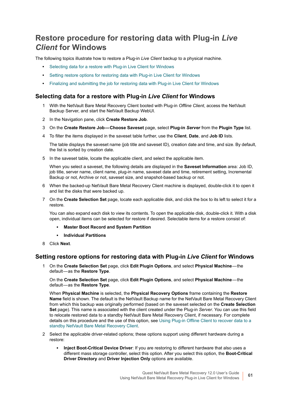### <span id="page-60-0"></span>**Restore procedure for restoring data with Plug-in** *Live Client* **for Windows**

The following topics illustrate how to restore a Plug-in *Live Client* backup to a physical machine.

- **•** [Selecting data for a restore with Plug-in Live Client for Windows](#page-60-1)
- **•** [Setting restore options for restoring data with Plug-in Live Client for Windows](#page-60-2)
- **•** [Finalizing and submitting the job for restoring data with Plug-in Live Client for Windows](#page-61-0)

#### <span id="page-60-1"></span>**Selecting data for a restore with Plug-in** *Live Client* **for Windows**

- 1 With the NetVault Bare Metal Recovery Client booted with Plug-in *Offline Client*, access the NetVault Backup Server, and start the NetVault Backup WebUI.
- 2 In the Navigation pane, click **Create Restore Job**.
- 3 On the **Create Restore Job Choose Saveset** page, select **Plug-in** *Server* from the **Plugin Type** list.
- 4 To filter the items displayed in the saveset table further, use the **Client**, **Date**, and **Job ID** lists.

The table displays the saveset name (job title and saveset ID), creation date and time, and size. By default, the list is sorted by creation date.

5 In the saveset table, locate the applicable client, and select the applicable item.

When you select a saveset, the following details are displayed in the **Saveset Information** area: Job ID, job title, server name, client name, plug-in name, saveset date and time, retirement setting, Incremental Backup or not, Archive or not, saveset size, and snapshot-based backup or not.

- 6 When the backed-up NetVault Bare Metal Recovery Client machine is displayed, double-click it to open it and list the disks that were backed up.
- 7 On the **Create Selection Set** page, locate each applicable disk, and click the box to its left to select it for a restore.

You can also expand each disk to view its contents. To open the applicable disk, double-click it. With a disk open, individual items can be selected for restore if desired. Selectable items for a restore consist of:

- **▪ Master Boot Record and System Partition**
- **▪ Individual Partitions**
- 8 Click **Next**.

#### <span id="page-60-2"></span>**Setting restore options for restoring data with Plug-in** *Live Client* **for Windows**

1 On the **Create Selection Set** page, click **Edit Plugin Options**, and select **Physical Machine** — the default — as the **Restore Type**.

On the **Create Selection Set** page, click **Edit Plugin Options**, and select **Physical Machine** — the default — as the **Restore Type**.

When **Physical Machine** is selected, the **Physical Recovery Options** frame containing the **Restore Name** field is shown. The default is the NetVault Backup name for the NetVault Bare Metal Recovery Client from which this backup was originally performed (based on the saveset selected on the **Create Selection Set** page). This name is associated with the client created under the Plug-in *Server*. You can use this field to relocate restored data to a standby NetVault Bare Metal Recovery Client, if necessary. For complete details on this procedure and the use of this option, see [Using Plug-in Offline Client to recover data to a](#page-41-1)  [standby NetVault Bare Metal Recovery Client](#page-41-1).

- 2 Select the applicable driver-related options; these options support using different hardware during a restore:
	- **▪ Inject Boot-Critical Device Driver**: If you are restoring to different hardware that also uses a different mass storage controller, select this option. After you select this option, the **Boot-Critical Driver Directory** and **Driver Injection Only** options are available.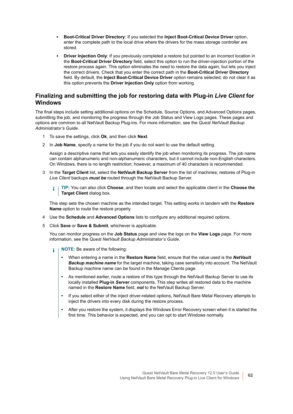- **▪ Boot-Critical Driver Directory**: If you selected the **Inject Boot-Critical Device Driver** option, enter the complete path to the local drive where the drivers for the mass storage controller are stored.
- **Driver Injection Only:** If you previously completed a restore but pointed to an incorrect location in the **Boot-Critical Driver Directory** field, select this option to run the driver-injection portion of the restore process again. This option eliminates the need to restore the data again, but lets you inject the correct drivers. Check that you enter the correct path in the **Boot-Critical Driver Directory** field. By default, the **Inject Boot-Critical Device Driver** option remains selected; do not clear it as this option prevents the **Driver Injection Only** option from working.

#### <span id="page-61-0"></span>**Finalizing and submitting the job for restoring data with Plug-in** *Live Client* **for Windows**

The final steps include setting additional options on the Schedule, Source Options, and Advanced Options pages, submitting the job, and monitoring the progress through the Job Status and View Logs pages. These pages and options are common to all NetVault Backup Plug-ins. For more information, see the *Quest NetVault Backup Administrator's Guide*.

- 1 To save the settings, click **Ok**, and then click **Next**.
- 2 In **Job Name**, specify a name for the job if you do not want to use the default setting.

Assign a descriptive name that lets you easily identify the job when monitoring its progress. The job name can contain alphanumeric and non-alphanumeric characters, but it cannot include non-English characters. On Windows, there is no length restriction; however, a maximum of 40 characters is recommended.

- 3 In the **Target Client** list, select the **NetVault Backup Server** from the list of machines; restores of Plug-in *Live Client* backups *must be* routed through the NetVault Backup Server.
	- **TIP:** You can also click **Choose**, and then locate and select the applicable client in the **Choose the**  i **Target Client** dialog box.

This step sets the chosen machine as the intended target. This setting works in tandem with the **Restore Name** option to route the restore properly.

- 4 Use the **Schedule** and **Advanced Options** lists to configure any additional required options.
- 5 Click **Save** or **Save & Submit**, whichever is applicable.

You can monitor progress on the **Job Status** page and view the logs on the **View Logs** page. For more information, see the *Quest NetVault Backup Administrator's Guide*.

- **NOTE:** Be aware of the following: ÷.
	- **•** When entering a name in the **Restore Name** field, ensure that the value used is the *NetVault Backup machine name* for the target machine, taking case sensitivity into account. The NetVault Backup machine name can be found in the Manage Clients page.
	- **•** As mentioned earlier, route a restore of this type through the NetVault Backup Server to use its locally installed **Plug-in** *Server* components. This step writes all restored data to the machine named in the **Restore Name** field, *not* to the NetVault Backup Server.
	- **•** If you select either of the inject driver-related options, NetVault Bare Metal Recovery attempts to inject the drivers into every disk during the restore process.
	- **•** After you restore the system, it displays the Windows Error Recovery screen when it is started the first time. This behavior is expected, and you can opt to start Windows normally.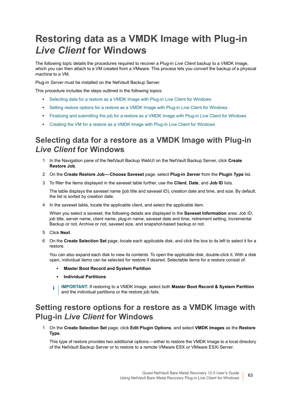## <span id="page-62-0"></span>**Restoring data as a VMDK Image with Plug-in**  *Live Client* **for Windows**

The following topic details the procedures required to recover a Plug-in *Live Client* backup to a VMDK Image, which you can then attach to a VM created from a VMware. This process lets you convert the backup of a physical machine to a VM.

Plug-in *Server* must be installed on the NetVault Backup Server.

This procedure includes the steps outlined in the following topics:

- **•** [Selecting data for a restore as a VMDK Image with Plug-in Live Client for Windows](#page-62-1)
- **•** [Setting restore options for a restore as a VMDK Image with Plug-in Live Client for Windows](#page-62-2)
- **•** [Finalizing and submitting the job for a restore as a VMDK Image with Plug-in Live Client for Windows](#page-63-0)
- **•** [Creating the VM for a restore as a VMDK Image with Plug-in Live Client for Windows](#page-64-0)

#### <span id="page-62-1"></span>**Selecting data for a restore as a VMDK Image with Plug-in**  *Live Client* **for Windows**

- 1 In the Navigation pane of the NetVault Backup WebUI on the NetVault Backup Server, click **Create Restore Job**.
- 2 On the **Create Restore Job Choose Saveset** page, select **Plug-in** *Server* from the **Plugin Type** list.
- 3 To filter the items displayed in the saveset table further, use the **Client**, **Date**, and **Job ID** lists.

The table displays the saveset name (job title and saveset ID), creation date and time, and size. By default, the list is sorted by creation date.

4 In the saveset table, locate the applicable client, and select the applicable item.

When you select a saveset, the following details are displayed in the **Saveset Information** area: Job ID, job title, server name, client name, plug-in name, saveset date and time, retirement setting, Incremental Backup or not, Archive or not, saveset size, and snapshot-based backup or not.

- 5 Click **Next**.
- 6 On the **Create Selection Set** page, locate each applicable disk, and click the box to its left to select it for a restore.

You can also expand each disk to view its contents. To open the applicable disk, double-click it. With a disk open, individual items can be selected for restore if desired. Selectable items for a restore consist of:

- **▪ Master Boot Record and System Partition**
- **▪ Individual Partitions**
- **i** | IMPORTANT: If restoring to a VMDK Image, select both Master Boot Record & System Partition and the individual partitions or the restore job fails.

### <span id="page-62-2"></span>**Setting restore options for a restore as a VMDK Image with Plug-in** *Live Client* **for Windows**

1 On the **Create Selection Set** page, click **Edit Plugin Options**, and select **VMDK Images** as the **Restore Type**.

This type of restore provides two additional options—either to restore the VMDK Image to a local directory of the NetVault Backup Server or to restore to a remote VMware ESX or VMware ESXi Server.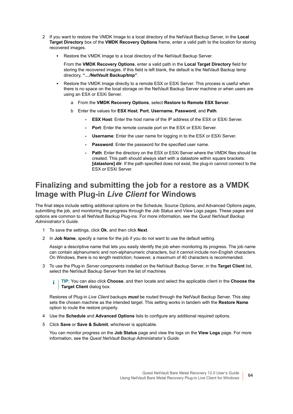- 2 If you want to restore the VMDK Image to a local directory of the NetVault Backup Server, in the **Local Target Directory** box of the **VMDK Recovery Options** frame, enter a valid path to the location for storing recovered images.
	- **▪** Restore the VMDK Image to a local directory of the NetVault Backup Server.

From the **VMDK Recovery Options**, enter a valid path in the **Local Target Directory** field for storing the recovered images. If this field is left blank, the default is the NetVault Backup temp directory, **"…/NetVault Backup/tmp"**.

- Restore the VMDK Image directly to a remote ESX or ESXi Server. This process is useful when there is no space on the local storage on the NetVault Backup Server machine or when users are using an ESX or ESXi Server.
	- a From the **VMDK Recovery Options**, select **Restore to Remote ESX Server**.
	- b Enter the values for **ESX Host**, **Port**, **Username**, **Password**, and **Path**.
		- **ESX Host:** Enter the host name of the IP address of the ESX or ESXi Server.
		- **Port:** Enter the remote console port on the ESX or ESXi Server.
		- **Username**: Enter the user name for logging in to the ESX or ESXi Server.
		- **Password**: Enter the password for the specified user name.
		- Path: Enter the directory on the ESX or ESXi Server where the VMDK files should be created. This path should always start with a datastore within square brackets: **[datastore] dir**. If the path specified does not exist, the plug-in cannot connect to the ESX or ESXi Server.

#### <span id="page-63-0"></span>**Finalizing and submitting the job for a restore as a VMDK Image with Plug-in** *Live Client* **for Windows**

The final steps include setting additional options on the Schedule, Source Options, and Advanced Options pages, submitting the job, and monitoring the progress through the Job Status and View Logs pages. These pages and options are common to all NetVault Backup Plug-ins. For more information, see the *Quest NetVault Backup Administrator's Guide*.

- 1 To save the settings, click **Ok**, and then click **Next**.
- 2 In **Job Name**, specify a name for the job if you do not want to use the default setting.

Assign a descriptive name that lets you easily identify the job when monitoring its progress. The job name can contain alphanumeric and non-alphanumeric characters, but it cannot include non-English characters. On Windows, there is no length restriction; however, a maximum of 40 characters is recommended.

3 To use the Plug-in *Server* components installed on the NetVault Backup Server, in the **Target Client** list, select the NetVault Backup Server from the list of machines

**TIP:** You can also click **Choose**, and then locate and select the applicable client in the **Choose the**  ÷ **Target Client** dialog box.

Restores of Plug-in *Live Client* backups *must* be routed through the NetVault Backup Server. This step sets the chosen machine as the intended target. This setting works in tandem with the **Restore Name** option to route the restore properly.

- 4 Use the **Schedule** and **Advanced Options** lists to configure any additional required options.
- 5 Click **Save** or **Save & Submit**, whichever is applicable.

You can monitor progress on the **Job Status** page and view the logs on the **View Logs** page. For more information, see the *Quest NetVault Backup Administrator's Guide*.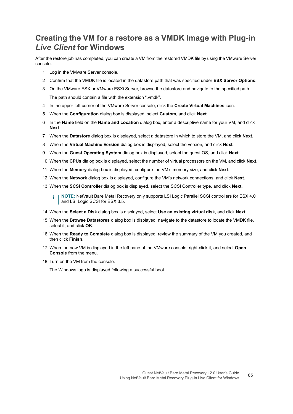### <span id="page-64-0"></span>**Creating the VM for a restore as a VMDK Image with Plug-in**  *Live Client* **for Windows**

After the restore job has completed, you can create a VM from the restored VMDK file by using the VMware Server console.

- 1 Log in the VMware Server console.
- 2 Confirm that the VMDK file is located in the datastore path that was specified under **ESX Server Options**.
- 3 On the VMware ESX or VMware ESXi Server, browse the datastore and navigate to the specified path. The path should contain a file with the extension ".vmdk".
- 4 In the upper-left corner of the VMware Server console, click the **Create Virtual Machines** icon.
- 5 When the **Configuration** dialog box is displayed, select **Custom**, and click **Next**.
- 6 In the **Name** field on the **Name and Location** dialog box, enter a descriptive name for your VM, and click **Next**.
- 7 When the **Datastore** dialog box is displayed, select a datastore in which to store the VM, and click **Next**.
- 8 When the **Virtual Machine Version** dialog box is displayed, select the version, and click **Next**.
- 9 When the **Guest Operating System** dialog box is displayed, select the guest OS, and click **Next**.
- 10 When the **CPUs** dialog box is displayed, select the number of virtual processors on the VM, and click **Next**.
- 11 When the **Memory** dialog box is displayed, configure the VM's memory size, and click **Next**.
- 12 When the **Network** dialog box is displayed, configure the VM's network connections, and click **Next**.
- 13 When the **SCSI Controller** dialog box is displayed, select the SCSI Controller type, and click **Next**.
	- **NOTE:** NetVault Bare Metal Recovery only supports LSI Logic Parallel SCSI controllers for ESX 4.0  $\blacksquare$ and LSI Logic SCSI for ESX 3.5.
- 14 When the **Select a Disk** dialog box is displayed, select **Use an existing virtual disk**, and click **Next**.
- 15 When the **Browse Datastores** dialog box is displayed, navigate to the datastore to locate the VMDK file, select it, and click **OK**.
- 16 When the **Ready to Complete** dialog box is displayed, review the summary of the VM you created, and then click **Finish**.
- 17 When the new VM is displayed in the left pane of the VMware console, right-click it, and select **Open Console** from the menu.
- 18 Turn on the VM from the console.

The Windows logo is displayed following a successful boot.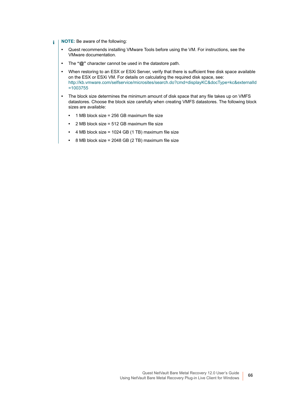- **NOTE:** Be aware of the following: f.
	- **•** Quest recommends installing VMware Tools before using the VM. For instructions, see the VMware documentation.
	- **•** The **"@"** character cannot be used in the datastore path.
	- **•** When restoring to an ESX or ESXi Server, verify that there is sufficient free disk space available on the ESX or ESXi VM. For details on calculating the required disk space, see: [http://kb.vmware.com/selfservice/microsites/search.do?cmd=displayKC&docType=kc&externalId](http://kb.vmware.com/selfservice/microsites/search.do?cmd=displayKC&docType=kc&externalId=1003755) =1003755
	- **•** The block size determines the minimum amount of disk space that any file takes up on VMFS datastores. Choose the block size carefully when creating VMFS datastores. The following block sizes are available:
		- **•** 1 MB block size = 256 GB maximum file size
		- **•** 2 MB block size = 512 GB maximum file size
		- **•** 4 MB block size = 1024 GB (1 TB) maximum file size
		- **•** 8 MB block size = 2048 GB (2 TB) maximum file size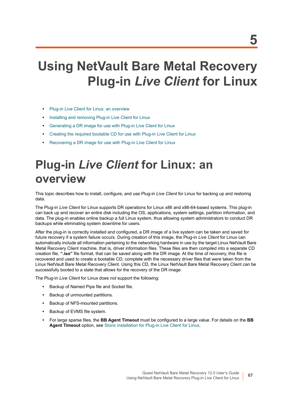# **Using NetVault Bare Metal Recovery Plug-in** *Live Client* **for Linux**

- **•** [Plug-in Live Client for Linux: an overview](#page-66-0)
- **•** [Installing and removing Plug-in Live Client for Linux](#page-67-0)
- **•** [Generating a DR image for use with Plug-in Live Client for Linux](#page-72-0)
- **•** [Creating the required bootable CD for use with Plug-in Live Client for Linux](#page-74-0)
- **•** [Recovering a DR image for use with Plug-in Live Client for Linux](#page-77-0)

# <span id="page-66-0"></span>**Plug-in** *Live Client* **for Linux: an overview**

This topic describes how to install, configure, and use Plug-in *Live Client* for Linux for backing up and restoring data.

The Plug-in *Live Client* for Linux supports DR operations for Linux x86 and x86-64-based systems. This plug-in can back up and recover an entire disk including the OS, applications, system settings, partition information, and data. The plug-in enables online backup a full Linux system, thus allowing system administrators to conduct DR backups while eliminating system downtime for users.

After the plug-in is correctly installed and configured, a DR image of a live system can be taken and saved for future recovery if a system failure occurs. During creation of this image, the Plug-in *Live Client* for Linux can automatically include all information pertaining to the networking hardware in use by the target Linux NetVault Bare Metal Recovery Client machine, that is, driver information files. These files are then compiled into a separate CD creation file, **".iso"** file format, that can be saved along with the DR image. At the time of recovery, this file is recovered and used to create a bootable CD, complete with the necessary driver files that were taken from the Linux NetVault Bare Metal Recovery Client. Using this CD, the Linux NetVault Bare Metal Recovery Client can be successfully booted to a state that allows for the recovery of the DR image.

The Plug-in *Live Client* for Linux does *not* support the following:

- **•** Backup of Named Pipe file and Socket file.
- **•** Backup of unmounted partitions.
- **•** Backup of NFS-mounted partitions.
- **•** Backup of EVMS file system.
- **•** For large sparse files, the **BB Agent Timeout** must be configured to a large value. For details on the **BB Agent Timeout** option, see [Storix installation for Plug-in Live Client for Linux](#page-70-0).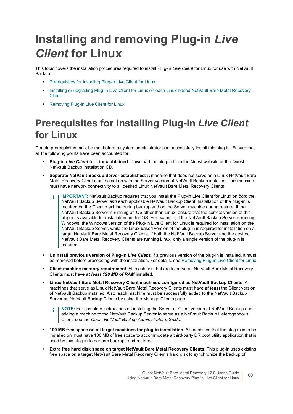# <span id="page-67-0"></span>**Installing and removing Plug-in** *Live Client* **for Linux**

This topic covers the installation procedures required to install Plug-in *Live Client* for Linux for use with NetVault Backup.

- **•** [Prerequisites for installing Plug-in Live Client for Linux](#page-67-1)
- Installing or upgrading Plug-in Live Client for Linux on each Linux-based NetVault Bare Metal Recovery [Client](#page-70-1)
- **•** [Removing Plug-in Live Client for Linux](#page-71-0)

## <span id="page-67-1"></span>**Prerequisites for installing Plug-in** *Live Client* **for Linux**

Certain prerequisites must be met before a system administrator can successfully install this plug-in. Ensure that all the following points have been accounted for:

- **Plug-in** *Live Client* **for Linux obtained**: Download the plug-in from the Quest website or the Quest NetVault Backup Installation CD.
- **Separate NetVault Backup Server established**: A machine that does not serve as a Linux NetVault Bare Metal Recovery Client must be set up with the Server version of NetVault Backup installed. This machine must have network connectivity to all desired Linux NetVault Bare Metal Recovery Clients.
	- **IMPORTANT:** NetVault Backup requires that you install the Plug-in Live Client for Linux on *both* the ÷ NetVault Backup Server *and* each applicable NetVault Backup Client. Installation of the plug-in is required on the Client machine during backup and on the Server machine during restore. If the NetVault Backup Server is running an OS other than Linux, ensure that the correct version of this plug-in is available for installation on this OS. For example, if the NetVault Backup Server is running Windows, the Windows version of the Plug-in Live Client for Linux is required for installation on the NetVault Backup Server, while the Linux-based version of the plug-in is required for installation on all target NetVault Bare Metal Recovery Clients. If both the NetVault Backup Server and the desired NetVault Bare Metal Recovery Clients are running Linux, only a single version of the plug-in is required.
- **Uninstall previous version of Plug-in** *Live Client*: If a previous version of the plug-in is installed, it must be removed before proceeding with the installation. For details, see [Removing Plug-in Live Client for Linux.](#page-71-0)
- **Client machine memory requirement**: All machines that are to serve as NetVault Bare Metal Recovery Clients must have *at least 128 MB of RAM* installed.
- **Linux NetVault Bare Metal Recovery Client machines configured as NetVault Backup Clients**: All machines that serve as Linux NetVault Bare Metal Recovery Clients must have *at least* the Client version of NetVault Backup installed. Also, each machine must be successfully added to the NetVault Backup Server as NetVault Backup Clients by using the Manage Clients page.
	- **NOTE:** For complete instructions on installing the Server or Client version of NetVault Backup and ÷ adding a machine to the NetVault Backup Server to serve as a NetVault Backup Heterogeneous Client, see the *Quest NetVault Backup Administrator's Guide*.
- **100 MB free space on all target machines for plug-in installation**: All machines that the plug-in is to be installed on must have 100 MB of free space to accommodate a third-party DR boot utility application that is used by this plug-in to perform backups and restores.
- **Extra free hard disk space on target NetVault Bare Metal Recovery Clients**: This plug-in uses existing free space on a target NetVault Bare Metal Recovery Client's hard disk to synchronize the backup of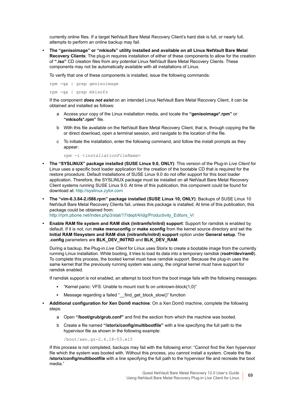currently online files. If a target NetVault Bare Metal Recovery Client's hard disk is full, or nearly full, attempts to perform an online backup may fail.

**• The "genisoimage" or "mkisofs" utility installed and available on all Linux NetVault Bare Metal Recovery Clients**: The plug-in requires installation of either of these components to allow for the creation of **".iso"** CD creation files from any potential Linux NetVault Bare Metal Recovery Clients. These components may not be automatically available with all installations of Linux.

To verify that one of these components is installed, issue the following commands:

rpm -qa | grep genisoimage rpm -qa | grep mkisofs

If the component *does not exist* on an intended Linux NetVault Bare Metal Recovery Client, it can be obtained and installed as follows:

- a Access your copy of the Linux installation media, and locate the **"genisoimage\*.rpm"** or **"mkisofs\*.rpm"** file.
- b With this file available on the NetVault Bare Metal Recovery Client, that is, through copying the file or direct download, open a terminal session, and navigate to the location of the file.
- c To initiate the installation, enter the following command, and follow the install prompts as they appear:

rpm -i <*installationFileName*>

- **The "SYSLINUX" package installed (SUSE Linux 9.0, ONLY)**: This version of the Plug-in *Live Client* for Linux uses a specific boot loader application for the creation of the bootable CD that is required for the restore procedure. Default installations of SUSE Linux 9.0 do not offer support for this boot loader application. Therefore, the SYSLINUX package must be installed on all NetVault Bare Metal Recovery Client systems running SUSE Linux 9.0. At time of this publication, this component could be found for download at:<http://syslinux.zytor.com>
- **The "vim-6.3.84-2.i586.rpm" package installed (SUSE Linux 10, ONLY)**: Backups of SUSE Linux 10 NetVault Bare Metal Recovery Clients fail, unless this package is installed. At time of this publication, this package could be obtained from: [http://rpm.pbone.net/index.php3/stat/17/dept/4/idg/Productivity\\_Editors\\_Vi](http://rpm.pbone.net/index.php3/stat/17/dept/4/idg/Productivity_Editors_Vi)
- **Enable RAM file system and RAM disk (initramfs/initrd) support**: Support for ramdisk is enabled by default. If it is not, run **make menuconfig** or **make xconfig** from the kernel source directory and set the **Initial RAM filesystem and RAM disk (initramfs/initrd) support** option under **General setup**. The **.config** parameters are **BLK\_DEV\_INITRD** and **BLK\_DEV\_RAM**.

During a backup, the Plug-in *Live Client* for Linux uses Storix to create a bootable image from the currently running Linux installation. While booting, it tries to load its data into a temporary ramdisk (**root=/dev/ram0**). To complete this process, the booted kernel must have ramdisk support. Because the plug-in uses the same kernel that the previously running system was using, the original kernel must have support for ramdisk enabled.

If ramdisk support is not enabled, an attempt to boot from the boot image fails with the following messages:

- **▪** "Kernel panic: VFS: Unable to mount root fs on unknown-block(1,0)"
- **■** Message regarding a failed " find\_get\_block\_slow()" function
- **Additional configuration for Xen Dom0 machine**: On a Xen Dom0 machine, complete the following steps:
	- a Open **"/boot/grub/grub.conf"** and find the section from which the machine was booted.
	- b Create a file named **"/storix/config/multibootfile"** with a line specifying the full path to the hypervisor file as shown in the following example:

/boot/xen.gz-2.6.18-53.el5

If this process is not completed, backups may fail with the following error: "Cannot find the Xen hypervisor file which the system was booted with. Without this process, you cannot install a system. Create the file **/storix/config/multibootfile** with a line specifying the full path to the hypervisor file and recreate the boot media."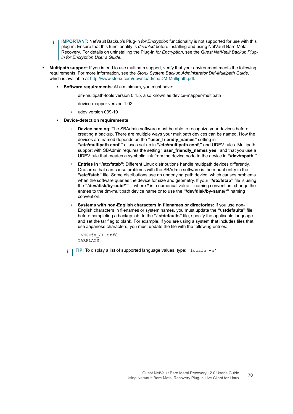- **IMPORTANT:** NetVault Backup's Plug-in *for Encryption* functionality is not supported for use with this  $\blacksquare$ plug-in. Ensure that this functionality is *disabled* before installing and using NetVault Bare Metal Recovery. For details on uninstalling the Plug-in *for Encryption*, see the *Quest NetVault Backup Plugin for Encryption User's Guide*.
- **Multipath support**: If you intend to use multipath support, verify that your environment meets the following requirements. For more information, see the *Storix System Backup Administrator DM-Multipath Guide*, which is available at<http://www.storix.com/download/sbaDM-Multipath.pdf>.
	- **Software requirements:** At a minimum, you must have:
		- **▫** dm-multipath-tools version 0.4.5, also known as device-mapper-multipath
		- **▫** device-mapper version 1.02
		- **▫** udev version 039-10
	- **▪ Device-detection requirements**:
		- **▫ Device naming**: The SBAdmin software must be able to recognize your devices before creating a backup. There are multiple ways your multipath devices can be named. How the devices are named depends on the **"user\_friendly\_names"** setting in **"/etc/multipath.conf,"** aliases set up in **"/etc/multipath.conf,"** and UDEV rules. Multipath support with SBAdmin requires the setting "user friendly names yes" and that you use a UDEV rule that creates a symbolic link from the device node to the device in **"/dev/mpath."**
		- **▫ Entries in "/etc/fstab"**: Different Linux distributions handle multipath devices differently. One area that can cause problems with the SBAdmin software is the mount entry in the **"/etc/fstab"** file. Some distributions use an underlying path device, which causes problems when the software queries the device for size and geometry. If your **"/etc/fstab"** file is using the **"/dev/disk/by-uuid/\*"** — where **\*** is a numerical value — naming convention, change the entries to the dm-multipath device name or to use the **"/dev/disk/by-name/\*"** naming convention.
		- **▫ Systems with non-English characters in filenames or directories:** If you use non-English characters in filenames or system names, you must update the **"/.stdefaults"** file before completing a backup job. In the **"/.stdefaults"** file, specify the applicable language and set the tar flag to blank. For example, if you are using a system that includes files that use Japanese characters, you must update the file with the following entries:

```
LANG=ja_JP.utf8
TARFLAGS=
```
**TIP:** To display a list of supported language values, type: 'locale -a'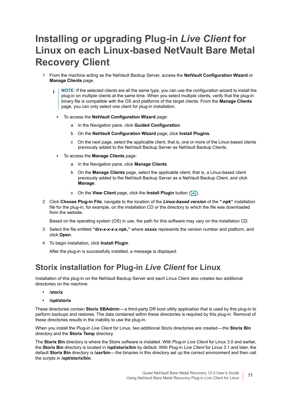## <span id="page-70-1"></span>**Installing or upgrading Plug-in** *Live Client* **for Linux on each Linux-based NetVault Bare Metal Recovery Client**

- 1 From the machine acting as the NetVault Backup Server, access the **NetVault Configuration Wizard** or **Manage Clients** page.
	- **NOTE:** If the selected clients are all the same type, you can use the configuration wizard to install the î plug-in on multiple clients at the same time. When you select multiple clients, verify that the plug-in binary file is compatible with the OS and platforms of the target clients. From the **Manage Clients**  page, you can only select one client for plug-in installation.
		- **▪** To access the **NetVault Configuration Wizard** page:
			- a In the Navigation pane, click **Guided Configuration**.
			- b On the **NetVault Configuration Wizard** page, click **Install Plugins**.
			- c On the next page, select the applicable client, that is, one or more of the Linux-based clients previously added to the NetVault Backup Server as NetVault Backup Clients.
		- **▪** To access the **Manage Clients** page:
			- a In the Navigation pane, click **Manage Clients**.
			- b On the **Manage Clients** page, select the applicable client, that is, a Linux-based client previously added to the NetVault Backup Server as a NetVault Backup Client, and click **Manage**.
			- c On the **View Client** page, click the **Install Plugin** button (**+**).
- 2 Click **Choose Plug-in File**, navigate to the location of the *Linux-based version* of the **".npk"** installation file for the plug-in, for example, on the installation CD or the directory to which the file was downloaded from the website.

Based on the operating system (OS) in use, the path for this software may vary on the installation CD.

- 3 Select the file entitled **"drx-***x-x-x-x***.npk,"** where **xxxxx** represents the version number and platform, and click **Open**.
- 4 To begin installation, click **Install Plugin**.

After the plug-in is successfully installed, a message is displayed.

#### <span id="page-70-0"></span>**Storix installation for Plug-in** *Live Client* **for Linux**

Installation of this plug-in on the NetVault Backup Server and each Linux Client also creates two additional directories on the machine:

- **/storix**
- **/opt/storix**

These directories contain **Storix SBAdmin**—a third-party DR boot utility application that is used by this plug-in to perform backups and restores. The data contained within these directories is required by this plug-in. Removal of these directories results in the inability to use the plug-in.

When you install the Plug-in *Live Client* for Linux, two additional Storix directories are created — the **Storix Bin** directory and the **Storix Temp** directory.

The **Storix Bin** directory is where the Storix software is installed. With Plug-in *Live Client* for Linux 3.0 and earlier, the **Storix Bin** directory is located in **/opt/storix/bin** by default. With Plug-in *Live Client* for Linux 3.1 and later, the default **Storix Bin** directory is **/usr/bin** — the binaries in this directory set up the correct environment and then call the scripts in **/opt/storix/bin**.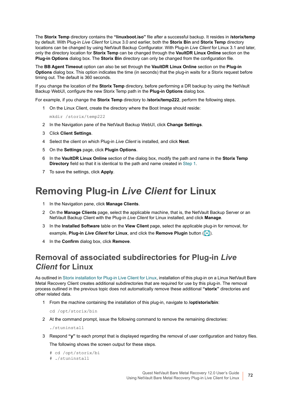The **Storix Temp** directory contains the **"linuxboot.iso"** file after a successful backup. It resides in **/storix/temp** by default. With Plug-in *Live Client* for Linux 3.0 and earlier, both the **Storix Bin** and **Storix Temp** directory locations can be changed by using NetVault Backup Configurator. With Plug-in *Live Client* for Linux 3.1 and later, only the directory location for **Storix Temp** can be changed through the **VaultDR Linux Online** section on the **Plug-in Options** dialog box. The **Storix Bin** directory can only be changed from the configuration file.

The **BB Agent Timeout** option can also be set through the **VaultDR Linux Online** section on the **Plug-in Options** dialog box. This option indicates the time (in seconds) that the plug-in waits for a Storix request before timing out. The default is 360 seconds.

If you change the location of the **Storix Temp** directory, before performing a DR backup by using the NetVault Backup WebUI, configure the new Storix Temp path in the **Plug-in Options** dialog box.

For example, if you change the **Storix Temp** directory to **/storix/temp222**, perform the following steps.

<span id="page-71-1"></span>1 On the Linux Client, create the directory where the Boot Image should reside:

mkdir /storix/temp222

- 2 In the Navigation pane of the NetVault Backup WebUI, click **Change Settings**.
- 3 Click **Client Settings**.
- 4 Select the client on which Plug-in *Live Client* is installed, and click **Next**.
- 5 On the **Settings** page, click **Plugin Options**.
- 6 In the **VaultDR Linux Online** section of the dialog box, modify the path and name in the **Storix Temp Directory** field so that it is identical to the path and name created in [Step 1.](#page-71-1)
- 7 To save the settings, click **Apply**.

## <span id="page-71-0"></span>**Removing Plug-in** *Live Client* **for Linux**

- 1 In the Navigation pane, click **Manage Clients**.
- 2 On the **Manage Clients** page, select the applicable machine, that is, the NetVault Backup Server or an NetVault Backup Client with the Plug-in *Live Client* for Linux installed, and click **Manage**.
- 3 In the **Installed Software** table on the **View Client** page, select the applicable plug-in for removal, for example, Plug-in *Live Client* for Linux, and click the Remove Plugin button ( $\boxed{-}$ ).
- 4 In the **Confirm** dialog box, click **Remove**.

### **Removal of associated subdirectories for Plug-in** *Live Client* **for Linux**

As outlined in [Storix installation for Plug-in Live Client for Linux](#page-70-0), installation of this plug-in on a Linux NetVault Bare Metal Recovery Client creates additional subdirectories that are required for use by this plug-in. The removal process outlined in the previous topic does not automatically remove these additional **"storix"** directories and other related data.

1 From the machine containing the installation of this plug-in, navigate to **/opt/storix/bin**:

cd /opt/storix/bin

2 At the command prompt, issue the following command to remove the remaining directories:

./stuninstall

3 Respond **"y"** to each prompt that is displayed regarding the removal of user configuration and history files. The following shows the screen output for these steps.

```
# cd /opt/storix/bi
```

```
# ./stuninstall
```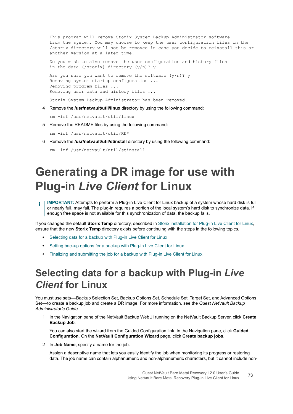This program will remove Storix System Backup Administrator software from the system. You may choose to keep the user configuration files in the /storix directory will not be removed in case you decide to reinstall this or another version at a later time.

Do you wish to also remove the user configuration and history files in the data (/storix) directory (y/n)? y

Are you sure you want to remove the software  $(y/n)$ ? y Removing system startup configuration ... Removing program files ... Removing user data and history files ...

Storix System Backup Administrator has been removed.

4 Remove the **/usr/netvault/util/linux** directory by using the following command:

rm -irf /usr/netvault/util/linux

5 Remove the README files by using the following command:

rm -irf /usr/netvault/util/RE\*

6 Remove the **/usr/netvault/util/stinstall** directory by using the following command:

```
rm -irf /usr/netvault/util/stinstall
```
# **Generating a DR image for use with Plug-in** *Live Client* **for Linux**

**IMPORTANT:** Attempts to perform a Plug-in Live Client for Linux backup of a system whose hard disk is full f. or nearly full, may fail. The plug-in requires a portion of the local system's hard disk to synchronize data. If enough free space is not available for this synchronization of data, the backup fails.

If you changed the default **Storix Temp** directory, described in [Storix installation for Plug-in Live Client for Linux](#page-70-0), ensure that the new **Storix Temp** directory exists before continuing with the steps in the following topics.

- **•** [Selecting data for a backup with Plug-in Live Client for Linux](#page-72-0)
- **•** [Setting backup options for a backup with Plug-in Live Client for Linux](#page-73-0)
- **•** [Finalizing and submitting the job for a backup with Plug-in Live Client for Linux](#page-74-0)

## <span id="page-72-0"></span>**Selecting data for a backup with Plug-in** *Live Client* **for Linux**

You must use sets — Backup Selection Set, Backup Options Set, Schedule Set, Target Set, and Advanced Options Set — to create a backup job and create a DR image. For more information, see the *Quest NetVault Backup Administrator's Guide*.

1 In the Navigation pane of the NetVault Backup WebUI running on the NetVault Backup Server, click **Create Backup Job**.

You can also start the wizard from the Guided Configuration link. In the Navigation pane, click **Guided Configuration**. On the **NetVault Configuration Wizard** page, click **Create backup jobs**.

2 In **Job Name**, specify a name for the job.

Assign a descriptive name that lets you easily identify the job when monitoring its progress or restoring data. The job name can contain alphanumeric and non-alphanumeric characters, but it cannot include non-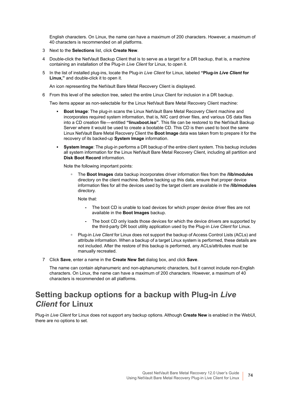English characters. On Linux, the name can have a maximum of 200 characters. However, a maximum of 40 characters is recommended on all platforms.

- 3 Next to the **Selections** list, click **Create New**.
- 4 Double-click the NetVault Backup Client that is to serve as a target for a DR backup, that is, a machine containing an installation of the Plug-in *Live Client* for Linux, to open it.
- 5 In the list of installed plug-ins, locate the Plug-in *Live Client* for Linux, labeled **"Plug-in** *Live Client* **for Linux,"** and double-click it to open it.

An icon representing the NetVault Bare Metal Recovery Client is displayed.

6 From this level of the selection tree, select the entire Linux Client for inclusion in a DR backup.

Two items appear as non-selectable for the Linux NetVault Bare Metal Recovery Client machine:

- **Boot Image:** The plug-in scans the Linux NetVault Bare Metal Recovery Client machine and incorporates required system information, that is, NIC card driver files, and various OS data files into a CD creation file — entitled **"linuxboot.iso"**. This file can be restored to the NetVault Backup Server where it would be used to create a bootable CD. This CD is then used to boot the same Linux NetVault Bare Metal Recovery Client the **Boot Image** data was taken from to prepare it for the recovery of its backed-up **System Image** information.
- **System Image:** The plug-in performs a DR backup of the entire client system. This backup includes all system information for the Linux NetVault Bare Metal Recovery Client, including all partition and **Disk Boot Record** information.

Note the following important points:

**▫** The **Boot Images** data backup incorporates driver information files from the **/lib/modules** directory on the client machine. Before backing up this data, ensure that proper device information files for all the devices used by the target client are available in the **/lib/modules** directory.

Note that:

- **-** The boot CD is unable to load devices for which proper device driver files are not available in the **Boot Images** backup.
- **-** The boot CD only loads those devices for which the device drivers are supported by the third-party DR boot utility application used by the Plug-in *Live Client* for Linux.
- **▫** Plug-in *Live Client* for Linux does not support the backup of Access Control Lists (ACLs) and attribute information. When a backup of a target Linux system is performed, these details are not included. After the restore of this backup is performed, any ACLs/attributes must be manually recreated.
- 7 Click **Save**, enter a name in the **Create New Set** dialog box, and click **Save**.

The name can contain alphanumeric and non-alphanumeric characters, but it cannot include non-English characters. On Linux, the name can have a maximum of 200 characters. However, a maximum of 40 characters is recommended on all platforms.

### <span id="page-73-0"></span>**Setting backup options for a backup with Plug-in** *Live Client* **for Linux**

Plug-in *Live Client* for Linux does not support any backup options. Although **Create New** is enabled in the WebUI, there are no options to set.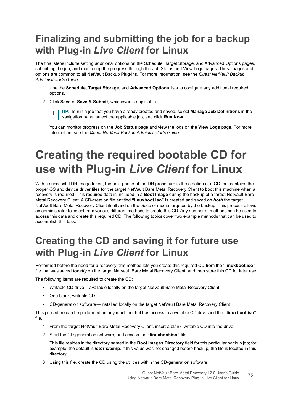## <span id="page-74-0"></span>**Finalizing and submitting the job for a backup with Plug-in** *Live Client* **for Linux**

The final steps include setting additional options on the Schedule, Target Storage, and Advanced Options pages, submitting the job, and monitoring the progress through the Job Status and View Logs pages. These pages and options are common to all NetVault Backup Plug-ins. For more information, see the *Quest NetVault Backup Administrator's Guide*.

- 1 Use the **Schedule**, **Target Storage**, and **Advanced Options** lists to configure any additional required options.
- 2 Click **Save** or **Save & Submit**, whichever is applicable.
	- **TIP:** To run a job that you have already created and saved, select **Manage Job Definitions** in the f. Navigation pane, select the applicable job, and click **Run Now**.

You can monitor progress on the **Job Status** page and view the logs on the **View Logs** page. For more information, see the *Quest NetVault Backup Administrator's Guide*.

# <span id="page-74-1"></span>**Creating the required bootable CD for use with Plug-in** *Live Client* **for Linux**

With a successful DR image taken, the next phase of the DR procedure is the creation of a CD that contains the proper OS and device driver files for the target NetVault Bare Metal Recovery Client to boot this machine when a recovery is required. This required data is included in a **Boot Image** during the backup of a target NetVault Bare Metal Recovery Client. A CD-creation file entitled **"linuxboot.iso"** is created and saved on *both* the target NetVault Bare Metal Recovery Client itself and on the piece of media targeted by the backup. This process allows an administrator to select from various different methods to create this CD. Any number of methods can be used to access this data and create this required CD. The following topics cover two example methods that can be used to accomplish this task.

## **Creating the CD and saving it for future use with Plug-in** *Live Client* **for Linux**

Performed before the need for a recovery, this method lets you create this required CD from the **"linuxboot.iso"** file that was saved *locally* on the target NetVault Bare Metal Recovery Client, and then store this CD for later use.

The following items are required to create the CD:

- **•** Writable CD drive available locally on the target NetVault Bare Metal Recovery Client
- **•** One blank, writable CD
- **•** CD-generation software installed locally on the target NetVault Bare Metal Recovery Client

This procedure can be performed on any machine that has access to a writable CD drive and the **"linuxboot.iso"** file.

- 1 From the target NetVault Bare Metal Recovery Client, insert a blank, writable CD into the drive.
- 2 Start the CD-generation software, and access the **"linuxboot.iso"** file.

This file resides in the directory named in the **Boot Images Directory** field for this particular backup job; for example, the default is **/storix/temp**. If this value was not changed before backup, the file is located in this directory.

3 Using this file, create the CD using the utilities within the CD-generation software.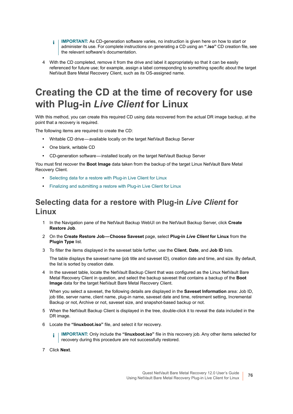- **I IMPORTANT:** As CD-generation software varies, no instruction is given here on how to start or administer its use. For complete instructions on generating a CD using an **".iso"** CD creation file, see the relevant software's documentation.
- 4 With the CD completed, remove it from the drive and label it appropriately so that it can be easily referenced for future use; for example, assign a label corresponding to something specific about the target NetVault Bare Metal Recovery Client, such as its OS-assigned name.

## **Creating the CD at the time of recovery for use with Plug-in** *Live Client* **for Linux**

With this method, you can create this required CD using data recovered from the actual DR image backup, at the point that a recovery is required.

The following items are required to create the CD:

- **•** Writable CD drive available locally on the target NetVault Backup Server
- **•** One blank, writable CD
- **•** CD-generation software installed locally on the target NetVault Backup Server

You must first recover the **Boot Image** data taken from the backup of the target Linux NetVault Bare Metal Recovery Client.

- **•** [Selecting data for a restore with Plug-in Live Client for Linux](#page-75-0)
- **•** [Finalizing and submitting a restore with Plug-in Live Client for Linux](#page-76-0)

### <span id="page-75-0"></span>**Selecting data for a restore with Plug-in** *Live Client* **for Linux**

- 1 In the Navigation pane of the NetVault Backup WebUI on the NetVault Backup Server, click **Create Restore Job**.
- 2 On the **Create Restore Job Choose Saveset** page, select **Plug-in** *Live Client* **for Linux** from the **Plugin Type** list.
- 3 To filter the items displayed in the saveset table further, use the **Client**, **Date**, and **Job ID** lists.

The table displays the saveset name (job title and saveset ID), creation date and time, and size. By default, the list is sorted by creation date.

4 In the saveset table, locate the NetVault Backup Client that was configured as the Linux NetVault Bare Metal Recovery Client in question, and select the backup saveset that contains a backup of the **Boot Image** data for the target NetVault Bare Metal Recovery Client.

When you select a saveset, the following details are displayed in the **Saveset Information** area: Job ID, job title, server name, client name, plug-in name, saveset date and time, retirement setting, Incremental Backup or not, Archive or not, saveset size, and snapshot-based backup or not.

- 5 When the NetVault Backup Client is displayed in the tree, double-click it to reveal the data included in the DR image.
- 6 Locate the **"linuxboot.iso"** file, and select it for recovery.
	- **I** | IMPORTANT: Only include the "linuxboot.iso" file in this recovery job. Any other items selected for recovery during this procedure are not successfully restored.
- 7 Click **Next**.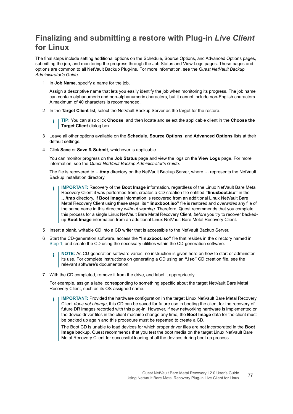### <span id="page-76-0"></span>**Finalizing and submitting a restore with Plug-in** *Live Client* **for Linux**

The final steps include setting additional options on the Schedule, Source Options, and Advanced Options pages, submitting the job, and monitoring the progress through the Job Status and View Logs pages. These pages and options are common to all NetVault Backup Plug-ins. For more information, see the *Quest NetVault Backup Administrator's Guide*.

<span id="page-76-1"></span>1 In **Job Name**, specify a name for the job.

Assign a descriptive name that lets you easily identify the job when monitoring its progress. The job name can contain alphanumeric and non-alphanumeric characters, but it cannot include non-English characters. A maximum of 40 characters is recommended.

2 In the **Target Client** list, select the NetVault Backup Server as the target for the restore.

**TIP:** You can also click **Choose**, and then locate and select the applicable client in the **Choose the**  Î. **Target Client** dialog box.

- 3 Leave all other options available on the **Schedule**, **Source Options**, and **Advanced Options** lists at their default settings.
- 4 Click **Save** or **Save & Submit**, whichever is applicable.

You can monitor progress on the **Job Status** page and view the logs on the **View Logs** page. For more information, see the *Quest NetVault Backup Administrator's Guide*.

The file is recovered to **…/tmp** directory on the NetVault Backup Server, where **…** represents the NetVault Backup installation directory.

- **IMPORTANT:** Recovery of the **Boot Image** information, regardless of the Linux NetVault Bare Metal ÷ Recovery Client it was performed from, creates a CD-creation file entitled **"linuxboot.iso"** in the **…/tmp** directory. If **Boot Image** information is recovered from an additional Linux NetVault Bare Metal Recovery Client using these steps, its **"linuxboot.iso"** file is restored and *overwrites* any file of the same name in this directory *without warning*. Therefore, Quest recommends that you complete this process for a single Linux NetVault Bare Metal Recovery Client, *before* you try to recover backedup **Boot Image** information from an additional Linux NetVault Bare Metal Recovery Client.
- 5 Insert a blank, writable CD into a CD writer that is accessible to the NetVault Backup Server.
- 6 Start the CD-generation software, access the **"linuxboot.iso"** file that resides in the directory named in [Step 1,](#page-76-1) and create the CD using the necessary utilities within the CD-generation software.
	- **NOTE:** As CD-generation software varies, no instruction is given here on how to start or administer ÷ its use. For complete instructions on generating a CD using an **".iso"** CD creation file, see the relevant software's documentation.
- 7 With the CD completed, remove it from the drive, and label it appropriately.

For example, assign a label corresponding to something specific about the target NetVault Bare Metal Recovery Client, such as its OS-assigned name.

**IMPORTANT:** Provided the hardware configuration in the target Linux NetVault Bare Metal Recovery ÷ Client *does not change*, this CD can be saved for future use in booting the client for the recovery of future DR images recorded with this plug-in. However, if new networking hardware is implemented or the device driver files in the client machine change any time, the **Boot Image** data for the client must be backed up again and this procedure must be repeated to create a CD.

The Boot CD is unable to load devices for which proper driver files are not incorporated in the **Boot Image** backup. Quest recommends that you test the boot media on the target Linux NetVault Bare Metal Recovery Client for successful loading of all the devices during boot up process.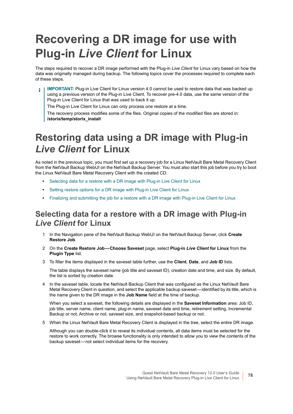# <span id="page-77-2"></span>**Recovering a DR image for use with Plug-in** *Live Client* **for Linux**

The steps required to recover a DR image performed with the Plug-in *Live Client* for Linux vary based on how the data was originally managed during backup. The following topics cover the processes required to complete each of these steps.

**IMPORTANT:** Plug-in Live Client for Linux version 4.0 cannot be used to restore data that was backed up ÷ using a previous version of the Plug-in Live Client. To recover pre-4.0 data, use the same version of the Plug-in Live Client for Linux that was used to back it up.

The Plug-in Live Client for Linux can only process one restore at a time.

The recovery process modifies some of the files. Original copies of the modified files are stored in: **/storix/temp/storix\_install**

## <span id="page-77-1"></span>**Restoring data using a DR image with Plug-in**  *Live Client* **for Linux**

As noted in the previous topic, you must first set up a recovery job for a Linux NetVault Bare Metal Recovery Client from the NetVault Backup WebUI on the NetVault Backup Server. You must also start this job before you try to boot the Linux NetVault Bare Metal Recovery Client with the created CD.

- **•** [Selecting data for a restore with a DR image with Plug-in Live Client for Linux](#page-77-0)
- **•** [Setting restore options for a DR image with Plug-in Live Client for Linux](#page-78-0)
- **•** [Finalizing and submitting the job for a restore with a DR image with Plug-in Live Client for Linux](#page-78-1)

### <span id="page-77-0"></span>**Selecting data for a restore with a DR image with Plug-in**  *Live Client* **for Linux**

- 1 In the Navigation pane of the NetVault Backup WebUI on the NetVault Backup Server, click **Create Restore Job**.
- 2 On the **Create Restore Job Choose Saveset** page, select **Plug-in** *Live Client* **for Linux** from the **Plugin Type** list.
- 3 To filter the items displayed in the saveset table further, use the **Client**, **Date**, and **Job ID** lists.

The table displays the saveset name (job title and saveset ID), creation date and time, and size. By default, the list is sorted by creation date.

4 In the saveset table, locate the NetVault Backup Client that was configured as the Linux NetVault Bare Metal Recovery Client in question, and select the applicable backup saveset—identified by its title, which is the name given to the DR image in the **Job Name** field at the time of backup.

When you select a saveset, the following details are displayed in the **Saveset Information** area: Job ID, job title, server name, client name, plug-in name, saveset date and time, retirement setting, Incremental Backup or not, Archive or not, saveset size, and snapshot-based backup or not.

5 When the Linux NetVault Bare Metal Recovery Client is displayed in the tree, select the entire DR image.

Although you can double-click it to reveal its individual contents, all data items must be selected for the restore to work correctly. The browse functionality is only intended to allow you to view the contents of the backup saveset — not select individual items for the recovery.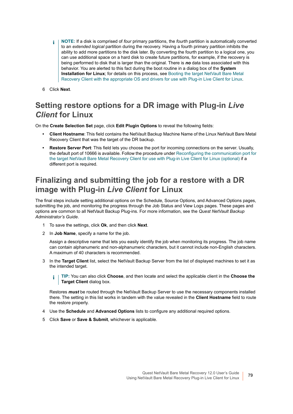- **NOTE:** If a disk is comprised of *four* primary partitions, the *fourth* partition is automatically converted  $\blacksquare$ to an *extended logical* partition during the recovery. Having a fourth primary partition inhibits the ability to add more partitions to the disk later. By converting the fourth partition to a logical one, you can use additional space on a hard disk to create future partitions, for example, if the recovery is being performed to disk that is larger than the original. There is *no* data loss associated with this behavior. You are alerted to this fact during the boot routine in a dialog box of the **System Installation for Linux**; for details on this process, see [Booting the target NetVault Bare Metal](#page-79-0)  [Recovery Client with the appropriate OS and drivers for use with Plug-in Live Client for Linux](#page-79-0).
- 6 Click **Next**.

### <span id="page-78-0"></span>**Setting restore options for a DR image with Plug-in** *Live Client* **for Linux**

On the **Create Selection Set** page, click **Edit Plugin Options** to reveal the following fields:

- **Client Hostname**: This field contains the NetVault Backup Machine Name of the Linux NetVault Bare Metal Recovery Client that was the target of the DR backup.
- **Restore Server Port**: This field lets you choose the port for incoming connections on the server. Usually, the default port of 10666 is available. Follow the procedure under [Reconfiguring the communication port for](#page-80-0)  [the target NetVault Bare Metal Recovery Client for use with Plug-in Live Client for Linux \(optional\)](#page-80-0) if a different port is required.

### <span id="page-78-1"></span>**Finalizing and submitting the job for a restore with a DR image with Plug-in** *Live Client* **for Linux**

The final steps include setting additional options on the Schedule, Source Options, and Advanced Options pages, submitting the job, and monitoring the progress through the Job Status and View Logs pages. These pages and options are common to all NetVault Backup Plug-ins. For more information, see the *Quest NetVault Backup Administrator's Guide*.

- 1 To save the settings, click **Ok**, and then click **Next**.
- 2 In **Job Name**, specify a name for the job.

Assign a descriptive name that lets you easily identify the job when monitoring its progress. The job name can contain alphanumeric and non-alphanumeric characters, but it cannot include non-English characters. A maximum of 40 characters is recommended.

- 3 In the **Target Client** list, select the NetVault Backup Server from the list of displayed machines to set it as the intended target.
	- **TIP:** You can also click **Choose**, and then locate and select the applicable client in the **Choose the**  f. **Target Client** dialog box.

Restores *must* be routed through the NetVault Backup Server to use the necessary components installed there. The setting in this list works in tandem with the value revealed in the **Client Hostname** field to route the restore properly.

- 4 Use the **Schedule** and **Advanced Options** lists to configure any additional required options.
- 5 Click **Save** or **Save & Submit**, whichever is applicable.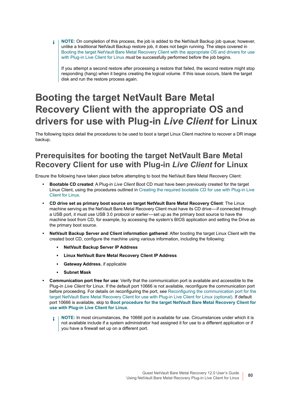**NOTE:** On completion of this process, the job is added to the NetVault Backup job queue; however,  $\blacksquare$ unlike a traditional NetVault Backup restore job, it does not begin running. The steps covered in [Booting the target NetVault Bare Metal Recovery Client with the appropriate OS and drivers for use](#page-79-0)  [with Plug-in Live Client for Linux](#page-79-0) *must* be successfully performed before the job begins.

If you attempt a second restore after processing a restore that failed, the second restore might stop responding (hang) when it begins creating the logical volume. If this issue occurs, blank the target disk and run the restore process again.

## <span id="page-79-0"></span>**Booting the target NetVault Bare Metal Recovery Client with the appropriate OS and drivers for use with Plug-in** *Live Client* **for Linux**

The following topics detail the procedures to be used to boot a target Linux Client machine to recover a DR image backup.

### **Prerequisites for booting the target NetVault Bare Metal Recovery Client for use with Plug-in** *Live Client* **for Linux**

Ensure the following have taken place before attempting to boot the NetVault Bare Metal Recovery Client:

- **Bootable CD created**: A Plug-in *Live Client* Boot CD must have been previously created for the target Linux Client, using the procedures outlined in [Creating the required bootable CD for use with Plug-in Live](#page-74-1)  [Client for Linux.](#page-74-1)
- **CD drive set as primary boot source on target NetVault Bare Metal Recovery Client**: The Linux machine serving as the NetVault Bare Metal Recovery Client must have its CD drive — if connected through a USB port, it must use USB 3.0 protocol or earlier — set up as the primary boot source to have the machine boot from CD, for example, by accessing the system's BIOS application and setting the Drive as the primary boot source.
- **NetVault Backup Server and Client information gathered**: After booting the target Linux Client with the created boot CD, configure the machine using various information, including the following:
	- **▪ NetVault Backup Server IP Address**
	- **▪ Linux NetVault Bare Metal Recovery Client IP Address**
	- **Gateway Address**, if applicable
	- **▪ Subnet Mask**
- **Communication port free for use**: Verify that the communication port is available and accessible to the Plug-in *Live Client* for Linux. If the default port 10666 is not available, reconfigure the communication port before proceeding. For details on reconfiguring the port, see [Reconfiguring the communication port for the](#page-80-0)  [target NetVault Bare Metal Recovery Client for use with Plug-in Live Client for Linux \(optional\)](#page-80-0). If default port 10666 is available, skip to **[Boot procedure for the target NetVault Bare Metal Recovery Client for](#page-80-1)  [use with Plug-in Live Client for Linux](#page-80-1)**.
	- **NOTE:** In most circumstances, the 10666 port is available for use. Circumstances under which it is f. not available include if a system administrator had assigned it for use to a different application or if you have a firewall set up on a different port.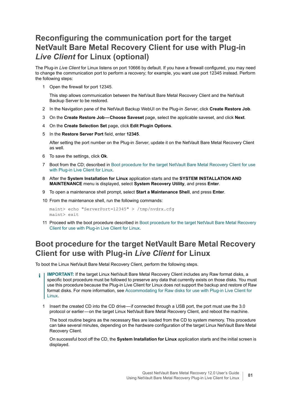### <span id="page-80-0"></span>**Reconfiguring the communication port for the target NetVault Bare Metal Recovery Client for use with Plug-in**  *Live Client* **for Linux (optional)**

The Plug-in *Live Client* for Linux listens on port 10666 by default. If you have a firewall configured, you may need to change the communication port to perform a recovery; for example, you want use port 12345 instead. Perform the following steps:

1 Open the firewall for port 12345.

This step allows communication between the NetVault Bare Metal Recovery Client and the NetVault Backup Server to be restored.

- 2 In the Navigation pane of the NetVault Backup WebUI on the Plug-in *Server*, click **Create Restore Job**.
- 3 On the **Create Restore Job Choose Saveset** page, select the applicable saveset, and click **Next**.
- 4 On the **Create Selection Set** page, click **Edit Plugin Options**.
- 5 In the **Restore Server Port** field, enter **12345**.

After setting the port number on the Plug-in *Server*, update it on the NetVault Bare Metal Recovery Client as well.

- 6 To save the settings, click **Ok**.
- 7 Boot from the CD; described in [Boot procedure for the target NetVault Bare Metal Recovery Client for use](#page-80-1)  [with Plug-in Live Client for Linux.](#page-80-1)
- 8 After the **System Installation for Linux** application starts and the **SYSTEM INSTALLATION AND MAINTENANCE** menu is displayed, select **System Recovery Utility**, and press **Enter**.
- 9 To open a maintenance shell prompt, select **Start a Maintenance Shell**, and press **Enter**.
- 10 From the maintenance shell, run the following commands:

maint> echo "ServerPort=12345" > /tmp/nvdrx.cfg maint> exit

11 Proceed with the boot procedure described in [Boot procedure for the target NetVault Bare Metal Recovery](#page-80-1)  [Client for use with Plug-in Live Client for Linux](#page-80-1).

### <span id="page-80-1"></span>**Boot procedure for the target NetVault Bare Metal Recovery Client for use with Plug-in** *Live Client* **for Linux**

To boot the Linux NetVault Bare Metal Recovery Client, perform the following steps.

- **IMPORTANT:** If the target Linux NetVault Bare Metal Recovery Client includes any Raw format disks, a specific boot procedure must be followed to preserve any data that currently exists on those disks. You must use this procedure because the Plug-in Live Client for Linux does not support the backup and restore of Raw format disks. For more information, see [Accommodating for Raw disks for use with Plug-in Live Client for](#page-82-0)  [Linux](#page-82-0).
	- 1 Insert the created CD into the CD drive if connected through a USB port, the port must use the 3.0 protocol or earlier — on the target Linux NetVault Bare Metal Recovery Client, and reboot the machine.

<span id="page-80-2"></span>The boot routine begins as the necessary files are loaded from the CD to system memory. This procedure can take several minutes, depending on the hardware configuration of the target Linux NetVault Bare Metal Recovery Client.

On successful boot off the CD, the **System Installation for Linux** application starts and the initial screen is displayed.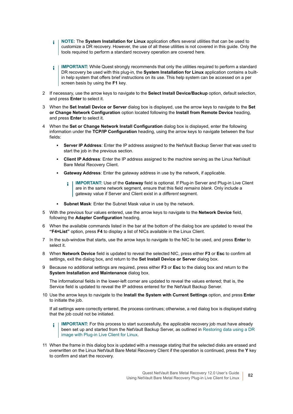- **i** | NOTE: The System Installation for Linux application offers several utilities that can be used to customize a DR recovery. However, the use of all these utilities is not covered in this guide. Only the tools required to perform a standard recovery operation are covered here.
- **IMPORTANT:** While Quest strongly recommends that only the utilities required to perform a standard î DR recovery be used with this plug-in, the **System Installation for Linux** application contains a builtin help system that offers brief instructions on its use. This help system can be accessed on a per screen basis by using the **F1** key.
- 2 If necessary, use the arrow keys to navigate to the **Select Install Device/Backup** option, default selection, and press **Enter** to select it.
- 3 When the **Set Install Device or Server** dialog box is displayed, use the arrow keys to navigate to the **Set or Change Network Configuration** option located following the **Install from Remote Device** heading, and press **Enter** to select it.
- 4 When the **Set or Change Network Install Configuration** dialog box is displayed, enter the following information under the **TCP/IP Configuration** heading, using the arrow keys to navigate between the four fields:
	- **▪ Server IP Address**: Enter the IP address assigned to the NetVault Backup Server that was used to start the job in the previous section.
	- **▪ Client IP Address**: Enter the IP address assigned to the machine serving as the Linux NetVault Bare Metal Recovery Client.
	- **▪ Gateway Address**: Enter the gateway address in use by the network, if applicable.
		- **IMPORTANT:** Use of the **Gateway** field is optional. If Plug-in Server and Plug-in Live Client ÷ are in the same network segment, ensure that this field *remains blank*. Only include a gateway value if Server and Client exist in a *different* segment.
	- **Subnet Mask:** Enter the Subnet Mask value in use by the network.
- 5 With the previous four values entered, use the arrow keys to navigate to the **Network Device** field, following the **Adapter Configuration** heading.
- When the available commands listed in the bar at the bottom of the dialog box are updated to reveal the **"F4=List"** option, press **F4** to display a list of NICs available in the Linux Client.
- 7 In the sub-window that starts, use the arrow keys to navigate to the NIC to be used, and press **Enter** to select it.
- 8 When **Network Device** field is updated to reveal the selected NIC, press either **F3** or **Esc** to confirm all settings, exit the dialog box, and return to the **Set Install Device or Server** dialog box.
- <span id="page-81-0"></span>9 Because no additional settings are required, press either **F3** or **Esc** to the dialog box and return to the **System Installation and Maintenance** dialog box.

The informational fields in the lower-left corner are updated to reveal the values entered; that is, the Service field is updated to reveal the IP address entered for the NetVault Backup Server.

<span id="page-81-1"></span>10 Use the arrow keys to navigate to the **Install the System with Current Settings** option, and press **Enter** to initiate the job.

If all settings were correctly entered, the process continues; otherwise, a red dialog box is displayed stating that the job could not be initiated.

- **IMPORTANT:** For this process to start successfully, the applicable recovery job must have already  $\blacksquare$ been set up and started from the NetVault Backup Server, as outlined in [Restoring data using a DR](#page-77-1)  [image with Plug-in Live Client for Linux.](#page-77-1)
- <span id="page-81-2"></span>11 When the frame in this dialog box is updated with a message stating that the selected disks are erased and overwritten on the Linux NetVault Bare Metal Recovery Client if the operation is continued, press the **Y** key to confirm and start the recovery.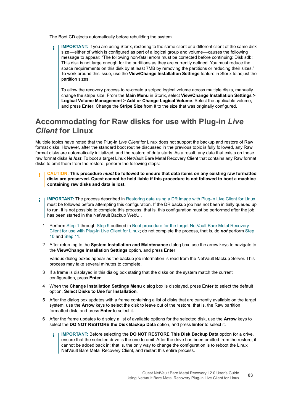The Boot CD ejects automatically before rebuilding the system.

**IMPORTANT:** If you are using Storix, restoring to the same client or a different client of the same disk f. size—either of which is configured as part of a logical group and volume—causes the following message to appear: "The following non-fatal errors must be corrected before continuing: Disk sdb: This disk is not large enough for the partitions as they are currently defined. You must reduce the space requirements on this disk by at least 7MB by removing the partitions or reducing their sizes." To work around this issue, use the **View/Change Installation Settings** feature in Storix to adjust the partition sizes.

To allow the recovery process to re-create a striped logical volume across multiple disks, manually change the stripe size. From the **Main Menu** in Storix, select **View/Change Installation Settings > Logical Volume Management > Add or Change Logical Volume**. Select the applicable volume, and press **Enter**. Change the **Stripe Size** from **0** to the size that was originally configured.

### <span id="page-82-0"></span>**Accommodating for Raw disks for use with Plug-in** *Live Client* **for Linux**

Multiple topics have noted that the Plug-in *Live Client* for Linux does not support the backup and restore of Raw format disks. However, after the standard boot routine discussed in the previous topic is fully followed, any Raw format disks are automatically initialized, and the restore of data starts. As a result, any data that exists on these raw format disks *is lost*. To boot a target Linux NetVault Bare Metal Recovery Client that contains any Raw format disks to omit them from the restore, perform the following steps:

- **CAUTION: This procedure** *must* **be followed to ensure that data items on any existing raw formatted disks are preserved. Quest cannot be held liable if this procedure is not followed to boot a machine containing raw disks and data is lost.**
- **IMPORTANT:** The process described in [Restoring data using a DR image with Plug-in Live Client for Linux](#page-77-1) ÷ must be followed before attempting this configuration. If the DR backup job has not been initially queued up to run, it is not possible to complete this process; that is, this configuration must be performed after the job has been started in the NetVault Backup WebUI.
	- 1 Perform [Step 1](#page-80-2) through [Step 9](#page-81-0) outlined in [Boot procedure for the target NetVault Bare Metal Recovery](#page-80-1)  [Client for use with Plug-in Live Client for Linux](#page-80-1); do not complete the process, that is, do *not* perform [Step](#page-81-1)  [10](#page-81-1) and [Step 11](#page-81-2).
	- 2 After returning to the **System Installation and Maintenance** dialog box, use the arrow keys to navigate to the **View/Change Installation Settings** option, and press **Enter**.

Various dialog boxes appear as the backup job information is read from the NetVault Backup Server. This process may take several minutes to complete.

- 3 If a frame is displayed in this dialog box stating that the disks on the system match the current configuration, press **Enter**.
- 4 When the **Change Installation Settings Menu** dialog box is displayed, press **Enter** to select the default option, **Select Disks to Use for Installation**.
- <span id="page-82-1"></span>5 After the dialog box updates with a frame containing a list of disks that are currently available on the target system, use the **Arrow** keys to select the disk to leave out of the restore, that is, the Raw partition formatted disk, and press **Enter** to select it.
- 6 After the frame updates to display a list of available options for the selected disk, use the **Arrow** keys to select the **DO NOT RESTORE the Disk Backup Data** option, and press **Enter** to select it.
	- **IMPORTANT:** Before selecting the **DO NOT RESTORE This Disk Backup Data** option for a drive, ÷ ensure that the selected drive is the one to omit. After the drive has been omitted from the restore, it cannot be added back in; that is, the only way to change the configuration is to reboot the Linux NetVault Bare Metal Recovery Client, and restart this entire process.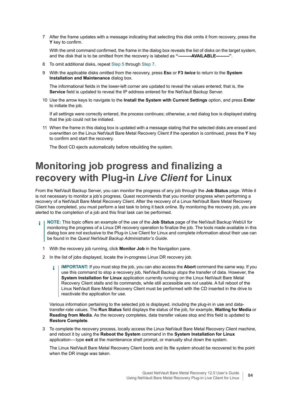<span id="page-83-0"></span>7 After the frame updates with a message indicating that selecting this disk omits it from recovery, press the **Y** key to confirm.

With the omit command confirmed, the frame in the dialog box reveals the list of disks on the target system, and the disk that is to be omitted from the recovery is labeled as **"---------AVAILABLE---------"**.

- 8 To omit additional disks, repeat [Step 5](#page-82-1) through [Step 7](#page-83-0).
- 9 With the applicable disks omitted from the recovery, press **Esc** or **F3** *twice* to return to the **System Installation and Maintenance** dialog box.

The informational fields in the lower-left corner are updated to reveal the values entered; that is, the **Service** field is updated to reveal the IP address entered for the NetVault Backup Server.

10 Use the arrow keys to navigate to the **Install the System with Current Settings** option, and press **Enter** to initiate the job.

If all settings were correctly entered, the process continues; otherwise, a red dialog box is displayed stating that the job could not be initiated.

11 When the frame in this dialog box is updated with a message stating that the selected disks are erased and overwritten on the Linux NetVault Bare Metal Recovery Client if the operation is continued, press the **Y** key to confirm and start the recovery.

The Boot CD ejects automatically before rebuilding the system.

### **Monitoring job progress and finalizing a recovery with Plug-in** *Live Client* **for Linux**

From the NetVault Backup Server, you can monitor the progress of any job through the **Job Status** page. While it is not necessary to monitor a job's progress, Quest recommends that you monitor progress when performing a recovery of a NetVault Bare Metal Recovery Client. After the recovery of a Linux NetVault Bare Metal Recovery Client has completed, you must perform a last task to bring it back online. By monitoring the recovery job, you are alerted to the completion of a job and this final task can be performed.

- **NOTE:** This topic offers an example of the use of the **Job Status** page of the NetVault Backup WebUI for i. monitoring the progress of a Linux DR recovery operation to finalize the job. The tools made available in this dialog box are not exclusive to the Plug-in Live Client for Linux and complete information about their use can be found in the *Quest NetVault Backup Administrator's Guide*.
	- 1 With the recovery job running, click **Monitor Job** in the Navigation pane.
	- 2 In the list of jobs displayed, locate the in-progress Linux DR recovery job.
		- **IMPORTANT:** If you must stop the job, you can also access the **Abort** command the same way. If you ÷ use this command to stop a recovery job, NetVault Backup *stops* the transfer of data. However, the **System Installation for Linux** application currently running on the Linux NetVault Bare Metal Recovery Client stalls and its commands, while still accessible are *not* usable. A full reboot of the Linux NetVault Bare Metal Recovery Client must be performed with the CD inserted in the drive to reactivate the application for use.

Various information pertaining to the selected job is displayed, including the plug-in in use and datatransfer-rate values. The **Run Status** field displays the status of the job, for example, **Waiting for Media** or **Reading from Media**. As the recovery completes, data transfer values stop and this field is updated to **Restore Complete**.

3 To complete the recovery process, locally access the Linux NetVault Bare Metal Recovery Client machine, and reboot it by using the **Reboot the System** command in the **System Installation for Linux** application — type **exit** at the maintenance shell prompt, or manually shut down the system.

The Linux NetVault Bare Metal Recovery Client boots and its file system should be recovered to the point when the DR image was taken.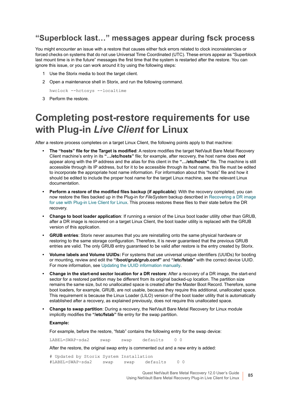### **"Superblock last…" messages appear during fsck process**

You might encounter an issue with a restore that causes either fsck errors related to clock inconsistencies or forced checks on systems that do not use Universal Time Coordinated (UTC). These errors appear as "Superblock last mount time is in the future" messages the first time that the system is restarted after the restore. You can ignore this issue, or you can work around it by using the following steps:

- 1 Use the Storix media to boot the target client.
- 2 Open a maintenance shell in Storix, and run the following command.

hwclock --hctosys --localtime

3 Perform the restore.

## **Completing post-restore requirements for use with Plug-in** *Live Client* **for Linux**

After a restore process completes on a target Linux Client, the following points apply to that machine:

- **The "hosts" file for the Target is modified**: A restore modifies the target NetVault Bare Metal Recovery Client machine's entry in its **"…/etc/hosts"** file; for example, after recovery, the host name does *not* appear along with the IP address and the alias for this client in the **"…/etc/hosts"** file. The machine is still accessible through its IP address, but for it to be accessible through its host name, this file must be edited to incorporate the appropriate host name information. For information about this "hosts" file and how it should be edited to include the proper host name for the target Linux machine, see the relevant Linux documentation.
- **Perform a restore of the modified files backup (if applicable)**: With the recovery completed, you can now restore the files backed up in the Plug-in *for FileSystem* backup described in [Recovering a DR image](#page-77-2)  [for use with Plug-in Live Client for Linux.](#page-77-2) This process restores these files to their state before the DR recovery.
- **Change to boot loader application**: If running a version of the Linux boot loader utility other than GRUB, after a DR image is recovered on a target Linux Client, the boot loader utility is replaced with the GRUB version of this application.
- **GRUB entries**: Storix never assumes that you are reinstalling onto the same physical hardware or restoring to the same storage configuration. Therefore, it is never guaranteed that the previous GRUB entries are valid. The only GRUB entry guaranteed to be valid after restore is the entry created by Storix.
- **Volume labels and Volume UUIDs:** For systems that use universal unique identifiers (UUIDs) for booting or mounting, review and edit the **"/boot/grub/grub.conf"** and **"/etc/fstab"** with the correct device UUID. For more information, see [Updating the UUID information manually.](#page-85-0)
- **Change in the start-end sector location for a DR restore**: After a recovery of a DR image, the start-end sector for a restored partition may be different from its original backed-up location. The partition size remains the same size, but no unallocated space is created after the Master Boot Record. Therefore, some boot loaders, for example, GRUB, are not usable, because they require this additional, unallocated space. This requirement is because the Linux Loader (LILO) version of the boot loader utility that is automatically established after a recovery, as explained previously, does not require this unallocated space.
- **Change to swap partition**: During a recovery, the NetVault Bare Metal Recovery for Linux module implicitly modifies the **"/etc/fstab"** file entry for the swap partition.

#### **Example:**

For example, before the restore, "fstab" contains the following entry for the swap device:

LABEL=SWAP-sda2 swap swap defaults 0 0

After the restore, the original swap entry is commented out and a new entry is added:

# Updated by Storix System Installation #LABEL=SWAP-sda2 swap swap defaults 0 0

> Quest NetVault Bare Metal Recovery 12.0 User's Guide Using NetVault Bare Metal Recovery Plug-in Live Client for Linux **<sup>85</sup>**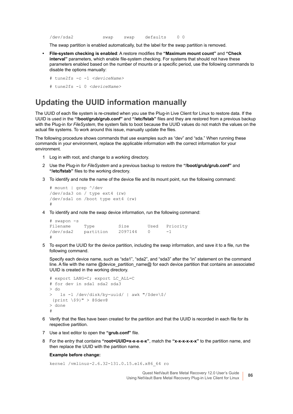```
/dev/sda2 swap swap defaults 0 0
```
The swap partition is enabled automatically, but the label for the swap partition is removed.

- **File-system checking is enabled**: A restore modifies the **"Maximum mount count"** and **"Check interval"** parameters, which enable file-system checking. For systems that should not have these parameters enabled based on the number of mounts or a specific period, use the following commands to disable the options manually:
	- # tune2fs -c -1 *<deviceName>*
	- # tune2fs -i 0 *<deviceName>*

### <span id="page-85-0"></span>**Updating the UUID information manually**

The UUID of each file system is re-created when you use the Plug-in Live Client for Linux to restore data. If the UUID is used in the **"/boot/grub/grub.conf"** and **"/etc/fstab"** files and they are restored from a previous backup with the Plug-in *for FileSystem*, the system fails to boot because the UUID values do not match the values on the actual file systems. To work around this issue, manually update the files.

The following procedure shows commands that use examples such as "dev" and "sda." When running these commands in your environment, replace the applicable information with the correct information for your environment.

- 1 Log in with root, and change to a working directory.
- 2 Use the Plug-in *for FileSystem* and a previous backup to restore the **"/boot/grub/grub.conf"** and **"/etc/fstab"** files to the working directory.
- <span id="page-85-1"></span>3 To identify and note the name of the device file and its mount point, run the following command:

```
# mount | grep ^/dev
/dev/sda3 on / type ext4 (rw)
/dev/sda1 on /boot type ext4 (rw)
#
```
<span id="page-85-2"></span>4 To identify and note the swap device information, run the following command:

```
# swapon -s
Filename Type Size Used Priority
/dev/sda2 partition 2097144 0 -1
#
```
5 To export the UUID for the device partition, including the swap information, and save it to a file, run the following command.

Specify each device name, such as "sda1", "sda2", and "sda3" after the "in" statement on the command line. A file with the name @device\_partition\_name@ for each device partition that contains an associated UUID is created in the working directory.

```
# export LANG=C; export LC_ALL=C
# for dev in sda1 sda2 sda3
> do
> ls -l /dev/disk/by-uuid/ | awk "/$dev\$/
  {print \$9}" > @$dev@
> done
#
```
- 6 Verify that the files have been created for the partition and that the UUID is recorded in each file for its respective partition.
- 7 Use a text editor to open the **"grub.conf"** file.
- 8 For the entry that contains **"root=UUID=x-x-x-x-x"**, match the **"x-x-x-x-x-x"** to the partition name, and then replace the UUID with the partition name.

#### **Example before change:**

kernel /vmlinuz-2.6.32-131.0.15.el6.x86\_64 ro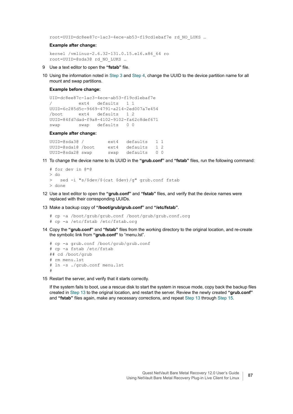root=UUID=dc8ee87c-1ac3-4ece-ab53-f19cd1ebaf7e rd\_NO\_LUKS …

#### **Example after change:**

```
kernel /vmlinuz-2.6.32-131.0.15.el6.x86_64 ro
root=UUID=@sda3@ rd_NO_LUKS …
```
- 9 Use a text editor to open the **"fstab"** file.
- 10 Using the information noted in [Step 3](#page-85-1) and [Step 4,](#page-85-2) change the UUID to the device partition name for all mount and swap partitions.

#### **Example before change:**

```
UID=dc8ee87c-1ac3-4ece-ab53-f19cd1ebaf7e
/ ext4 defaults 1 1
UUID=6c285d5c-9669-4791-a214-2ed007a7e454
/boot ext4 defaults 1 2
UUID=84fd7dad-f9a8-4102-9102-fa62c8def671
swap swap defaults 0 0
```
#### **Example after change:**

```
UUID=@sda3@ / ext4 defaults 1 1
UUID=@sda1@ /boot ext4 defaults 1 2<br>UUID=@sda2@ swap swap defaults 0 0
                      swap defaults 0 0
```
11 To change the device name to its UUID in the **"grub.conf"** and **"fstab"** files, run the following command:

```
# for dev in @*@
> do
> sed -i "s/$dev/$(cat $dev)/g" grub.conf fstab
> done
```
- 12 Use a text editor to open the **"grub.conf"** and **"fstab"** files, and verify that the device names were replaced with their corresponding UUIDs.
- <span id="page-86-0"></span>13 Make a backup copy of **"/boot/grub/grub.conf"** and **"/etc/fstab"**.

```
# cp -a /boot/grub/grub.conf /boot/grub/grub.conf.org
# cp -a /etc/fstab /etc/fstab.org
```
14 Copy the **"grub.conf"** and **"fstab"** files from the working directory to the original location, and re-create the symbolic link from **"grub.conf"** to "menu.lst".

```
# cp -a grub.conf /boot/grub/grub.conf
# cp -a fstab /etc/fstab
## cd /boot/grub
# rm menu.lst
# ln -s ./grub.conf menu.lst
#
```
<span id="page-86-1"></span>15 Restart the server, and verify that it starts correctly.

If the system fails to boot, use a rescue disk to start the system in rescue mode, copy back the backup files created in [Step 13](#page-86-0) to the original location, and restart the server. Review the newly created **"grub.conf"** and **"fstab"** files again, make any necessary corrections, and repeat [Step 13](#page-86-0) through [Step 15](#page-86-1).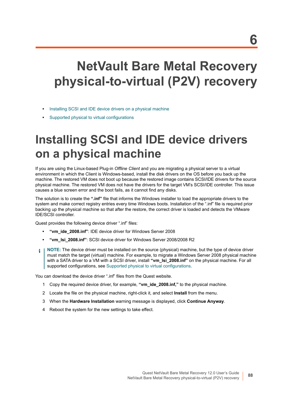# **NetVault Bare Metal Recovery physical-to-virtual (P2V) recovery**

- **•** [Installing SCSI and IDE device drivers on a physical machine](#page-87-0)
- **•** [Supported physical to virtual configurations](#page-88-0)

# <span id="page-87-0"></span>**Installing SCSI and IDE device drivers on a physical machine**

If you are using the Linux-based Plug-in *Offline Client* and you are migrating a physical server to a virtual environment in which the Client is Windows-based, install the disk drivers on the OS before you back up the machine. The restored VM does not boot up because the restored image contains SCSI/IDE drivers for the source physical machine. The restored VM does not have the drivers for the target VM's SCSI/IDE controller. This issue causes a blue screen error and the boot fails, as it cannot find any disks.

The solution is to create the **".inf"** file that informs the Windows installer to load the appropriate drivers to the system and make correct registry entries every time Windows boots. Installation of the ".inf" file is required prior backing up the physical machine so that after the restore, the correct driver is loaded and detects the VMware IDE/SCSI controller.

Quest provides the following device driver ".inf" files:

- **"vm\_ide\_2008.inf"**: IDE device driver for Windows Server 2008
- **"vm\_lsi\_2008.inf"**: SCSI device driver for Windows Server 2008/2008 R2
- **NOTE:** The device driver must be installed on the source (physical) machine, but the type of device driver ÷ must match the target (virtual) machine. For example, to migrate a Windows Server 2008 physical machine with a SATA driver to a VM with a SCSI driver, install **"vm\_lsi\_2008.inf"** on the physical machine. For all supported configurations, see [Supported physical to virtual configurations.](#page-88-0)

You can download the device driver ".inf" files from the Quest website.

- 1 Copy the required device driver, for example, **"vm\_ide\_2008.inf,"** to the physical machine.
- 2 Locate the file on the physical machine, right-click it, and select **Install** from the menu.
- 3 When the **Hardware Installation** warning message is displayed, click **Continue Anyway**.
- 4 Reboot the system for the new settings to take effect.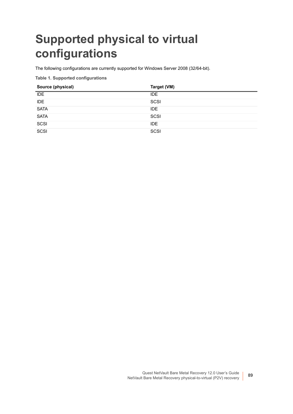# <span id="page-88-0"></span>**Supported physical to virtual configurations**

The following configurations are currently supported for Windows Server 2008 (32/64-bit).

**Table 1. Supported configurations**

| Source (physical) | Target (VM) |
|-------------------|-------------|
| <b>IDE</b>        | <b>IDE</b>  |
| <b>IDE</b>        | SCSI        |
| <b>SATA</b>       | <b>IDE</b>  |
| <b>SATA</b>       | SCSI        |
| SCSI              | <b>IDE</b>  |
| _____<br>SCSI     | SCSI        |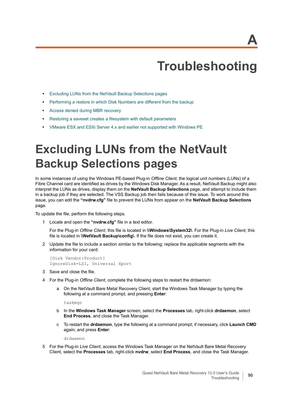## **Troubleshooting**

- **•** [Excluding LUNs from the NetVault Backup Selections pages](#page-89-0)
- **•** [Performing a restore in which Disk Numbers are different from the backup](#page-90-0)
- **•** [Access denied during MBR recovery](#page-90-1)
- **•** [Restoring a saveset creates a filesystem with default parameters](#page-90-2)
- **•** [VMware ESX and ESXi Server 4.x and earlier not supported with Windows PE](#page-91-0)

## <span id="page-89-0"></span>**Excluding LUNs from the NetVault Backup Selections pages**

In some instances of using the Windows PE-based Plug-in *Offline Client*, the logical unit numbers (LUNs) of a Fibre Channel card are identified as drives by the Windows Disk Manager. As a result, NetVault Backup might also interpret the LUNs as drives, display them on the **NetVault Backup Selections** page, and attempt to include them in a backup job if they are selected. The VSS Backup job then fails because of this issue. To work around this issue, you can edit the **"nvdrw.cfg"** file to prevent the LUNs from appear on the **NetVault Backup Selections** page.

To update the file, perform the following steps.

1 Locate and open the **"nvdrw.cfg"** file in a text editor.

For the Plug-in *Offline Client*, this file is located in **\\Windows\System32\**. For the Plug-in *Live Client*, this file is located in **\\NetVault Backup\config\**. If the file does not exist, you can create it.

2 Update the file to include a section similar to the following; replace the applicable segments with the information for your card:

[Disk Vendor:Product] IgnoreDisk=LSI, Universal Xport

- 3 Save and close the file.
- 4 For the Plug-in *Offline Client*, complete the following steps to restart the drdaemon:
	- a On the NetVault Bare Metal Recovery Client, start the Windows Task Manager by typing the following at a command prompt, and pressing **Enter**:

taskmgr

- b In the **Windows Task Manager** screen, select the **Processes** tab, right-click **drdaemon**, select **End Process**, and close the Task Manager.
- c To restart the **drdaemon**, type the following at a command prompt; if necessary, click **Launch CMD** again; and press **Enter**:

drdaemon

5 For the Plug-in *Live Client*, access the Windows Task Manager on the NetVault Bare Metal Recovery Client, select the **Processes** tab, right-click **nvdrw**, select **End Process**, and close the Task Manager.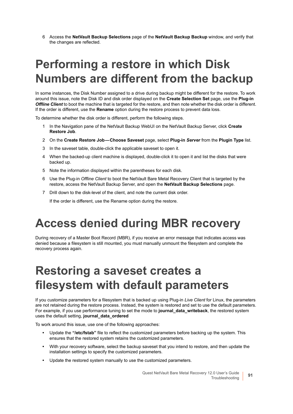6 Access the **NetVault Backup Selections** page of the **NetVault Backup Backup** window, and verify that the changes are reflected.

# <span id="page-90-0"></span>**Performing a restore in which Disk Numbers are different from the backup**

In some instances, the Disk Number assigned to a drive during backup might be different for the restore. To work around this issue, note the Disk ID and disk order displayed on the **Create Selection Set** page, use the **Plug-in**  *Offline Client* to boot the machine that is targeted for the restore, and then note whether the disk order is different. If the order is different, use the **Rename** option during the restore process to prevent data loss.

To determine whether the disk order is different, perform the following steps.

- 1 In the Navigation pane of the NetVault Backup WebUI on the NetVault Backup Server, click **Create Restore Job**.
- 2 On the **Create Restore Job Choose Saveset** page, select **Plug-in** *Server* from the **Plugin Type** list.
- 3 In the saveset table, double-click the applicable saveset to open it.
- 4 When the backed-up client machine is displayed, double-click it to open it and list the disks that were backed up.
- 5 Note the information displayed within the parentheses for each disk.
- 6 Use the Plug-in *Offline Client* to boot the NetVault Bare Metal Recovery Client that is targeted by the restore, access the NetVault Backup Server, and open the **NetVault Backup Selections** page.
- 7 Drill down to the disk-level of the client, and note the current disk order.

If the order is different, use the Rename option during the restore.

## <span id="page-90-1"></span>**Access denied during MBR recovery**

During recovery of a Master Boot Record (MBR), if you receive an error message that indicates access was denied because a filesystem is still mounted, you must manually unmount the filesystem and complete the recovery process again.

## <span id="page-90-2"></span>**Restoring a saveset creates a filesystem with default parameters**

If you customize parameters for a filesystem that is backed up using Plug-in *Live Client* for Linux, the parameters are not retained during the restore process. Instead, the system is restored and set to use the default parameters. For example, if you use performance tuning to set the mode to **journal\_data\_writeback**, the restored system uses the default setting, **journal\_data\_ordered**

To work around this issue, use one of the following approaches:

- **•** Update the **"/etc/fstab"** file to reflect the customized parameters before backing up the system. This ensures that the restored system retains the customized parameters.
- **•** With your recovery software, select the backup saveset that you intend to restore, and then update the installation settings to specify the customized parameters.
- **•** Update the restored system manually to use the customized parameters.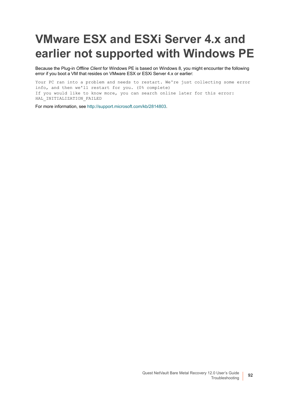# <span id="page-91-0"></span>**VMware ESX and ESXi Server 4.x and earlier not supported with Windows PE**

Because the Plug-in *Offline Client* for Windows PE is based on Windows 8, you might encounter the following error if you boot a VM that resides on VMware ESX or ESXi Server 4.x or earlier:

Your PC ran into a problem and needs to restart. We're just collecting some error info, and then we'll restart for you. (0% complete) If you would like to know more, you can search online later for this error: HAL INITIALIZATION FAILED

For more information, see [http://support.microsoft.com/kb/2814803.](http://support.microsoft.com/kb/2814803)